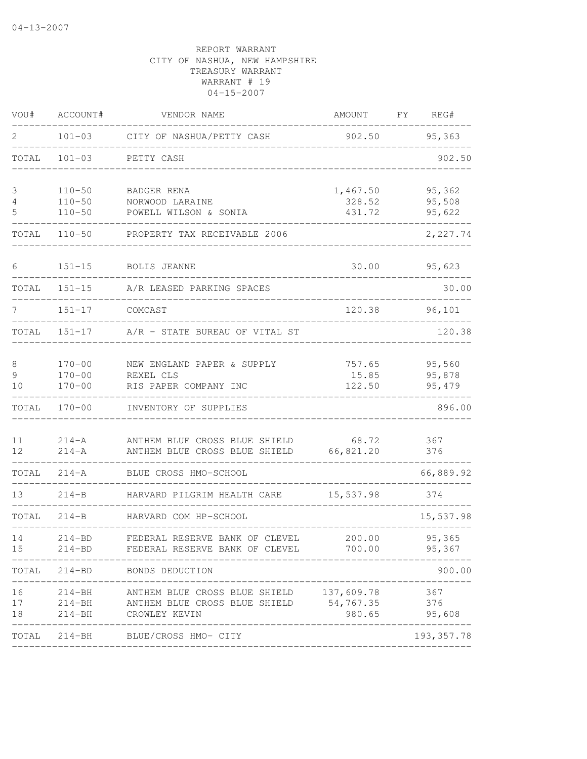| VOU#                     | ACCOUNT#                               | VENDOR NAME                                                                                                           | AMOUNT                       | FY | REG#                       |
|--------------------------|----------------------------------------|-----------------------------------------------------------------------------------------------------------------------|------------------------------|----|----------------------------|
| 2                        | $101 - 03$                             | CITY OF NASHUA/PETTY CASH                                                                                             | 902.50                       |    | 95,363                     |
| TOTAL                    | $101 - 03$                             | PETTY CASH                                                                                                            |                              |    | 902.50                     |
| 3<br>$\overline{4}$<br>5 | $110 - 50$<br>$110 - 50$<br>$110 - 50$ | BADGER RENA<br>NORWOOD LARAINE<br>POWELL WILSON & SONIA                                                               | 1,467.50<br>328.52<br>431.72 |    | 95,362<br>95,508<br>95,622 |
| TOTAL                    | $110 - 50$                             | PROPERTY TAX RECEIVABLE 2006                                                                                          |                              |    | 2,227.74                   |
| 6                        | $151 - 15$                             | <b>BOLIS JEANNE</b>                                                                                                   | 30.00                        |    | 95,623                     |
| TOTAL                    | 151-15                                 | A/R LEASED PARKING SPACES                                                                                             |                              |    | 30.00                      |
| 7                        | $151 - 17$                             | COMCAST                                                                                                               | 120.38                       |    | 96,101                     |
| TOTAL                    | $151 - 17$                             | A/R - STATE BUREAU OF VITAL ST                                                                                        |                              |    | 120.38                     |
| 8<br>9<br>10             | $170 - 00$<br>$170 - 00$<br>$170 - 00$ | NEW ENGLAND PAPER & SUPPLY<br>REXEL CLS<br>RIS PAPER COMPANY INC                                                      | 757.65<br>15.85<br>122.50    |    | 95,560<br>95,878<br>95,479 |
|                          | TOTAL 170-00                           | INVENTORY OF SUPPLIES                                                                                                 |                              |    | 896.00                     |
| 11<br>12                 | $214 - A$<br>$214 - A$                 | ANTHEM BLUE CROSS BLUE SHIELD 68.72<br>ANTHEM BLUE CROSS BLUE SHIELD 66,821.20                                        |                              |    | 367<br>376                 |
| TOTAL                    | $214 - A$                              | BLUE CROSS HMO-SCHOOL                                                                                                 |                              |    | 66,889.92                  |
| 13                       | $214 - B$                              | HARVARD PILGRIM HEALTH CARE                                                                                           | 15,537.98                    |    | 374                        |
| TOTAL                    | $214 - B$                              | HARVARD COM HP-SCHOOL                                                                                                 |                              |    | 15,537.98                  |
| 14<br>15                 | $214 - BD$<br>$214 - BD$               | FEDERAL RESERVE BANK OF CLEVEL 200.00<br>FEDERAL RESERVE BANK OF CLEVEL 700.00                                        |                              |    | 95,365<br>95,367           |
| TOTAL                    |                                        | 214-BD BONDS DEDUCTION                                                                                                |                              |    | 900.00                     |
| 16<br>17<br>18           | 214-BH<br>214-BH<br>$214 - BH$         | ANTHEM BLUE CROSS BLUE SHIELD 137,609.78<br>ANTHEM BLUE CROSS BLUE SHIELD<br>CROWLEY KEVIN<br>_______________________ | 54,767.35<br>980.65          |    | 367<br>376<br>95,608       |
| TOTAL                    |                                        | 214-BH BLUE/CROSS HMO- CITY                                                                                           |                              |    | 193, 357.78                |
|                          |                                        |                                                                                                                       |                              |    |                            |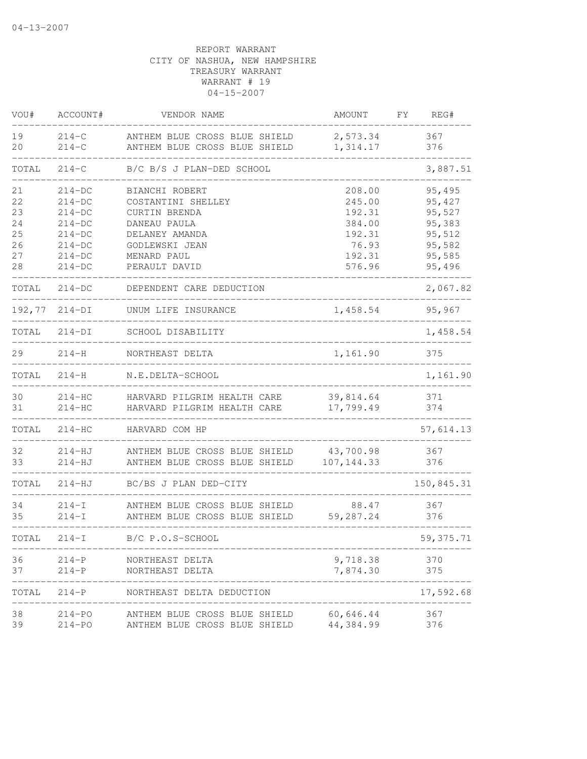| VOU#     | ACCOUNT#               | VENDOR NAME                                                    | AMOUNT               | FΥ | REG#       |
|----------|------------------------|----------------------------------------------------------------|----------------------|----|------------|
| 19<br>20 | $214 - C$<br>$214 - C$ | ANTHEM BLUE CROSS BLUE SHIELD<br>ANTHEM BLUE CROSS BLUE SHIELD | 2,573.34<br>1,314.17 |    | 367<br>376 |
| TOTAL    | $214 - C$              | B/C B/S J PLAN-DED SCHOOL                                      |                      |    | 3,887.51   |
| 21       | $214-DC$               | BIANCHI ROBERT                                                 | 208.00               |    | 95,495     |
| 22       | $214-DC$               | COSTANTINI SHELLEY                                             | 245.00               |    | 95,427     |
| 23       | $214-DC$               | CURTIN BRENDA                                                  | 192.31               |    | 95,527     |
| 24       | $214-DC$               | DANEAU PAULA                                                   | 384.00               |    | 95,383     |
| 25       | $214-DC$               | DELANEY AMANDA                                                 | 192.31               |    | 95,512     |
| 26       | $214-DC$               | GODLEWSKI JEAN                                                 | 76.93                |    | 95,582     |
| 27       | $214-DC$               | MENARD PAUL                                                    | 192.31               |    | 95,585     |
| 28       | $214-DC$               | PERAULT DAVID                                                  | 576.96               |    | 95,496     |
| TOTAL    | $214-DC$               | DEPENDENT CARE DEDUCTION                                       |                      |    | 2,067.82   |
|          | 192,77 214-DI          | UNUM LIFE INSURANCE                                            | 1,458.54             |    | 95,967     |
| TOTAL    | $214-DI$               | SCHOOL DISABILITY                                              |                      |    | 1,458.54   |
| 29       | $214 - H$              | NORTHEAST DELTA                                                | 1,161.90             |    | 375        |
| TOTAL    | $214-H$                | N.E.DELTA-SCHOOL                                               |                      |    | 1,161.90   |
| 30       | $214-HC$               | HARVARD PILGRIM HEALTH CARE                                    | 39,814.64            |    | 371        |
| 31       | $214-HC$               | HARVARD PILGRIM HEALTH CARE                                    | 17,799.49            |    | 374        |
| TOTAL    | $214-HC$               | HARVARD COM HP                                                 |                      |    | 57,614.13  |
| 32       | $214 - HJ$             | ANTHEM BLUE CROSS BLUE SHIELD                                  | 43,700.98            |    | 367        |
| 33       | $214 - HJ$             | ANTHEM BLUE CROSS BLUE SHIELD                                  | 107, 144.33          |    | 376        |
| TOTAL    | $214 - HJ$             | BC/BS J PLAN DED-CITY                                          |                      |    | 150,845.31 |
| 34       | $214 - I$              | ANTHEM BLUE CROSS BLUE SHIELD                                  | 88.47                |    | 367        |
| 35       | $214 - I$              | ANTHEM BLUE CROSS BLUE SHIELD                                  | 59,287.24            |    | 376        |
| TOTAL    | $214-I$                | B/C P.O.S-SCHOOL                                               |                      |    | 59, 375.71 |
| 36       | $214-P$                | NORTHEAST DELTA                                                | 9,718.38             |    | 370        |
| 37       | $214-P$                | NORTHEAST DELTA                                                | 7,874.30             |    | 375        |
| TOTAL    |                        | 214-P NORTHEAST DELTA DEDUCTION                                |                      |    | 17,592.68  |
| 38       |                        | 214-PO ANTHEM BLUE CROSS BLUE SHIELD 60,646.44                 |                      |    | 367        |
| 39       | $214 - PQ$             | ANTHEM BLUE CROSS BLUE SHIELD                                  | 44,384.99            |    | 376        |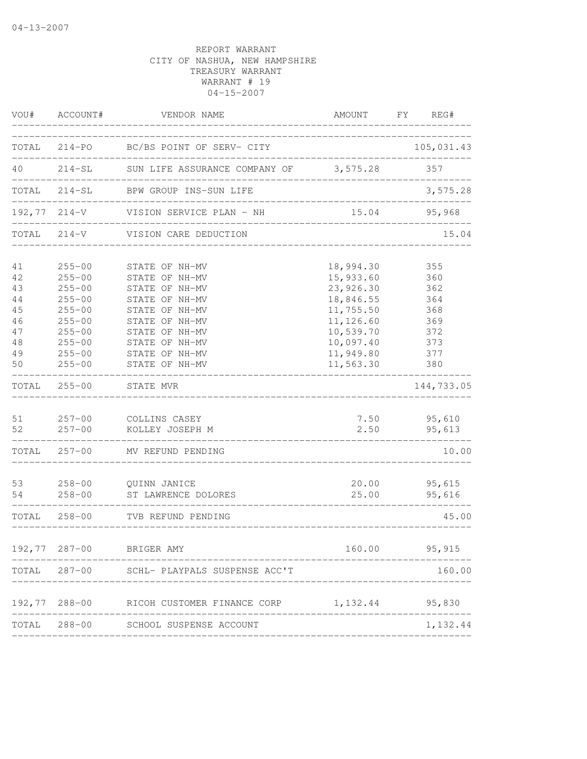|          | VOU# ACCOUNT#                 | VENDOR NAME                                      | AMOUNT                           | FY REG#      |            |
|----------|-------------------------------|--------------------------------------------------|----------------------------------|--------------|------------|
|          |                               | TOTAL 214-PO BC/BS POINT OF SERV- CITY           | __________________________       |              | 105,031.43 |
|          |                               | 40 214-SL SUN LIFE ASSURANCE COMPANY OF 3,575.28 |                                  | 357          |            |
|          | _____________________________ | TOTAL 214-SL BPW GROUP INS-SUN LIFE              |                                  |              | 3,575.28   |
|          |                               | 192,77 214-V VISION SERVICE PLAN - NH            |                                  | 15.04 95,968 |            |
|          |                               | TOTAL 214-V VISION CARE DEDUCTION                |                                  |              | 15.04      |
| 41<br>42 | $255 - 00$<br>$255 - 00$      | STATE OF NH-MV<br>STATE OF NH-MV                 | 18,994.30<br>15,933.60           | 355<br>360   |            |
| 43       | $255 - 00$                    | STATE OF NH-MV                                   | 23,926.30                        | 362          |            |
| 44       | $255 - 00$                    | STATE OF NH-MV                                   | 18,846.55                        | 364          |            |
| 45       | $255 - 00$                    | STATE OF NH-MV                                   | 11,755.50                        | 368          |            |
| 46       | $255 - 00$                    | STATE OF NH-MV                                   | 11,126.60                        | 369          |            |
| 47       | $255 - 00$                    | STATE OF NH-MV                                   | 10,539.70                        | 372          |            |
| 48       | $255 - 00$                    | STATE OF NH-MV                                   | 10,097.40                        | 373          |            |
| 49       | $255 - 00$                    | STATE OF NH-MV                                   | 11,949.80                        | 377          |            |
| 50       | $255 - 00$                    | STATE OF NH-MV                                   | 11, 563.30                       | 380          |            |
|          | TOTAL 255-00                  | STATE MVR                                        |                                  |              | 144,733.05 |
|          |                               | 51 257-00 COLLINS CASEY                          |                                  | 7.50 95,610  |            |
| 52       | $257 - 00$                    | KOLLEY JOSEPH M                                  | 2.50                             | 95,613       |            |
|          |                               | TOTAL 257-00 MV REFUND PENDING                   |                                  |              | 10.00      |
| 53       | $258 - 00$                    | QUINN JANICE                                     | 20.00                            | 95,615       |            |
| 54       |                               | 258-00 ST LAWRENCE DOLORES                       | 25.00                            |              | 95,616     |
|          |                               | TOTAL 258-00 TVB REFUND PENDING                  | ________________________________ |              | 45.00      |
|          |                               | 192,77 287-00 BRIGER AMY                         | 160.00                           |              | 95,915     |
|          |                               | TOTAL 287-00 SCHL- PLAYPALS SUSPENSE ACC'T       |                                  |              | 160.00     |
|          | 192,77 288-00                 | RICOH CUSTOMER FINANCE CORP                      | 1, 132.44 95, 830                |              |            |
|          |                               | TOTAL 288-00 SCHOOL SUSPENSE ACCOUNT             |                                  |              | 1,132.44   |
|          |                               |                                                  |                                  |              |            |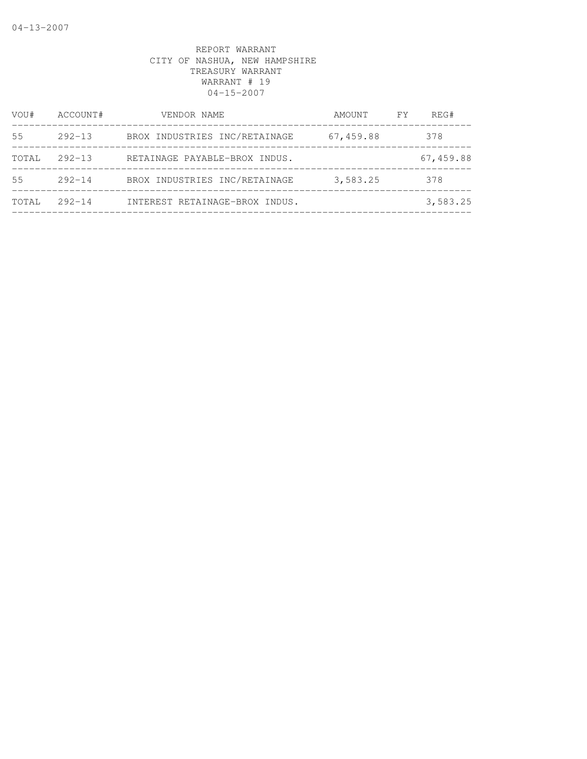| VOU#  | ACCOUNT#   | VENDOR NAME                    | AMOUNT    | FY. | REG#      |
|-------|------------|--------------------------------|-----------|-----|-----------|
| 55    | $292 - 13$ | BROX INDUSTRIES INC/RETAINAGE  | 67,459.88 |     | 378       |
| TOTAL | $292 - 13$ | RETAINAGE PAYABLE-BROX INDUS.  |           |     | 67,459.88 |
| 55    | $292 - 14$ | BROX INDUSTRIES INC/RETAINAGE  | 3,583.25  |     | 378       |
| TOTAL | $292 - 14$ | INTEREST RETAINAGE-BROX INDUS. |           |     | 3,583.25  |
|       |            |                                |           |     |           |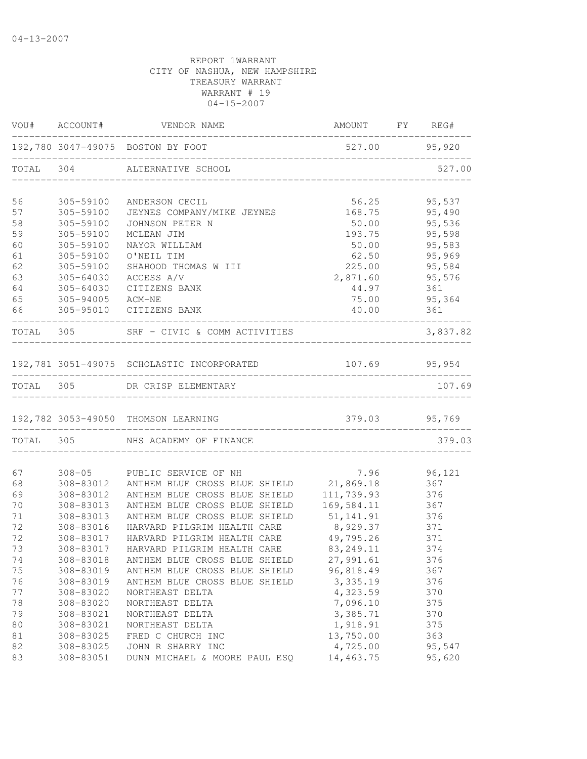|    |                  | VOU# ACCOUNT# VENDOR NAME                  | AMOUNT FY REG#                     |               |
|----|------------------|--------------------------------------------|------------------------------------|---------------|
|    |                  | 192,780 3047-49075 BOSTON BY FOOT          | $527.00$ 95,920                    |               |
|    |                  | TOTAL 304 ALTERNATIVE SCHOOL               |                                    | 527.00        |
| 56 | 305-59100        | ANDERSON CECIL                             | 56.25                              | 95,537        |
| 57 | 305-59100        | JEYNES COMPANY/MIKE JEYNES                 | 168.75                             | 95,490        |
| 58 | 305-59100        | JOHNSON PETER N                            | 50.00                              | 95,536        |
| 59 | 305-59100        | MCLEAN JIM                                 | 193.75                             | 95,598        |
| 60 | 305-59100        | NAYOR WILLIAM                              | 50.00                              | 95,583        |
| 61 | 305-59100        | O'NEIL TIM                                 | 62.50                              | 95,969        |
| 62 | 305-59100        | SHAHOOD THOMAS W III                       | 225.00                             | 95,584        |
| 63 | $305 - 64030$    | ACCESS A/V                                 | 2,871.60                           | 95,576        |
| 64 | 305-64030        | CITIZENS BANK                              | 44.97                              | 361           |
| 65 | 305-94005 ACM-NE |                                            | 75.00                              | 95,364        |
| 66 |                  | 305-95010 CITIZENS BANK                    | 40.00                              | 361           |
|    |                  | TOTAL 305 SRF - CIVIC & COMM ACTIVITIES    |                                    | 3,837.82      |
|    |                  | 192,781 3051-49075 SCHOLASTIC INCORPORATED |                                    | 107.69 95,954 |
|    |                  | TOTAL 305 DR CRISP ELEMENTARY              |                                    | 107.69        |
|    |                  | 192,782 3053-49050 THOMSON LEARNING        | 379.03 95,769                      |               |
|    |                  |                                            | __________________________________ |               |
|    |                  | TOTAL 305 NHS ACADEMY OF FINANCE           |                                    | 379.03        |
| 67 |                  | 308-05 PUBLIC SERVICE OF NH                |                                    | 7.96 96,121   |
| 68 | 308-83012        | ANTHEM BLUE CROSS BLUE SHIELD              | 21,869.18                          | 367           |
| 69 | 308-83012        | ANTHEM BLUE CROSS BLUE SHIELD              | 111,739.93                         | 376           |
| 70 | 308-83013        | ANTHEM BLUE CROSS BLUE SHIELD              | 169,584.11                         |               |
| 71 | 308-83013        | ANTHEM BLUE CROSS BLUE SHIELD              | 51, 141.91                         | 367<br>376    |
| 72 | 308-83016        | HARVARD PILGRIM HEALTH CARE                | 8,929.37                           | 371           |
| 72 | 308-83017        | HARVARD PILGRIM HEALTH CARE                | 49,795.26                          | 371           |
| 73 | 308-83017        | HARVARD PILGRIM HEALTH CARE                | 83, 249. 11                        | 374           |
| 74 | 308-83018        | ANTHEM BLUE CROSS BLUE SHIELD              | 27,991.61                          | 376           |
| 75 | 308-83019        | ANTHEM BLUE CROSS BLUE SHIELD              | 96,818.49                          | 367           |
| 76 | 308-83019        | ANTHEM BLUE CROSS BLUE SHIELD              | 3,335.19                           | 376           |
| 77 | 308-83020        | NORTHEAST DELTA                            | 4,323.59                           | 370           |
| 78 | 308-83020        | NORTHEAST DELTA                            | 7,096.10                           | 375           |
| 79 | 308-83021        | NORTHEAST DELTA                            | 3,385.71                           | 370           |
| 80 | 308-83021        | NORTHEAST DELTA                            | 1,918.91                           | 375           |
| 81 | 308-83025        | FRED C CHURCH INC                          | 13,750.00                          | 363           |
| 82 | 308-83025        | JOHN R SHARRY INC                          | 4,725.00                           | 95,547        |
| 83 | 308-83051        | DUNN MICHAEL & MOORE PAUL ESQ              | 14,463.75                          | 95,620        |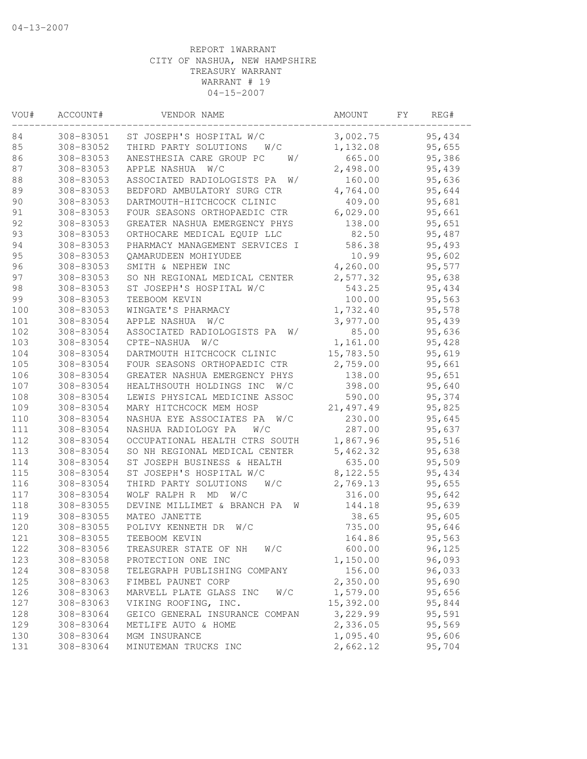| VOU# | ACCOUNT#  | VENDOR NAME                      | AMOUNT    | FΥ | REG#   |
|------|-----------|----------------------------------|-----------|----|--------|
| 84   | 308-83051 | ST JOSEPH'S HOSPITAL W/C         | 3,002.75  |    | 95,434 |
| 85   | 308-83052 | THIRD PARTY SOLUTIONS<br>W/C     | 1,132.08  |    | 95,655 |
| 86   | 308-83053 | ANESTHESIA CARE GROUP PC<br>W/   | 665.00    |    | 95,386 |
| 87   | 308-83053 | APPLE NASHUA<br>W/C              | 2,498.00  |    | 95,439 |
| 88   | 308-83053 | ASSOCIATED RADIOLOGISTS PA<br>W/ | 160.00    |    | 95,636 |
| 89   | 308-83053 | BEDFORD AMBULATORY SURG CTR      | 4,764.00  |    | 95,644 |
| 90   | 308-83053 | DARTMOUTH-HITCHCOCK CLINIC       | 409.00    |    | 95,681 |
| 91   | 308-83053 | FOUR SEASONS ORTHOPAEDIC CTR     | 6,029.00  |    | 95,661 |
| 92   | 308-83053 | GREATER NASHUA EMERGENCY PHYS    | 138.00    |    | 95,651 |
| 93   | 308-83053 | ORTHOCARE MEDICAL EQUIP LLC      | 82.50     |    | 95,487 |
| 94   | 308-83053 | PHARMACY MANAGEMENT SERVICES I   | 586.38    |    | 95,493 |
| 95   | 308-83053 | QAMARUDEEN MOHIYUDEE             | 10.99     |    | 95,602 |
| 96   | 308-83053 | SMITH & NEPHEW INC               | 4,260.00  |    | 95,577 |
| 97   | 308-83053 | SO NH REGIONAL MEDICAL CENTER    | 2,577.32  |    | 95,638 |
| 98   | 308-83053 | ST JOSEPH'S HOSPITAL W/C         | 543.25    |    | 95,434 |
| 99   | 308-83053 | TEEBOOM KEVIN                    | 100.00    |    | 95,563 |
| 100  | 308-83053 | WINGATE'S PHARMACY               | 1,732.40  |    | 95,578 |
| 101  | 308-83054 | APPLE NASHUA<br>W/C              | 3,977.00  |    | 95,439 |
| 102  | 308-83054 | ASSOCIATED RADIOLOGISTS PA<br>W/ | 85.00     |    | 95,636 |
| 103  | 308-83054 | W/C<br>CPTE-NASHUA               | 1,161.00  |    | 95,428 |
| 104  | 308-83054 | DARTMOUTH HITCHCOCK CLINIC       | 15,783.50 |    | 95,619 |
| 105  | 308-83054 | FOUR SEASONS ORTHOPAEDIC CTR     | 2,759.00  |    | 95,661 |
| 106  | 308-83054 | GREATER NASHUA EMERGENCY PHYS    | 138.00    |    | 95,651 |
| 107  | 308-83054 | HEALTHSOUTH HOLDINGS INC<br>W/C  | 398.00    |    | 95,640 |
| 108  | 308-83054 | LEWIS PHYSICAL MEDICINE ASSOC    | 590.00    |    | 95,374 |
| 109  | 308-83054 | MARY HITCHCOCK MEM HOSP          | 21,497.49 |    | 95,825 |
| 110  | 308-83054 | NASHUA EYE ASSOCIATES PA<br>W/C  | 230.00    |    | 95,645 |
| 111  | 308-83054 | NASHUA RADIOLOGY PA<br>W/C       | 287.00    |    | 95,637 |
| 112  | 308-83054 | OCCUPATIONAL HEALTH CTRS SOUTH   | 1,867.96  |    | 95,516 |
| 113  | 308-83054 | SO NH REGIONAL MEDICAL CENTER    | 5,462.32  |    | 95,638 |
| 114  | 308-83054 | ST JOSEPH BUSINESS & HEALTH      | 635.00    |    | 95,509 |
| 115  | 308-83054 | ST JOSEPH'S HOSPITAL W/C         | 8,122.55  |    | 95,434 |
| 116  | 308-83054 | THIRD PARTY SOLUTIONS<br>W/C     | 2,769.13  |    | 95,655 |
| 117  | 308-83054 | WOLF RALPH R MD<br>W/C           | 316.00    |    | 95,642 |
| 118  | 308-83055 | DEVINE MILLIMET & BRANCH PA      | 144.18    |    | 95,639 |
|      |           | W                                |           |    |        |
| 119  | 308-83055 | MATEO JANETTE                    | 38.65     |    | 95,605 |
| 120  | 308-83055 | POLIVY KENNETH DR<br>W/C         | 735.00    |    | 95,646 |
| 121  | 308-83055 | TEEBOOM KEVIN                    | 164.86    |    | 95,563 |
| 122  | 308-83056 | TREASURER STATE OF NH<br>W/C     | 600.00    |    | 96,125 |
| 123  | 308-83058 | PROTECTION ONE INC               | 1,150.00  |    | 96,093 |
| 124  | 308-83058 | TELEGRAPH PUBLISHING COMPANY     | 156.00    |    | 96,033 |
| 125  | 308-83063 | FIMBEL PAUNET CORP               | 2,350.00  |    | 95,690 |
| 126  | 308-83063 | MARVELL PLATE GLASS INC<br>W/C   | 1,579.00  |    | 95,656 |
| 127  | 308-83063 | VIKING ROOFING, INC.             | 15,392.00 |    | 95,844 |
| 128  | 308-83064 | GEICO GENERAL INSURANCE COMPAN   | 3,229.99  |    | 95,591 |
| 129  | 308-83064 | METLIFE AUTO & HOME              | 2,336.05  |    | 95,569 |
| 130  | 308-83064 | MGM INSURANCE                    | 1,095.40  |    | 95,606 |
| 131  | 308-83064 | MINUTEMAN TRUCKS INC             | 2,662.12  |    | 95,704 |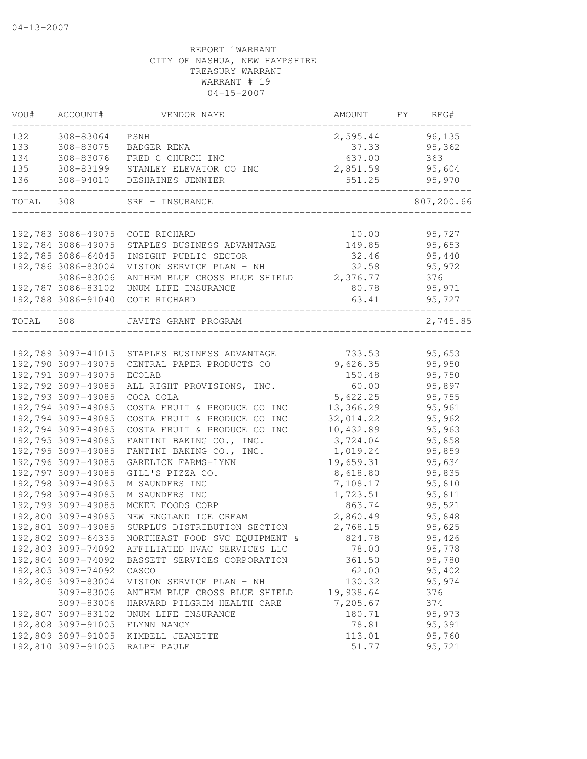| VOU#      | ACCOUNT#           | VENDOR NAME                                                               | AMOUNT         | FY | REG#             |
|-----------|--------------------|---------------------------------------------------------------------------|----------------|----|------------------|
| 132       | 308-83064          | PSNH                                                                      | 2,595.44       |    | 96, 135          |
| 133       | 308-83075          | BADGER RENA                                                               | 37.33          |    | 95,362           |
| 134       | 308-83076          | FRED C CHURCH INC                                                         | 637.00         |    | 363              |
| 135       |                    | 308-83199 STANLEY ELEVATOR CO INC                                         | 2,851.59       |    | 95,604           |
| 136       |                    | 308-94010 DESHAINES JENNIER                                               | 551.25         |    | 95,970           |
| TOTAL 308 |                    | SRF - INSURANCE                                                           |                |    | 807,200.66       |
|           |                    |                                                                           |                |    |                  |
|           | 192,783 3086-49075 | COTE RICHARD                                                              | 10.00          |    | 95,727           |
|           | 192,784 3086-49075 | STAPLES BUSINESS ADVANTAGE                                                | 149.85         |    | 95,653           |
|           | 192,785 3086-64045 | INSIGHT PUBLIC SECTOR                                                     | 32.46          |    | 95,440           |
|           | 192,786 3086-83004 | VISION SERVICE PLAN - NH                                                  | 32.58          |    | 95,972           |
|           | 3086-83006         | ANTHEM BLUE CROSS BLUE SHIELD 2,376.77                                    |                |    | 376              |
|           |                    | 192,787 3086-83102 UNUM LIFE INSURANCE<br>192,788 3086-91040 COTE RICHARD | 80.78<br>63.41 |    | 95,971<br>95,727 |
|           |                    |                                                                           |                |    |                  |
| TOTAL 308 |                    | JAVITS GRANT PROGRAM                                                      |                |    | 2,745.85         |
|           |                    | 192,789 3097-41015 STAPLES BUSINESS ADVANTAGE                             | 733.53         |    | 95,653           |
|           | 192,790 3097-49075 | CENTRAL PAPER PRODUCTS CO                                                 | 9,626.35       |    | 95,950           |
|           | 192,791 3097-49075 | ECOLAB                                                                    | 150.48         |    | 95,750           |
|           | 192,792 3097-49085 | ALL RIGHT PROVISIONS, INC.                                                | 60.00          |    | 95,897           |
|           | 192,793 3097-49085 | COCA COLA                                                                 | 5,622.25       |    | 95,755           |
|           | 192,794 3097-49085 | COSTA FRUIT & PRODUCE CO INC                                              | 13,366.29      |    | 95,961           |
|           | 192,794 3097-49085 | COSTA FRUIT & PRODUCE CO INC                                              | 32,014.22      |    | 95,962           |
|           | 192,794 3097-49085 | COSTA FRUIT & PRODUCE CO INC                                              | 10,432.89      |    | 95,963           |
|           | 192,795 3097-49085 | FANTINI BAKING CO., INC.                                                  | 3,724.04       |    | 95,858           |
|           | 192,795 3097-49085 | FANTINI BAKING CO., INC.                                                  | 1,019.24       |    | 95,859           |
|           | 192,796 3097-49085 | GARELICK FARMS-LYNN                                                       | 19,659.31      |    | 95,634           |
|           | 192,797 3097-49085 | GILL'S PIZZA CO.                                                          | 8,618.80       |    | 95,835           |
|           | 192,798 3097-49085 | M SAUNDERS INC                                                            | 7,108.17       |    | 95,810           |
|           | 192,798 3097-49085 | M SAUNDERS INC                                                            | 1,723.51       |    | 95,811           |
|           | 192,799 3097-49085 | MCKEE FOODS CORP                                                          | 863.74         |    | 95,521           |
|           | 192,800 3097-49085 | NEW ENGLAND ICE CREAM                                                     | 2,860.49       |    | 95,848           |
|           | 192,801 3097-49085 | SURPLUS DISTRIBUTION SECTION                                              | 2,768.15       |    | 95,625           |
|           | 192,802 3097-64335 | NORTHEAST FOOD SVC EQUIPMENT &                                            | 824.78         |    | 95,426           |
|           | 192,803 3097-74092 | AFFILIATED HVAC SERVICES LLC                                              | 78.00          |    | 95,778           |
|           | 192,804 3097-74092 | BASSETT SERVICES CORPORATION                                              | 361.50         |    | 95,780           |
|           | 192,805 3097-74092 | CASCO                                                                     | 62.00          |    | 95,402           |
|           | 192,806 3097-83004 | VISION SERVICE PLAN - NH                                                  | 130.32         |    | 95,974           |
|           | 3097-83006         | ANTHEM BLUE CROSS BLUE SHIELD                                             | 19,938.64      |    | 376              |
|           | 3097-83006         | HARVARD PILGRIM HEALTH CARE                                               | 7,205.67       |    | 374              |
|           | 192,807 3097-83102 | UNUM LIFE INSURANCE                                                       | 180.71         |    | 95,973           |
|           | 192,808 3097-91005 | FLYNN NANCY                                                               | 78.81          |    | 95,391           |
|           | 192,809 3097-91005 | KIMBELL JEANETTE                                                          | 113.01         |    | 95,760           |
|           | 192,810 3097-91005 | RALPH PAULE                                                               | 51.77          |    | 95,721           |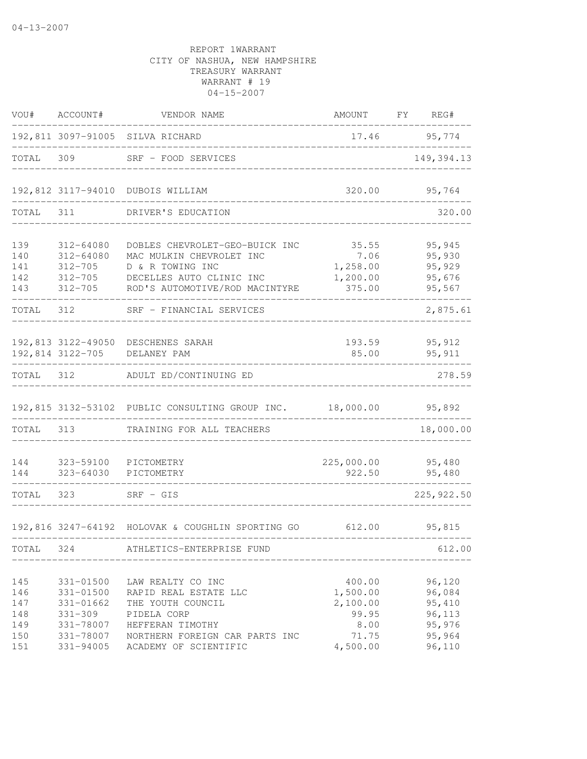| VOU#                                   | ACCOUNT#                                                                     | VENDOR NAME                                                                                                                                          |                                                          | AMOUNT FY REG#                                           |
|----------------------------------------|------------------------------------------------------------------------------|------------------------------------------------------------------------------------------------------------------------------------------------------|----------------------------------------------------------|----------------------------------------------------------|
|                                        |                                                                              | 192,811 3097-91005 SILVA RICHARD                                                                                                                     |                                                          | 17.46 95,774                                             |
| TOTAL                                  | 309                                                                          | SRF - FOOD SERVICES                                                                                                                                  |                                                          | 149, 394.13                                              |
|                                        |                                                                              | 192,812 3117-94010 DUBOIS WILLIAM                                                                                                                    | 320.00                                                   | 95,764                                                   |
| TOTAL                                  | 311                                                                          | DRIVER'S EDUCATION                                                                                                                                   |                                                          | 320.00                                                   |
| 139<br>140<br>141<br>142<br>143        | $312 - 64080$<br>312-64080<br>$312 - 705$<br>$312 - 705$                     | DOBLES CHEVROLET-GEO-BUICK INC<br>MAC MULKIN CHEVROLET INC<br>D & R TOWING INC<br>DECELLES AUTO CLINIC INC<br>312-705 ROD'S AUTOMOTIVE/ROD MACINTYRE | 35.55<br>7.06<br>1,258.00<br>1,200.00<br>375.00          | 95,945<br>95,930<br>95,929<br>95,676<br>95,567           |
| TOTAL                                  | 312                                                                          | SRF - FINANCIAL SERVICES                                                                                                                             |                                                          | 2,875.61                                                 |
|                                        | 192,814 3122-705                                                             | 192,813 3122-49050 DESCHENES SARAH<br>DELANEY PAM                                                                                                    | 193.59<br>85.00                                          | 95,912<br>95, 911                                        |
| TOTAL 312                              |                                                                              | ADULT ED/CONTINUING ED                                                                                                                               |                                                          | 278.59                                                   |
|                                        |                                                                              | 192,815 3132-53102 PUBLIC CONSULTING GROUP INC. 18,000.00                                                                                            |                                                          | 95,892                                                   |
| TOTAL 313                              |                                                                              | TRAINING FOR ALL TEACHERS                                                                                                                            |                                                          | 18,000.00                                                |
| 144<br>144                             | 323-59100<br>323-64030                                                       | PICTOMETRY<br>PICTOMETRY                                                                                                                             | 225,000.00<br>922.50                                     | 95,480<br>95,480                                         |
| TOTAL                                  | 323                                                                          | $SRF - GIS$                                                                                                                                          |                                                          | 225, 922.50                                              |
|                                        |                                                                              | 192,816 3247-64192 HOLOVAK & COUGHLIN SPORTING GO 612.00 95,815                                                                                      |                                                          |                                                          |
| TOTAL                                  | 324                                                                          | ATHLETICS-ENTERPRISE FUND                                                                                                                            |                                                          | 612.00                                                   |
| 145<br>146<br>147<br>148<br>149<br>150 | 331-01500<br>331-01500<br>331-01662<br>$331 - 309$<br>331-78007<br>331-78007 | LAW REALTY CO INC<br>RAPID REAL ESTATE LLC<br>THE YOUTH COUNCIL<br>PIDELA CORP<br>HEFFERAN TIMOTHY<br>NORTHERN FOREIGN CAR PARTS INC                 | 400.00<br>1,500.00<br>2,100.00<br>99.95<br>8.00<br>71.75 | 96,120<br>96,084<br>95,410<br>96,113<br>95,976<br>95,964 |
| 151                                    | 331-94005                                                                    | ACADEMY OF SCIENTIFIC                                                                                                                                | 4,500.00                                                 | 96,110                                                   |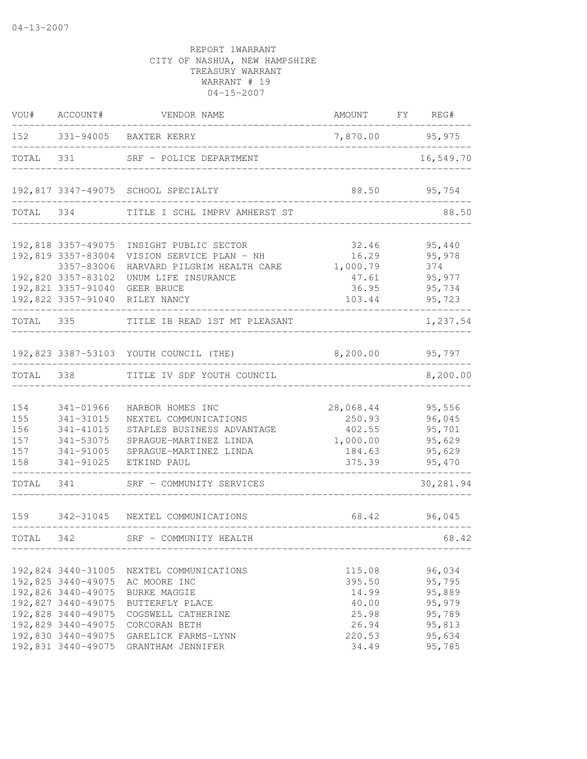| VOU#                                   | ACCOUNT#                                                                                                                                               | VENDOR NAME                                                                                                                                        | AMOUNT FY REG#                                                 |                                                                    |
|----------------------------------------|--------------------------------------------------------------------------------------------------------------------------------------------------------|----------------------------------------------------------------------------------------------------------------------------------------------------|----------------------------------------------------------------|--------------------------------------------------------------------|
|                                        |                                                                                                                                                        | 152 331-94005 BAXTER KERRY                                                                                                                         | 7,870.00 95,975                                                |                                                                    |
| TOTAL                                  | 331                                                                                                                                                    | SRF - POLICE DEPARTMENT                                                                                                                            |                                                                | 16,549.70                                                          |
|                                        |                                                                                                                                                        | 192,817 3347-49075 SCHOOL SPECIALTY                                                                                                                |                                                                | 88.50 95,754                                                       |
| TOTAL 334                              |                                                                                                                                                        | TITLE I SCHL IMPRV AMHERST ST                                                                                                                      |                                                                | 88.50                                                              |
|                                        | 192,818 3357-49075<br>192,819 3357-83004<br>3357-83006<br>192,820 3357-83102<br>192,821 3357-91040 GEER BRUCE                                          | INSIGHT PUBLIC SECTOR<br>VISION SERVICE PLAN - NH<br>HARVARD PILGRIM HEALTH CARE 1,000.79<br>UNUM LIFE INSURANCE<br>192,822 3357-91040 RILEY NANCY | 32.46<br>16.29<br>47.61<br>36.95<br>103.44                     | 95,440<br>95,978<br>374<br>95,977<br>95,734<br>95,723              |
| TOTAL 335                              |                                                                                                                                                        | TITLE IB READ 1ST MT PLEASANT                                                                                                                      |                                                                | 1,237.54                                                           |
|                                        |                                                                                                                                                        | 192,823 3387-53103 YOUTH COUNCIL (THE)                                                                                                             | 8,200.00 95,797                                                |                                                                    |
| TOTAL 338                              |                                                                                                                                                        | TITLE IV SDF YOUTH COUNCIL                                                                                                                         |                                                                | 8,200.00                                                           |
| 154<br>155<br>156<br>157<br>157<br>158 | 341-01966<br>341-31015<br>341-41015<br>341-53075<br>341-91005<br>341-91025                                                                             | HARBOR HOMES INC<br>NEXTEL COMMUNICATIONS<br>STAPLES BUSINESS ADVANTAGE<br>SPRAGUE-MARTINEZ LINDA<br>SPRAGUE-MARTINEZ LINDA<br>ETKIND PAUL         | 28,068.44<br>250.93<br>402.55<br>1,000.00<br>184.63<br>375.39  | 95,556<br>96,045<br>95,701<br>95,629<br>95,629<br>95,470           |
| TOTAL                                  | 341                                                                                                                                                    | SRF - COMMUNITY SERVICES                                                                                                                           |                                                                | 30,281.94                                                          |
| 159                                    |                                                                                                                                                        | 342-31045 NEXTEL COMMUNICATIONS                                                                                                                    | 68.42                                                          | 96,045                                                             |
| TOTAL 342                              |                                                                                                                                                        | SRF - COMMUNITY HEALTH                                                                                                                             |                                                                | 68.42                                                              |
|                                        | 192,824 3440-31005<br>192,825 3440-49075<br>192,826 3440-49075<br>192,827 3440-49075<br>192,828 3440-49075<br>192,829 3440-49075<br>192,830 3440-49075 | NEXTEL COMMUNICATIONS<br>AC MOORE INC<br><b>BURKE MAGGIE</b><br>BUTTERFLY PLACE<br>COGSWELL CATHERINE<br>CORCORAN BETH<br>GARELICK FARMS-LYNN      | 115.08<br>395.50<br>14.99<br>40.00<br>25.98<br>26.94<br>220.53 | 96,034<br>95,795<br>95,889<br>95,979<br>95,789<br>95,813<br>95,634 |
|                                        | 192,831 3440-49075                                                                                                                                     | GRANTHAM JENNIFER                                                                                                                                  | 34.49                                                          | 95,785                                                             |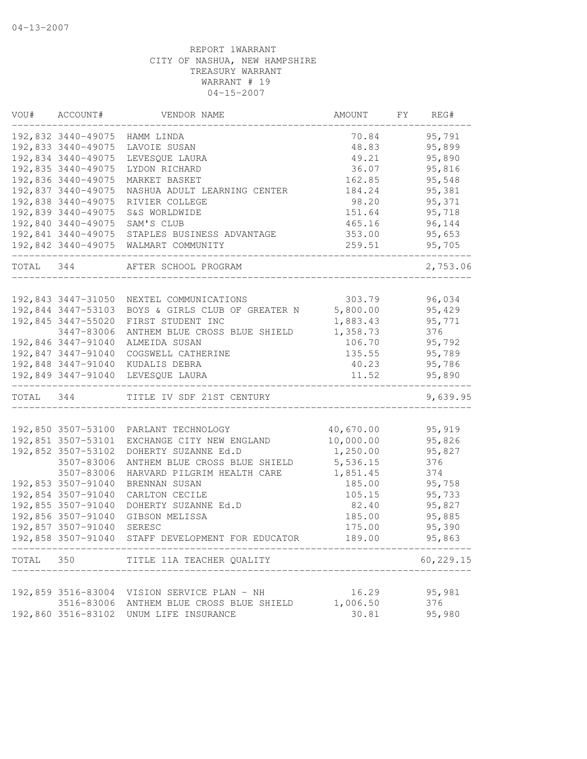| VOU#      | ACCOUNT#           | VENDOR NAME                                 | AMOUNT         | FY | REG#      |
|-----------|--------------------|---------------------------------------------|----------------|----|-----------|
|           |                    | 192,832 3440-49075 HAMM LINDA               | 70.84          |    | 95,791    |
|           | 192,833 3440-49075 | LAVOIE SUSAN                                | 48.83          |    | 95,899    |
|           | 192,834 3440-49075 | LEVESQUE LAURA                              | 49.21          |    | 95,890    |
|           | 192,835 3440-49075 | LYDON RICHARD                               | 36.07          |    | 95,816    |
|           | 192,836 3440-49075 | MARKET BASKET                               | 162.85         |    | 95,548    |
|           | 192,837 3440-49075 | NASHUA ADULT LEARNING CENTER                | 184.24         |    | 95,381    |
|           | 192,838 3440-49075 | RIVIER COLLEGE                              | 98.20          |    | 95,371    |
|           | 192,839 3440-49075 | S&S WORLDWIDE                               | 151.64         |    | 95,718    |
|           | 192,840 3440-49075 | SAM'S CLUB                                  | 465.16         |    | 96,144    |
|           | 192,841 3440-49075 | STAPLES BUSINESS ADVANTAGE                  | 353.00         |    | 95,653    |
|           | 192,842 3440-49075 | WALMART COMMUNITY                           | 259.51         |    | 95,705    |
|           | TOTAL 344          | AFTER SCHOOL PROGRAM                        |                |    | 2,753.06  |
|           | 192,843 3447-31050 | NEXTEL COMMUNICATIONS                       | 303.79         |    | 96,034    |
|           | 192,844 3447-53103 | BOYS & GIRLS CLUB OF GREATER N              | 5,800.00       |    | 95,429    |
|           | 192,845 3447-55020 | FIRST STUDENT INC                           | 1,883.43       |    | 95,771    |
|           | 3447-83006         | ANTHEM BLUE CROSS BLUE SHIELD               | 1,358.73       |    | 376       |
|           | 192,846 3447-91040 | ALMEIDA SUSAN                               | 106.70         |    | 95,792    |
|           | 192,847 3447-91040 | COGSWELL CATHERINE                          | 135.55         |    | 95,789    |
|           |                    | 192,848 3447-91040 KUDALIS DEBRA            | 40.23          |    | 95,786    |
|           |                    | 192,849 3447-91040 LEVESQUE LAURA           | 11.52          |    | 95,890    |
| TOTAL 344 |                    | TITLE IV SDF 21ST CENTURY                   |                |    | 9,639.95  |
|           |                    |                                             |                |    |           |
|           | 192,850 3507-53100 | PARLANT TECHNOLOGY                          | 40,670.00      |    | 95,919    |
|           | 192,851 3507-53101 | EXCHANGE CITY NEW ENGLAND                   | 10,000.00      |    | 95,826    |
|           | 192,852 3507-53102 | DOHERTY SUZANNE Ed.D                        | 1,250.00       |    | 95,827    |
|           | 3507-83006         | ANTHEM BLUE CROSS BLUE SHIELD               | 5,536.15       |    | 376       |
|           | 3507-83006         | HARVARD PILGRIM HEALTH CARE                 | 1,851.45       |    | 374       |
|           | 192,853 3507-91040 | BRENNAN SUSAN                               | 185.00         |    | 95,758    |
|           | 192,854 3507-91040 | CARLTON CECILE                              | 105.15         |    | 95,733    |
|           | 192,855 3507-91040 | DOHERTY SUZANNE Ed.D                        | 82.40          |    | 95,827    |
|           | 192,856 3507-91040 | GIBSON MELISSA                              | 185.00         |    | 95,885    |
|           | 192,857 3507-91040 | SERESC                                      | 175.00         |    | 95,390    |
|           | 192,858 3507-91040 | STAFF DEVELOPMENT FOR EDUCATOR              | 189.00         |    | 95,863    |
| TOTAL 350 |                    | TITLE 11A TEACHER QUALITY                   | ______________ |    | 60,229.15 |
|           |                    |                                             |                |    |           |
|           |                    | 192,859 3516-83004 VISION SERVICE PLAN - NH | 16.29          |    | 95,981    |
|           | 3516-83006         | ANTHEM BLUE CROSS BLUE SHIELD               | 1,006.50       |    | 376       |
|           | 192,860 3516-83102 | UNUM LIFE INSURANCE                         | 30.81          |    | 95,980    |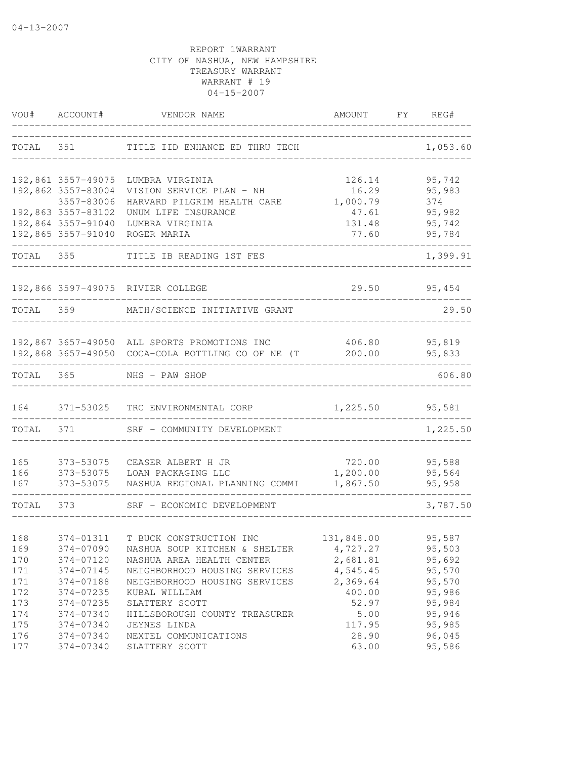| VOU#       | ACCOUNT#               | VENDOR NAME                                          | AMOUNT             | FY | REG#             |
|------------|------------------------|------------------------------------------------------|--------------------|----|------------------|
| TOTAL      | 351                    | TITLE IID ENHANCE ED THRU TECH                       |                    |    | 1,053.60         |
|            | 192,861 3557-49075     | LUMBRA VIRGINIA                                      | 126.14             |    | 95,742           |
|            | 192,862 3557-83004     | VISION SERVICE PLAN - NH                             | 16.29              |    | 95,983           |
|            | 3557-83006             | HARVARD PILGRIM HEALTH CARE                          | 1,000.79           |    | 374              |
|            | 192,863 3557-83102     | UNUM LIFE INSURANCE                                  | 47.61              |    | 95,982           |
|            | 192,864 3557-91040     | LUMBRA VIRGINIA                                      | 131.48             |    | 95,742           |
|            | 192,865 3557-91040     | ROGER MARIA                                          | 77.60              |    | 95,784           |
| TOTAL      | 355                    | TITLE IB READING 1ST FES                             |                    |    | 1,399.91         |
|            |                        | 192,866 3597-49075 RIVIER COLLEGE                    | 29.50              |    | 95,454           |
|            |                        | TOTAL 359 MATH/SCIENCE INITIATIVE GRANT              |                    |    | 29.50            |
|            |                        |                                                      |                    |    |                  |
|            |                        | 192,867 3657-49050 ALL SPORTS PROMOTIONS INC         |                    |    | 406.80 95,819    |
|            |                        | 192,868 3657-49050 COCA-COLA BOTTLING CO OF NE (T    | 200.00             |    | 95,833           |
| TOTAL      | 365                    | NHS - PAW SHOP                                       |                    |    | 606.80           |
| 164        |                        | 371-53025 TRC ENVIRONMENTAL CORP                     | 1,225.50           |    | 95,581           |
| TOTAL      | 371                    | SRF - COMMUNITY DEVELOPMENT                          |                    |    | 1,225.50         |
|            |                        |                                                      |                    |    |                  |
| 165        | 373-53075              | CEASER ALBERT H JR                                   | 720.00<br>1,200.00 |    | 95,588           |
| 166<br>167 | 373-53075<br>373-53075 | LOAN PACKAGING LLC<br>NASHUA REGIONAL PLANNING COMMI | 1,867.50           |    | 95,564<br>95,958 |
| TOTAL      | 373                    | SRF - ECONOMIC DEVELOPMENT                           |                    |    | 3,787.50         |
|            |                        |                                                      |                    |    |                  |
| 168        | 374-01311              | T BUCK CONSTRUCTION INC                              | 131,848.00         |    | 95,587           |
| 169        | 374-07090              | NASHUA SOUP KITCHEN & SHELTER                        | 4,727.27           |    | 95,503           |
| 170        | 374-07120              | NASHUA AREA HEALTH CENTER                            | 2,681.81           |    | 95,692           |
| 171        | 374-07145              | NEIGHBORHOOD HOUSING SERVICES                        | 4,545.45           |    | 95,570           |
| 171        | 374-07188              | NEIGHBORHOOD HOUSING SERVICES                        | 2,369.64           |    | 95,570           |
| 172        | 374-07235              | KUBAL WILLIAM                                        | 400.00             |    | 95,986           |
| 173        | 374-07235              | SLATTERY SCOTT                                       | 52.97              |    | 95,984           |
| 174        | 374-07340              | HILLSBOROUGH COUNTY TREASURER                        | 5.00               |    | 95,946           |
| 175        | 374-07340              | JEYNES LINDA                                         | 117.95             |    | 95,985           |
| 176<br>177 | 374-07340<br>374-07340 | NEXTEL COMMUNICATIONS<br>SLATTERY SCOTT              | 28.90<br>63.00     |    | 96,045<br>95,586 |
|            |                        |                                                      |                    |    |                  |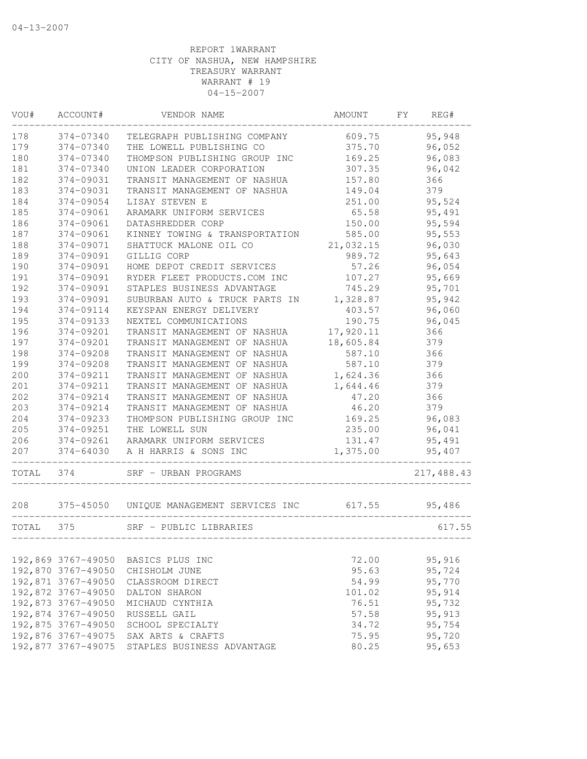| VOU#  | ACCOUNT#           | VENDOR NAME                              | AMOUNT    | FY | REG#       |
|-------|--------------------|------------------------------------------|-----------|----|------------|
| 178   | 374-07340          | TELEGRAPH PUBLISHING COMPANY             | 609.75    |    | 95,948     |
| 179   | 374-07340          | THE LOWELL PUBLISHING CO                 | 375.70    |    | 96,052     |
| 180   | 374-07340          | THOMPSON PUBLISHING GROUP INC            | 169.25    |    | 96,083     |
| 181   | 374-07340          | UNION LEADER CORPORATION                 | 307.35    |    | 96,042     |
| 182   | 374-09031          | TRANSIT MANAGEMENT OF NASHUA             | 157.80    |    | 366        |
| 183   | 374-09031          | TRANSIT MANAGEMENT OF NASHUA             | 149.04    |    | 379        |
| 184   | 374-09054          | LISAY STEVEN E                           | 251.00    |    | 95,524     |
| 185   | 374-09061          | ARAMARK UNIFORM SERVICES                 | 65.58     |    | 95,491     |
| 186   | 374-09061          | DATASHREDDER CORP                        | 150.00    |    | 95,594     |
| 187   | 374-09061          | KINNEY TOWING & TRANSPORTATION           | 585.00    |    | 95,553     |
| 188   | 374-09071          | SHATTUCK MALONE OIL CO                   | 21,032.15 |    | 96,030     |
| 189   | 374-09091          | GILLIG CORP                              | 989.72    |    | 95,643     |
| 190   | 374-09091          | HOME DEPOT CREDIT SERVICES               | 57.26     |    | 96,054     |
| 191   | 374-09091          | RYDER FLEET PRODUCTS.COM INC             | 107.27    |    | 95,669     |
| 192   | 374-09091          | STAPLES BUSINESS ADVANTAGE               | 745.29    |    | 95,701     |
| 193   | 374-09091          | SUBURBAN AUTO & TRUCK PARTS IN           | 1,328.87  |    | 95,942     |
| 194   | 374-09114          | KEYSPAN ENERGY DELIVERY                  | 403.57    |    | 96,060     |
| 195   | 374-09133          | NEXTEL COMMUNICATIONS                    | 190.75    |    | 96,045     |
| 196   | 374-09201          | TRANSIT MANAGEMENT OF NASHUA             | 17,920.11 |    | 366        |
| 197   | 374-09201          | TRANSIT MANAGEMENT OF NASHUA             | 18,605.84 |    | 379        |
| 198   | 374-09208          | TRANSIT MANAGEMENT OF NASHUA             | 587.10    |    | 366        |
| 199   | 374-09208          | TRANSIT MANAGEMENT OF NASHUA             | 587.10    |    | 379        |
| 200   | 374-09211          | TRANSIT MANAGEMENT OF NASHUA             | 1,624.36  |    | 366        |
| 201   | 374-09211          | TRANSIT MANAGEMENT OF NASHUA             | 1,644.46  |    | 379        |
| 202   | 374-09214          | TRANSIT MANAGEMENT OF NASHUA             | 47.20     |    | 366        |
| 203   | 374-09214          | TRANSIT MANAGEMENT OF NASHUA             | 46.20     |    | 379        |
| 204   | 374-09233          | THOMPSON PUBLISHING GROUP INC            | 169.25    |    | 96,083     |
| 205   | 374-09251          | THE LOWELL SUN                           | 235.00    |    | 96,041     |
| 206   | 374-09261          | ARAMARK UNIFORM SERVICES                 | 131.47    |    | 95,491     |
| 207   | 374-64030          | A H HARRIS & SONS INC                    | 1,375.00  |    | 95,407     |
|       |                    |                                          |           |    |            |
| TOTAL | 374                | SRF - URBAN PROGRAMS                     |           |    | 217,488.43 |
| 208   |                    | 375-45050 UNIQUE MANAGEMENT SERVICES INC | 617.55    |    | 95,486     |
| TOTAL | 375                | SRF - PUBLIC LIBRARIES                   |           |    | 617.55     |
|       |                    |                                          |           |    |            |
|       | 192,869 3767-49050 | BASICS PLUS INC                          | 72.00     |    | 95,916     |
|       | 192,870 3767-49050 | CHISHOLM JUNE                            | 95.63     |    | 95,724     |
|       | 192,871 3767-49050 | CLASSROOM DIRECT                         | 54.99     |    | 95,770     |
|       | 192,872 3767-49050 | DALTON SHARON                            | 101.02    |    | 95,914     |
|       | 192,873 3767-49050 | MICHAUD CYNTHIA                          | 76.51     |    | 95,732     |
|       | 192,874 3767-49050 | RUSSELL GAIL                             | 57.58     |    | 95, 913    |
|       | 192,875 3767-49050 | SCHOOL SPECIALTY                         | 34.72     |    | 95,754     |
|       | 192,876 3767-49075 | SAX ARTS & CRAFTS                        | 75.95     |    | 95,720     |
|       | 192,877 3767-49075 | STAPLES BUSINESS ADVANTAGE               | 80.25     |    | 95,653     |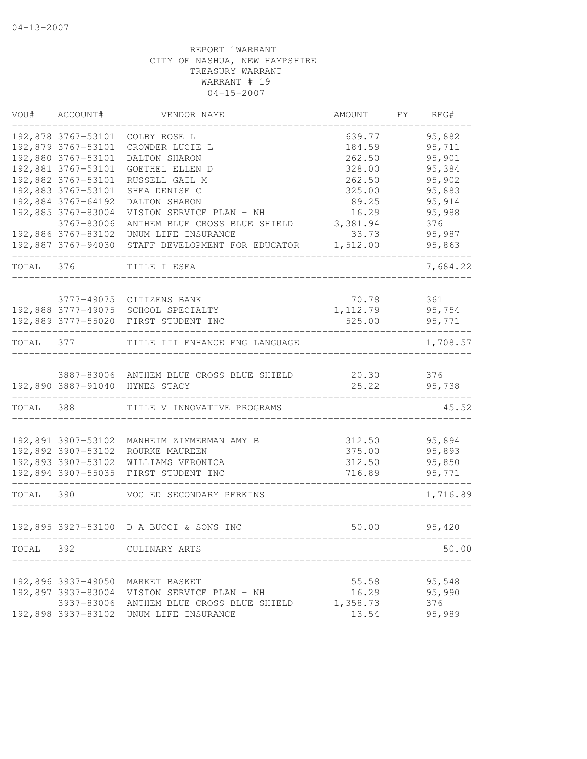| VOU#      | ACCOUNT#           | VENDOR NAME                                       | AMOUNT    | FY | REG#     |
|-----------|--------------------|---------------------------------------------------|-----------|----|----------|
|           | 192,878 3767-53101 | COLBY ROSE L                                      | 639.77    |    | 95,882   |
|           | 192,879 3767-53101 | CROWDER LUCIE L                                   | 184.59    |    | 95,711   |
|           | 192,880 3767-53101 | DALTON SHARON                                     | 262.50    |    | 95,901   |
|           | 192,881 3767-53101 | GOETHEL ELLEN D                                   | 328.00    |    | 95,384   |
|           | 192,882 3767-53101 | RUSSELL GAIL M                                    | 262.50    |    | 95,902   |
|           | 192,883 3767-53101 | SHEA DENISE C                                     | 325.00    |    | 95,883   |
|           | 192,884 3767-64192 | DALTON SHARON                                     | 89.25     |    | 95,914   |
|           | 192,885 3767-83004 | VISION SERVICE PLAN - NH                          | 16.29     |    | 95,988   |
|           | 3767-83006         | ANTHEM BLUE CROSS BLUE SHIELD                     | 3,381.94  |    | 376      |
|           |                    | 192,886 3767-83102 UNUM LIFE INSURANCE            | 33.73     |    | 95,987   |
|           |                    | 192,887 3767-94030 STAFF DEVELOPMENT FOR EDUCATOR | 1,512.00  |    | 95,863   |
| TOTAL     | 376                | TITLE I ESEA                                      |           |    | 7,684.22 |
|           |                    |                                                   |           |    |          |
|           |                    | 3777-49075 CITIZENS BANK                          | 70.78     |    | 361      |
|           |                    | 192,888 3777-49075 SCHOOL SPECIALTY               | 1, 112.79 |    | 95,754   |
|           |                    | 192,889 3777-55020 FIRST STUDENT INC              | 525.00    |    | 95,771   |
| TOTAL     | 377                | TITLE III ENHANCE ENG LANGUAGE                    |           |    | 1,708.57 |
|           |                    |                                                   |           |    |          |
|           |                    | 3887-83006 ANTHEM BLUE CROSS BLUE SHIELD          | 20.30     |    | 376      |
|           |                    | 192,890 3887-91040 HYNES STACY                    | 25.22     |    | 95,738   |
| TOTAL     | 388                | TITLE V INNOVATIVE PROGRAMS                       |           |    | 45.52    |
|           |                    |                                                   |           |    |          |
|           | 192,891 3907-53102 | MANHEIM ZIMMERMAN AMY B                           | 312.50    |    | 95,894   |
|           | 192,892 3907-53102 | ROURKE MAUREEN                                    | 375.00    |    | 95,893   |
|           | 192,893 3907-53102 | WILLIAMS VERONICA                                 | 312.50    |    | 95,850   |
|           | 192,894 3907-55035 | FIRST STUDENT INC                                 | 716.89    |    | 95,771   |
| TOTAL 390 |                    | VOC ED SECONDARY PERKINS                          |           |    | 1,716.89 |
|           |                    | 192,895 3927-53100 D A BUCCI & SONS INC           | 50.00     |    | 95,420   |
| TOTAL     | 392                | CULINARY ARTS                                     |           |    | 50.00    |
|           |                    |                                                   |           |    |          |
|           | 192,896 3937-49050 | MARKET BASKET                                     | 55.58     |    | 95,548   |
|           | 192,897 3937-83004 | VISION SERVICE PLAN - NH                          | 16.29     |    | 95,990   |
|           | 3937-83006         | ANTHEM BLUE CROSS BLUE SHIELD                     | 1,358.73  |    | 376      |
|           | 192,898 3937-83102 | UNUM LIFE INSURANCE                               | 13.54     |    | 95,989   |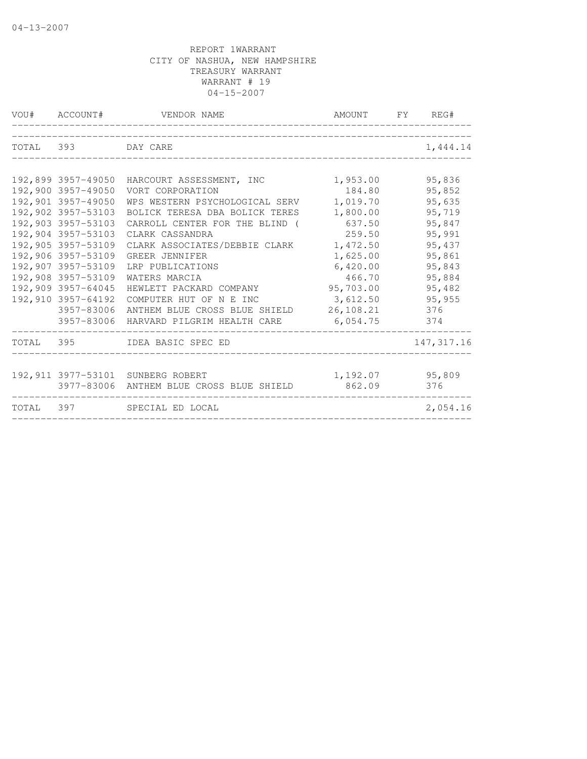| VOU# ACCOUNT#      | VENDOR NAME                                                     | AMOUNT FY REG#     |                  |
|--------------------|-----------------------------------------------------------------|--------------------|------------------|
| TOTAL 393 DAY CARE |                                                                 |                    | 1,444.14         |
|                    |                                                                 |                    |                  |
| 192,900 3957-49050 | 192,899 3957-49050 HARCOURT ASSESSMENT, INC<br>VORT CORPORATION | 1,953.00<br>184.80 | 95,836<br>95,852 |
| 192,901 3957-49050 | WPS WESTERN PSYCHOLOGICAL SERV                                  | 1,019.70           | 95,635           |
| 192,902 3957-53103 | BOLICK TERESA DBA BOLICK TERES                                  | 1,800.00           | 95,719           |
| 192,903 3957-53103 | CARROLL CENTER FOR THE BLIND (                                  | 637.50             | 95,847           |
| 192,904 3957-53103 | CLARK CASSANDRA                                                 | 259.50             | 95,991           |
| 192,905 3957-53109 | CLARK ASSOCIATES/DEBBIE CLARK                                   | 1,472.50           | 95,437           |
| 192,906 3957-53109 | GREER JENNIFER                                                  | 1,625.00           | 95,861           |
| 192,907 3957-53109 | LRP PUBLICATIONS                                                | 6,420.00           | 95,843           |
| 192,908 3957-53109 | WATERS MARCIA                                                   | 466.70             | 95,884           |
| 192,909 3957-64045 | HEWLETT PACKARD COMPANY                                         | 95,703.00          | 95,482           |
| 192,910 3957-64192 | COMPUTER HUT OF N E INC                                         | 3,612.50           | 95,955           |
|                    | 3957-83006 ANTHEM BLUE CROSS BLUE SHIELD                        | 26,108.21          | 376              |
|                    | 3957-83006 HARVARD PILGRIM HEALTH CARE                          | 6,054.75           | 374              |
|                    | TOTAL 395 IDEA BASIC SPEC ED                                    |                    | 147, 317.16      |
|                    | 192,911 3977-53101 SUNBERG ROBERT                               | 1, 192.07 95, 809  |                  |
|                    | 3977-83006 ANTHEM BLUE CROSS BLUE SHIELD                        | 862.09             | 376              |
|                    | TOTAL 397 SPECIAL ED LOCAL                                      |                    | 2,054.16         |
|                    |                                                                 |                    |                  |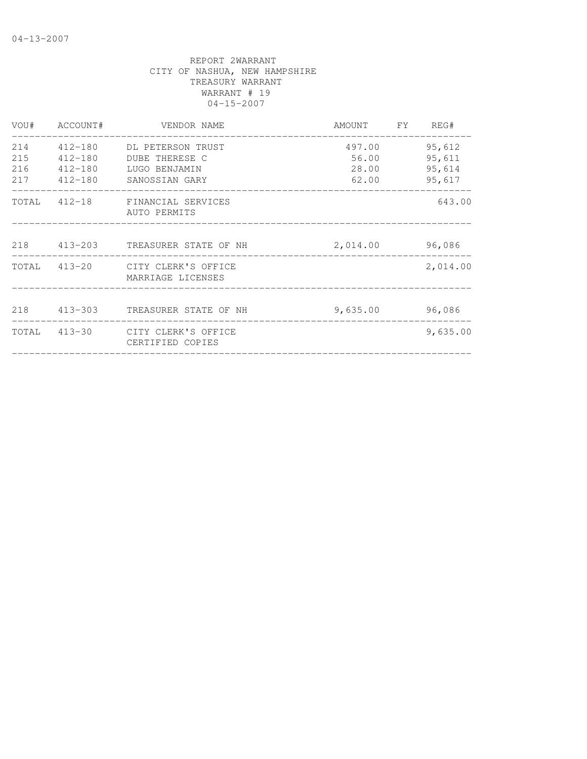|     |             | VOU# ACCOUNT# VENDOR NAME                             | AMOUNT FY REG#  |          |
|-----|-------------|-------------------------------------------------------|-----------------|----------|
|     |             | 214 412-180 DL PETERSON TRUST                         | 497.00          | 95,612   |
| 215 | $412 - 180$ | DUBE THERESE C                                        | 56.00           | 95,611   |
| 216 | 412-180     | LUGO BENJAMIN                                         | 28.00           | 95,614   |
|     | 217 412-180 | SANOSSIAN GARY                                        | 62.00           | 95,617   |
|     |             | TOTAL 412-18 FINANCIAL SERVICES<br>AUTO PERMITS       |                 | 643.00   |
|     |             | 218 413-203 TREASURER STATE OF NH                     | 2,014.00 96,086 |          |
|     |             | TOTAL 413-20 CITY CLERK'S OFFICE<br>MARRIAGE LICENSES |                 | 2,014.00 |
|     |             | 218 413-303 TREASURER STATE OF NH                     | 9,635.00        | 96,086   |
|     |             | TOTAL 413-30 CITY CLERK'S OFFICE<br>CERTIFIED COPIES  |                 | 9,635.00 |
|     |             |                                                       |                 |          |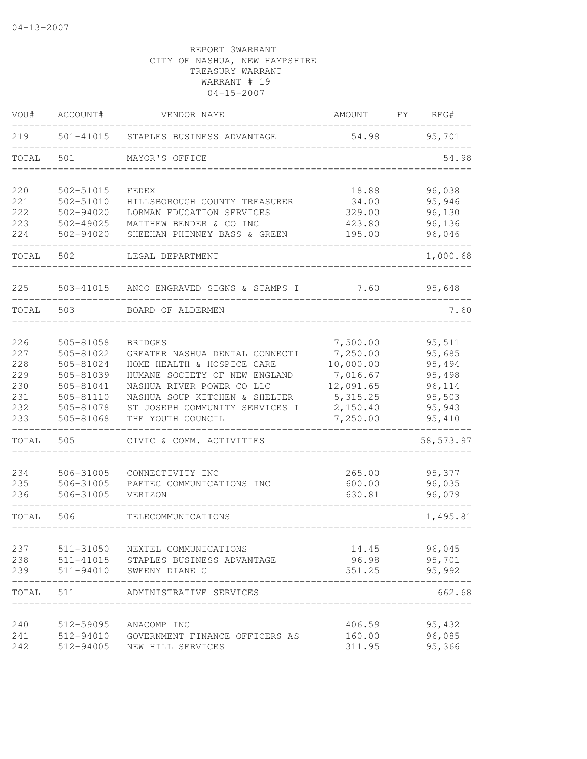| VOU#       | ACCOUNT#               | VENDOR NAME                                                 | AMOUNT               | FΥ | REG#             |
|------------|------------------------|-------------------------------------------------------------|----------------------|----|------------------|
| 219        | 501-41015              | STAPLES BUSINESS ADVANTAGE                                  | 54.98                |    | 95,701           |
| TOTAL      | 501                    | MAYOR'S OFFICE                                              |                      |    | 54.98            |
| 220        | 502-51015              | FEDEX                                                       | 18.88                |    | 96,038           |
| 221        | 502-51010              | HILLSBOROUGH COUNTY TREASURER                               | 34.00                |    | 95,946           |
| 222        | 502-94020              | LORMAN EDUCATION SERVICES                                   | 329.00               |    | 96,130           |
| 223        | 502-49025              | MATTHEW BENDER & CO INC                                     | 423.80               |    | 96,136           |
| 224        | $502 - 94020$          | SHEEHAN PHINNEY BASS & GREEN                                | 195.00               |    | 96,046           |
| TOTAL      | 502                    | LEGAL DEPARTMENT                                            |                      |    | 1,000.68         |
| 225        | 503-41015              | ANCO ENGRAVED SIGNS & STAMPS I                              | 7.60                 |    | 95,648           |
| TOTAL      | 503                    | BOARD OF ALDERMEN                                           |                      |    | 7.60             |
|            |                        |                                                             |                      |    |                  |
| 226        | 505-81058<br>505-81022 | <b>BRIDGES</b>                                              | 7,500.00             |    | 95,511           |
| 227        |                        | GREATER NASHUA DENTAL CONNECTI                              | 7,250.00             |    | 95,685           |
| 228<br>229 | 505-81024              | HOME HEALTH & HOSPICE CARE<br>HUMANE SOCIETY OF NEW ENGLAND | 10,000.00            |    | 95,494           |
|            | 505-81039              | NASHUA RIVER POWER CO LLC                                   | 7,016.67             |    | 95,498           |
| 230        | 505-81041              |                                                             | 12,091.65            |    | 96,114           |
| 231<br>232 | 505-81110<br>505-81078 | NASHUA SOUP KITCHEN & SHELTER                               | 5, 315.25            |    | 95,503           |
| 233        | 505-81068              | ST JOSEPH COMMUNITY SERVICES I<br>THE YOUTH COUNCIL         | 2,150.40<br>7,250.00 |    | 95,943<br>95,410 |
| TOTAL      | 505                    | CIVIC & COMM. ACTIVITIES                                    |                      |    | 58, 573.97       |
| 234        | 506-31005              | CONNECTIVITY INC                                            | 265.00               |    | 95,377           |
| 235        | 506-31005              | PAETEC COMMUNICATIONS INC                                   | 600.00               |    | 96,035           |
| 236        | 506-31005              | VERIZON                                                     | 630.81               |    | 96,079           |
| TOTAL      | 506                    | TELECOMMUNICATIONS                                          |                      |    | 1,495.81         |
| 237        | 511-31050              | NEXTEL COMMUNICATIONS                                       | 14.45                |    | 96,045           |
| 238        | 511-41015              | STAPLES BUSINESS ADVANTAGE                                  | 96.98                |    | 95,701           |
| 239        | 511-94010              | SWEENY DIANE C                                              | 551.25               |    | 95,992           |
| TOTAL      | 511                    | ADMINISTRATIVE SERVICES                                     |                      |    | 662.68           |
| 240        | 512-59095              | ANACOMP INC                                                 | 406.59               |    | 95,432           |
| 241        | 512-94010              | GOVERNMENT FINANCE OFFICERS AS                              | 160.00               |    | 96,085           |
| 242        | 512-94005              | NEW HILL SERVICES                                           | 311.95               |    | 95,366           |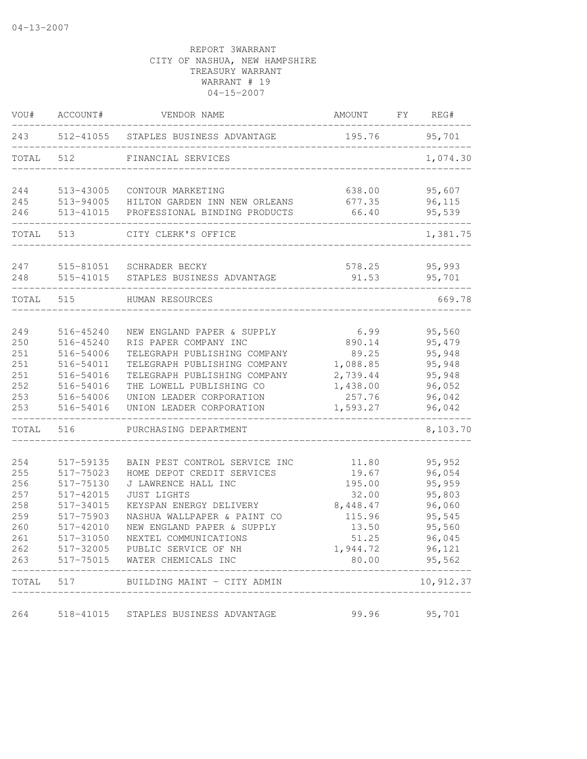| VOU#       | ACCOUNT#               | VENDOR NAME                                                    | AMOUNT             | FY | REG#             |
|------------|------------------------|----------------------------------------------------------------|--------------------|----|------------------|
| 243        |                        | 512-41055 STAPLES BUSINESS ADVANTAGE                           | 195.76             |    | 95,701           |
| TOTAL      | 512                    | FINANCIAL SERVICES                                             |                    |    | 1,074.30         |
| 244        | 513-43005              | CONTOUR MARKETING                                              | 638.00             |    | 95,607           |
| 245<br>246 | 513-94005<br>513-41015 | HILTON GARDEN INN NEW ORLEANS<br>PROFESSIONAL BINDING PRODUCTS | 677.35<br>66.40    |    | 96,115<br>95,539 |
| TOTAL      | 513                    | CITY CLERK'S OFFICE                                            |                    |    | 1,381.75         |
| 247        | 515-81051              | SCHRADER BECKY                                                 | 578.25             |    | 95,993           |
| 248        | 515-41015              | STAPLES BUSINESS ADVANTAGE                                     | 91.53              |    | 95,701           |
| TOTAL      | 515                    | HUMAN RESOURCES                                                |                    |    | 669.78           |
| 249        | 516-45240              | NEW ENGLAND PAPER & SUPPLY                                     | 6.99               |    | 95,560           |
| 250        | 516-45240              | RIS PAPER COMPANY INC                                          | 890.14             |    | 95,479           |
| 251        | 516-54006              | TELEGRAPH PUBLISHING COMPANY                                   | 89.25              |    | 95,948           |
| 251        | 516-54011              | TELEGRAPH PUBLISHING COMPANY                                   | 1,088.85           |    | 95,948           |
| 251        | 516-54016              | TELEGRAPH PUBLISHING COMPANY                                   | 2,739.44           |    | 95,948           |
| 252        | 516-54016              | THE LOWELL PUBLISHING CO                                       | 1,438.00           |    | 96,052           |
| 253<br>253 | 516-54006<br>516-54016 | UNION LEADER CORPORATION<br>UNION LEADER CORPORATION           | 257.76<br>1,593.27 |    | 96,042<br>96,042 |
| TOTAL      | 516                    | PURCHASING DEPARTMENT                                          |                    |    | 8,103.70         |
| 254        | 517-59135              | BAIN PEST CONTROL SERVICE INC                                  | 11.80              |    | 95,952           |
| 255        | 517-75023              | HOME DEPOT CREDIT SERVICES                                     | 19.67              |    | 96,054           |
| 256        | 517-75130              | J LAWRENCE HALL INC                                            | 195.00             |    | 95,959           |
| 257        | 517-42015              | <b>JUST LIGHTS</b>                                             | 32.00              |    | 95,803           |
| 258        | 517-34015              | KEYSPAN ENERGY DELIVERY                                        | 8,448.47           |    | 96,060           |
| 259        | 517-75903              | NASHUA WALLPAPER & PAINT CO                                    | 115.96             |    | 95,545           |
| 260        | 517-42010              | NEW ENGLAND PAPER & SUPPLY                                     | 13.50              |    | 95,560           |
| 261        | 517-31050              | NEXTEL COMMUNICATIONS                                          | 51.25              |    | 96,045           |
| 262<br>263 | 517-32005<br>517-75015 | PUBLIC SERVICE OF NH<br>WATER CHEMICALS INC                    | 1,944.72<br>80.00  |    | 96,121<br>95,562 |
| TOTAL      | 517                    | BUILDING MAINT - CITY ADMIN                                    |                    |    | 10,912.37        |
| 264        | 518-41015              | STAPLES BUSINESS ADVANTAGE                                     | 99.96              |    | 95,701           |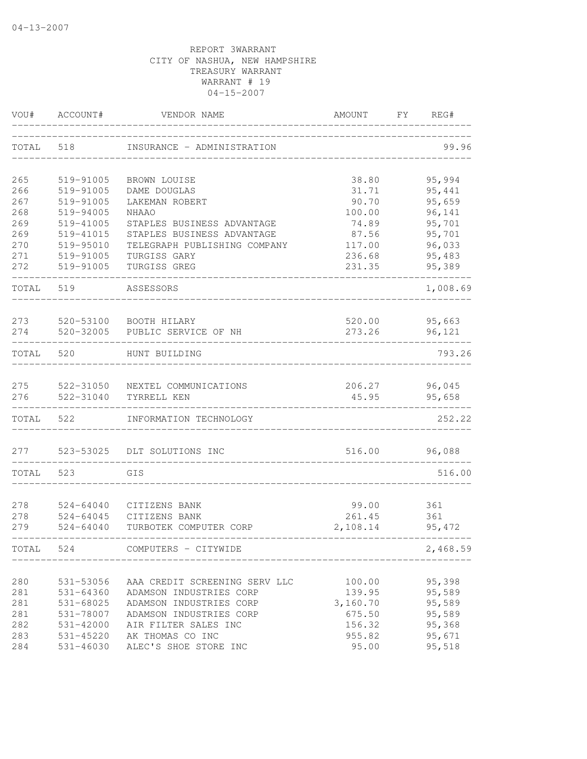| VOU#       | ACCOUNT#                       | VENDOR NAME                    | AMOUNT           | FY<br>REG#       |
|------------|--------------------------------|--------------------------------|------------------|------------------|
| TOTAL      | 518                            | INSURANCE - ADMINISTRATION     |                  | 99.96            |
| 265        | 519-91005                      | BROWN LOUISE                   | 38.80            | 95,994           |
| 266        | 519-91005                      | DAME DOUGLAS                   | 31.71            | 95,441           |
| 267        | 519-91005                      | LAKEMAN ROBERT                 | 90.70            | 95,659           |
| 268        | 519-94005                      | NHAAO                          | 100.00           | 96,141           |
| 269        | 519-41005                      | STAPLES BUSINESS ADVANTAGE     | 74.89            | 95,701           |
| 269        | 519-41015                      | STAPLES BUSINESS ADVANTAGE     | 87.56            | 95,701           |
| 270        | 519-95010                      | TELEGRAPH PUBLISHING COMPANY   | 117.00           | 96,033           |
| 271<br>272 | 519-91005<br>519-91005         | TURGISS GARY<br>TURGISS GREG   | 236.68<br>231.35 | 95,483<br>95,389 |
|            |                                |                                |                  |                  |
| TOTAL      | 519                            | ASSESSORS                      |                  | 1,008.69         |
| 273        | 520-53100                      | BOOTH HILARY                   | 520.00           | 95,663           |
| 274        | 520-32005                      | PUBLIC SERVICE OF NH           | 273.26           | 96,121           |
| TOTAL      | 520                            | HUNT BUILDING                  |                  | 793.26           |
| 275        | 522-31050                      | NEXTEL COMMUNICATIONS          | 206.27           | 96,045           |
| 276        | 522-31040                      | TYRRELL KEN                    | 45.95            | 95,658           |
| TOTAL      | 522                            | INFORMATION TECHNOLOGY         |                  | 252.22           |
| 277        | 523-53025                      | DLT SOLUTIONS INC              | 516.00           | 96,088           |
| TOTAL      | 523                            | GIS                            |                  | 516.00           |
|            |                                |                                |                  |                  |
| 278<br>278 | $524 - 64040$<br>$524 - 64045$ | CITIZENS BANK<br>CITIZENS BANK | 99.00<br>261.45  | 361<br>361       |
| 279        | $524 - 64040$                  | TURBOTEK COMPUTER CORP         | 2,108.14         | 95,472           |
| TOTAL      | 524                            | COMPUTERS - CITYWIDE           |                  | 2,468.59         |
| 280        | 531-53056                      | AAA CREDIT SCREENING SERV LLC  | 100.00           | 95,398           |
| 281        | $531 - 64360$                  | ADAMSON INDUSTRIES CORP        | 139.95           | 95,589           |
| 281        | 531-68025                      | ADAMSON INDUSTRIES CORP        | 3,160.70         | 95,589           |
| 281        | 531-78007                      | ADAMSON INDUSTRIES CORP        | 675.50           | 95,589           |
| 282        | 531-42000                      | AIR FILTER SALES INC           | 156.32           | 95,368           |
| 283        | 531-45220                      | AK THOMAS CO INC               | 955.82           | 95,671           |
| 284        | $531 - 46030$                  | ALEC'S SHOE STORE INC          | 95.00            | 95,518           |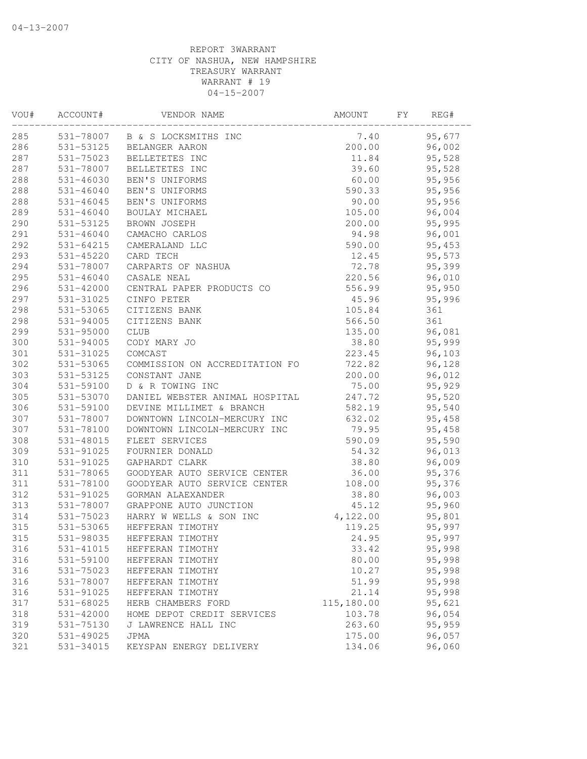| VOU# | ACCOUNT#      | VENDOR NAME                    | AMOUNT     | FΥ | REG#   |
|------|---------------|--------------------------------|------------|----|--------|
| 285  |               | 531-78007 B & S LOCKSMITHS INC | 7.40       |    | 95,677 |
| 286  | 531-53125     | BELANGER AARON                 | 200.00     |    | 96,002 |
| 287  | 531-75023     | BELLETETES INC                 | 11.84      |    | 95,528 |
| 287  | 531-78007     | BELLETETES INC                 | 39.60      |    | 95,528 |
| 288  | 531-46030     | BEN'S UNIFORMS                 | 60.00      |    | 95,956 |
| 288  | $531 - 46040$ | BEN'S UNIFORMS                 | 590.33     |    | 95,956 |
| 288  | 531-46045     | BEN'S UNIFORMS                 | 90.00      |    | 95,956 |
| 289  | $531 - 46040$ | BOULAY MICHAEL                 | 105.00     |    | 96,004 |
| 290  | 531-53125     | BROWN JOSEPH                   | 200.00     |    | 95,995 |
| 291  | $531 - 46040$ | CAMACHO CARLOS                 | 94.98      |    | 96,001 |
| 292  | 531-64215     | CAMERALAND LLC                 | 590.00     |    | 95,453 |
| 293  | 531-45220     | CARD TECH                      | 12.45      |    | 95,573 |
| 294  | 531-78007     | CARPARTS OF NASHUA             | 72.78      |    | 95,399 |
| 295  | 531-46040     | CASALE NEAL                    | 220.56     |    | 96,010 |
| 296  | 531-42000     | CENTRAL PAPER PRODUCTS CO      | 556.99     |    | 95,950 |
| 297  | 531-31025     | CINFO PETER                    | 45.96      |    | 95,996 |
| 298  | 531-53065     | CITIZENS BANK                  | 105.84     |    | 361    |
| 298  | 531-94005     | CITIZENS BANK                  | 566.50     |    | 361    |
| 299  | 531-95000     | <b>CLUB</b>                    | 135.00     |    | 96,081 |
| 300  | 531-94005     | CODY MARY JO                   | 38.80      |    | 95,999 |
| 301  | 531-31025     | COMCAST                        | 223.45     |    | 96,103 |
| 302  | 531-53065     | COMMISSION ON ACCREDITATION FO | 722.82     |    | 96,128 |
| 303  | 531-53125     | CONSTANT JANE                  | 200.00     |    | 96,012 |
| 304  | 531-59100     | D & R TOWING INC               | 75.00      |    | 95,929 |
| 305  | 531-53070     | DANIEL WEBSTER ANIMAL HOSPITAL | 247.72     |    | 95,520 |
| 306  | 531-59100     | DEVINE MILLIMET & BRANCH       | 582.19     |    | 95,540 |
| 307  | 531-78007     | DOWNTOWN LINCOLN-MERCURY INC   | 632.02     |    | 95,458 |
| 307  | 531-78100     | DOWNTOWN LINCOLN-MERCURY INC   | 79.95      |    | 95,458 |
| 308  | 531-48015     | FLEET SERVICES                 | 590.09     |    | 95,590 |
| 309  | 531-91025     | FOURNIER DONALD                | 54.32      |    | 96,013 |
| 310  | 531-91025     | GAPHARDT CLARK                 | 38.80      |    | 96,009 |
| 311  | 531-78065     | GOODYEAR AUTO SERVICE CENTER   | 36.00      |    | 95,376 |
| 311  | 531-78100     | GOODYEAR AUTO SERVICE CENTER   | 108.00     |    | 95,376 |
| 312  | 531-91025     | GORMAN ALAEXANDER              | 38.80      |    | 96,003 |
| 313  | 531-78007     | GRAPPONE AUTO JUNCTION         | 45.12      |    | 95,960 |
| 314  | 531-75023     | HARRY W WELLS & SON INC        | 4,122.00   |    | 95,801 |
| 315  | 531-53065     | HEFFERAN TIMOTHY               | 119.25     |    | 95,997 |
| 315  | 531-98035     | HEFFERAN TIMOTHY               | 24.95      |    | 95,997 |
| 316  | 531-41015     | HEFFERAN TIMOTHY               | 33.42      |    | 95,998 |
| 316  | 531-59100     | HEFFERAN TIMOTHY               | 80.00      |    | 95,998 |
| 316  | 531-75023     | HEFFERAN TIMOTHY               | 10.27      |    | 95,998 |
| 316  | 531-78007     | HEFFERAN TIMOTHY               | 51.99      |    | 95,998 |
| 316  | 531-91025     | HEFFERAN TIMOTHY               | 21.14      |    | 95,998 |
| 317  | 531-68025     | HERB CHAMBERS FORD             | 115,180.00 |    | 95,621 |
| 318  | 531-42000     | HOME DEPOT CREDIT SERVICES     | 103.78     |    | 96,054 |
| 319  | 531-75130     | J LAWRENCE HALL INC            | 263.60     |    | 95,959 |
| 320  | 531-49025     | JPMA                           | 175.00     |    | 96,057 |
| 321  | 531-34015     | KEYSPAN ENERGY DELIVERY        | 134.06     |    | 96,060 |
|      |               |                                |            |    |        |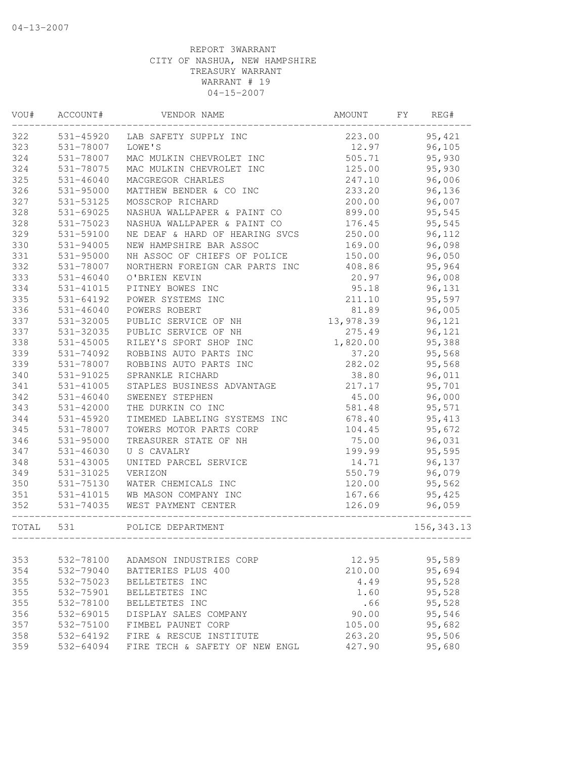| VOU#       | ACCOUNT#                   | VENDOR NAME                                 | AMOUNT         | FY<br>REG#       |
|------------|----------------------------|---------------------------------------------|----------------|------------------|
| 322        | 531-45920                  | LAB SAFETY SUPPLY INC                       | 223.00         | 95, 421          |
| 323        | 531-78007                  | LOWE'S                                      | 12.97          | 96,105           |
| 324        | 531-78007                  | MAC MULKIN CHEVROLET INC                    | 505.71         | 95,930           |
| 324        | 531-78075                  | MAC MULKIN CHEVROLET INC                    | 125.00         | 95,930           |
| 325        | $531 - 46040$              | MACGREGOR CHARLES                           | 247.10         | 96,006           |
| 326        | 531-95000                  | MATTHEW BENDER & CO INC                     | 233.20         | 96,136           |
| 327        | 531-53125                  | MOSSCROP RICHARD                            | 200.00         | 96,007           |
| 328        | $531 - 69025$              | NASHUA WALLPAPER & PAINT CO                 | 899.00         | 95,545           |
| 328        | 531-75023                  | NASHUA WALLPAPER & PAINT CO                 | 176.45         | 95,545           |
| 329        | 531-59100                  | NE DEAF & HARD OF HEARING SVCS              | 250.00         | 96,112           |
| 330        | 531-94005                  | NEW HAMPSHIRE BAR ASSOC                     | 169.00         | 96,098           |
| 331        | 531-95000                  | NH ASSOC OF CHIEFS OF POLICE                | 150.00         | 96,050           |
| 332        | 531-78007                  | NORTHERN FOREIGN CAR PARTS INC              | 408.86         | 95,964           |
| 333        | 531-46040                  | O'BRIEN KEVIN                               | 20.97          | 96,008           |
| 334        | 531-41015                  | PITNEY BOWES INC                            | 95.18          | 96,131           |
| 335        | $531 - 64192$              | POWER SYSTEMS INC                           | 211.10         | 95,597           |
| 336        | $531 - 46040$              | POWERS ROBERT                               | 81.89          | 96,005           |
| 337        | 531-32005                  | PUBLIC SERVICE OF NH                        | 13,978.39      | 96,121           |
| 337        | 531-32035                  | PUBLIC SERVICE OF NH                        | 275.49         | 96,121           |
| 338        | 531-45005                  | RILEY'S SPORT SHOP INC                      | 1,820.00       | 95,388           |
| 339        | 531-74092                  | ROBBINS AUTO PARTS INC                      | 37.20          | 95,568           |
| 339        | 531-78007                  | ROBBINS AUTO PARTS INC                      | 282.02         | 95,568           |
| 340        | 531-91025                  | SPRANKLE RICHARD                            | 38.80          | 96,011           |
| 341        | 531-41005                  | STAPLES BUSINESS ADVANTAGE                  | 217.17         | 95,701           |
| 342        | $531 - 46040$              | SWEENEY STEPHEN                             | 45.00          | 96,000           |
| 343        | 531-42000                  | THE DURKIN CO INC                           | 581.48         | 95,571           |
| 344        | 531-45920                  | TIMEMED LABELING SYSTEMS INC                | 678.40         | 95, 413          |
| 345        | 531-78007                  | TOWERS MOTOR PARTS CORP                     | 104.45         | 95,672           |
| 346        | 531-95000                  | TREASURER STATE OF NH                       | 75.00          | 96,031           |
| 347        | 531-46030                  | U S CAVALRY                                 | 199.99         | 95,595           |
| 348        | 531-43005                  | UNITED PARCEL SERVICE                       | 14.71          | 96,137           |
| 349        | 531-31025                  | VERIZON                                     | 550.79         | 96,079           |
| 350        | 531-75130                  | WATER CHEMICALS INC                         | 120.00         | 95,562           |
| 351        | 531-41015                  | WB MASON COMPANY INC                        | 167.66         | 95,425           |
| 352        | 531-74035                  | WEST PAYMENT CENTER                         | 126.09         | 96,059           |
| TOTAL      | 531                        | POLICE DEPARTMENT                           |                | 156, 343.13      |
|            |                            |                                             |                |                  |
| 353        | 532-78100                  | ADAMSON INDUSTRIES CORP                     | 12.95          | 95,589           |
| 354<br>355 | 532-79040<br>532-75023     | BATTERIES PLUS 400<br>BELLETETES INC        | 210.00<br>4.49 | 95,694<br>95,528 |
| 355        |                            |                                             |                | 95,528           |
|            | 532-75901                  | BELLETETES INC                              | 1.60           |                  |
| 355        | 532-78100<br>$532 - 69015$ | BELLETETES INC                              | .66            | 95,528           |
| 356        |                            | DISPLAY SALES COMPANY<br>FIMBEL PAUNET CORP | 90.00          | 95,546           |
| 357<br>358 | 532-75100<br>532-64192     | FIRE & RESCUE INSTITUTE                     | 105.00         | 95,682<br>95,506 |
|            |                            |                                             | 263.20         |                  |
| 359        | 532-64094                  | FIRE TECH & SAFETY OF NEW ENGL              | 427.90         | 95,680           |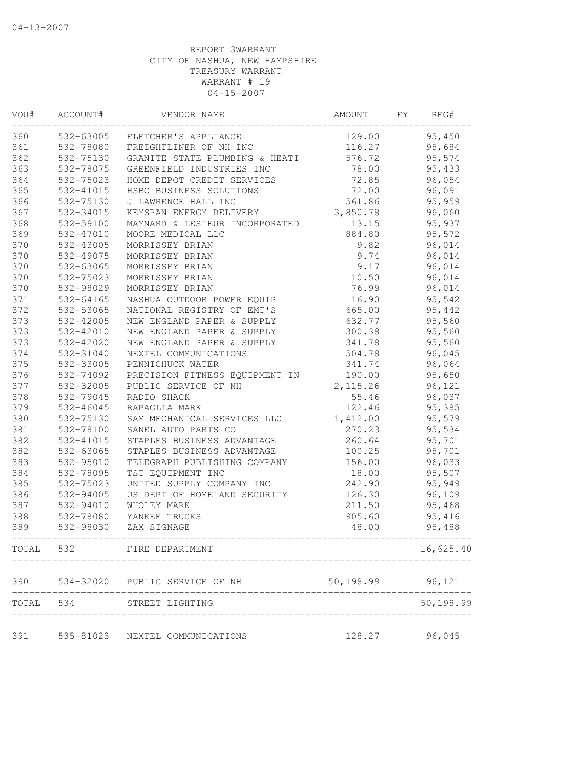| VOU#  | ACCOUNT#  | VENDOR NAME                                 | AMOUNT             | FΥ | REG#      |
|-------|-----------|---------------------------------------------|--------------------|----|-----------|
| 360   | 532-63005 | FLETCHER'S APPLIANCE                        | 129.00             |    | 95,450    |
| 361   | 532-78080 | FREIGHTLINER OF NH INC                      | 116.27             |    | 95,684    |
| 362   | 532-75130 | GRANITE STATE PLUMBING & HEATI              | 576.72             |    | 95,574    |
| 363   | 532-78075 | GREENFIELD INDUSTRIES INC                   | 78.00              |    | 95,433    |
| 364   | 532-75023 | HOME DEPOT CREDIT SERVICES                  | 72.85              |    | 96,054    |
| 365   | 532-41015 | HSBC BUSINESS SOLUTIONS                     | 72.00              |    | 96,091    |
| 366   | 532-75130 | J LAWRENCE HALL INC                         | 561.86             |    | 95,959    |
| 367   | 532-34015 | KEYSPAN ENERGY DELIVERY                     | 3,850.78           |    | 96,060    |
| 368   | 532-59100 | MAYNARD & LESIEUR INCORPORATED              | 13.15              |    | 95,937    |
| 369   | 532-47010 | MOORE MEDICAL LLC                           | 884.80             |    | 95,572    |
| 370   | 532-43005 | MORRISSEY BRIAN                             | 9.82               |    | 96,014    |
| 370   | 532-49075 | MORRISSEY BRIAN                             | 9.74               |    | 96,014    |
| 370   | 532-63065 | MORRISSEY BRIAN                             | 9.17               |    | 96,014    |
| 370   | 532-75023 | MORRISSEY BRIAN                             | 10.50              |    | 96,014    |
| 370   | 532-98029 | MORRISSEY BRIAN                             | 76.99              |    | 96,014    |
| 371   | 532-64165 | NASHUA OUTDOOR POWER EQUIP                  | 16.90              |    | 95,542    |
| 372   | 532-53065 | NATIONAL REGISTRY OF EMT'S                  | 665.00             |    | 95,442    |
| 373   | 532-42005 | NEW ENGLAND PAPER & SUPPLY                  | 632.77             |    | 95,560    |
| 373   | 532-42010 | NEW ENGLAND PAPER & SUPPLY                  | 300.38             |    | 95,560    |
| 373   | 532-42020 | NEW ENGLAND PAPER & SUPPLY                  | 341.78             |    | 95,560    |
| 374   | 532-31040 | NEXTEL COMMUNICATIONS                       | 504.78             |    | 96,045    |
| 375   | 532-33005 | PENNICHUCK WATER                            | 341.74             |    | 96,064    |
| 376   | 532-74092 | PRECISION FITNESS EQUIPMENT IN              | 190.00             |    | 95,650    |
| 377   | 532-32005 | PUBLIC SERVICE OF NH                        | 2, 115.26          |    | 96,121    |
| 378   | 532-79045 | RADIO SHACK                                 | 55.46              |    | 96,037    |
| 379   | 532-46045 | RAPAGLIA MARK                               | 122.46             |    | 95,385    |
| 380   | 532-75130 | SAM MECHANICAL SERVICES LLC                 | 1,412.00           |    | 95,579    |
| 381   | 532-78100 | SANEL AUTO PARTS CO                         | 270.23             |    | 95,534    |
| 382   | 532-41015 | STAPLES BUSINESS ADVANTAGE                  | 260.64             |    | 95,701    |
| 382   | 532-63065 | STAPLES BUSINESS ADVANTAGE                  | 100.25             |    | 95,701    |
| 383   | 532-95010 | TELEGRAPH PUBLISHING COMPANY                | 156.00             |    | 96,033    |
| 384   | 532-78095 | TST EQUIPMENT INC                           | 18.00              |    | 95,507    |
| 385   | 532-75023 | UNITED SUPPLY COMPANY INC                   | 242.90             |    | 95,949    |
| 386   | 532-94005 | US DEPT OF HOMELAND SECURITY                | 126.30             |    | 96,109    |
| 387   | 532-94010 | WHOLEY MARK                                 | 211.50             |    | 95,468    |
| 388   | 532-78080 | YANKEE TRUCKS                               | 905.60             |    | 95,416    |
| 389   | 532-98030 | ZAX SIGNAGE                                 | 48.00              |    | 95,488    |
| TOTAL | 532       | FIRE DEPARTMENT                             |                    |    | 16,625.40 |
| 390   |           | 534-32020 PUBLIC SERVICE OF NH              | 50, 198.99 96, 121 |    |           |
| TOTAL | 534       | STREET LIGHTING<br>------------------------ |                    |    | 50,198.99 |
| 391   |           | 535-81023 NEXTEL COMMUNICATIONS             | 128.27             |    | 96,045    |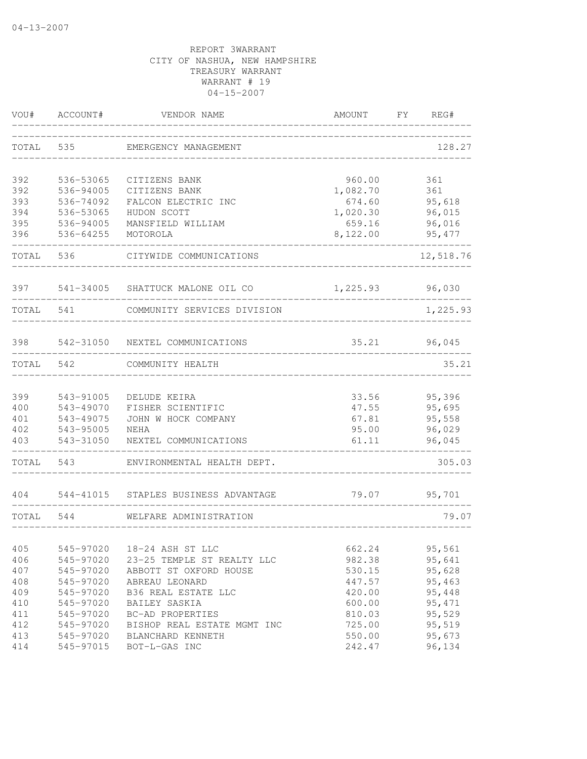| VOU#       | ACCOUNT#               | VENDOR NAME                          | AMOUNT         | FY<br>REG#       |
|------------|------------------------|--------------------------------------|----------------|------------------|
| TOTAL      | 535                    | EMERGENCY MANAGEMENT                 |                | 128.27           |
| 392        | 536-53065              | CITIZENS BANK                        | 960.00         | 361              |
| 392        | 536-94005              | CITIZENS BANK                        | 1,082.70       | 361              |
| 393        | 536-74092              | FALCON ELECTRIC INC                  | 674.60         | 95,618           |
| 394        | 536-53065              | HUDON SCOTT                          | 1,020.30       | 96,015           |
| 395        | 536-94005              | MANSFIELD WILLIAM                    | 659.16         | 96,016           |
| 396        | 536-64255              | MOTOROLA                             | 8,122.00       | 95, 477          |
| TOTAL      | 536                    | CITYWIDE COMMUNICATIONS              |                | 12,518.76        |
| 397        |                        | 541-34005 SHATTUCK MALONE OIL CO     | 1,225.93       | 96,030           |
| TOTAL      | 541                    | COMMUNITY SERVICES DIVISION          |                | 1,225.93         |
| 398        |                        | 542-31050 NEXTEL COMMUNICATIONS      | 35.21          | 96,045           |
| TOTAL      | 542                    | COMMUNITY HEALTH                     |                | 35.21            |
|            |                        |                                      |                |                  |
| 399        | 543-91005              | DELUDE KEIRA                         | 33.56          | 95,396           |
| 400        | 543-49070              | FISHER SCIENTIFIC                    | 47.55          | 95,695           |
| 401<br>402 | 543-49075              | JOHN W HOCK COMPANY                  | 67.81          | 95,558<br>96,029 |
| 403        | 543-95005<br>543-31050 | NEHA<br>NEXTEL COMMUNICATIONS        | 95.00<br>61.11 | 96,045           |
| TOTAL      | 543                    | ENVIRONMENTAL HEALTH DEPT.           |                | 305.03           |
| 404        |                        | 544-41015 STAPLES BUSINESS ADVANTAGE | 79.07          | 95,701           |
| TOTAL      | 544                    | WELFARE ADMINISTRATION               |                | 79.07            |
|            |                        |                                      |                |                  |
| 405        | 545-97020              | 18-24 ASH ST LLC                     | 662.24         | 95,561           |
| 406        | 545-97020              | 23-25 TEMPLE ST REALTY LLC           | 982.38         | 95,641           |
| 407        | 545-97020              | ABBOTT ST OXFORD HOUSE               | 530.15         | 95,628           |
| 408        | 545-97020              | ABREAU LEONARD                       | 447.57         | 95,463           |
| 409        | 545-97020              | B36 REAL ESTATE LLC                  | 420.00         | 95,448           |
| 410        | 545-97020              | BAILEY SASKIA                        | 600.00         | 95, 471          |
| 411        | 545-97020              | BC-AD PROPERTIES                     | 810.03         | 95,529           |
| 412        | 545-97020              | BISHOP REAL ESTATE MGMT INC          | 725.00         | 95,519           |
| 413        | 545-97020              | BLANCHARD KENNETH                    | 550.00         | 95,673           |
| 414        | 545-97015              | BOT-L-GAS INC                        | 242.47         | 96,134           |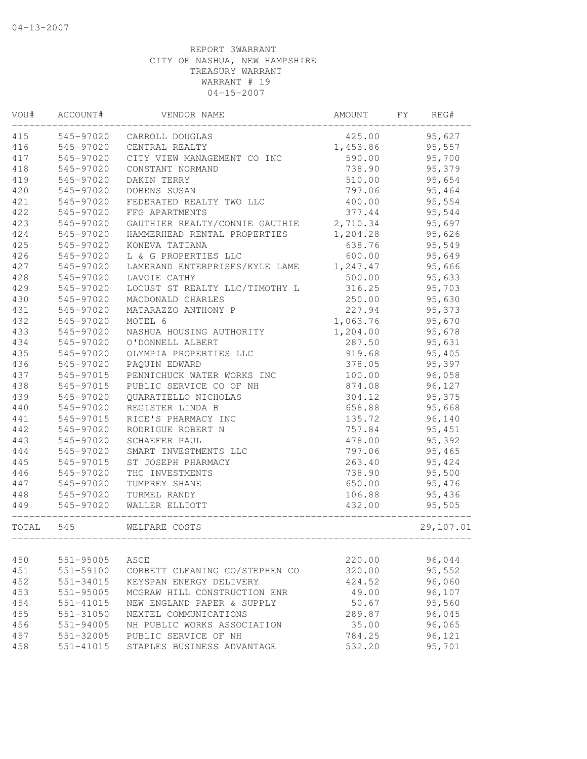| VOU#      | ACCOUNT#               | VENDOR NAME                             | AMOUNT   | FY | REG#      |
|-----------|------------------------|-----------------------------------------|----------|----|-----------|
| 415       | 545-97020              | CARROLL DOUGLAS                         | 425.00   |    | 95,627    |
| 416       | 545-97020              | CENTRAL REALTY                          | 1,453.86 |    | 95,557    |
| 417       | 545-97020              | CITY VIEW MANAGEMENT CO INC             | 590.00   |    | 95,700    |
| 418       | 545-97020              | CONSTANT NORMAND                        | 738.90   |    | 95,379    |
| 419       | 545-97020              | DAKIN TERRY                             | 510.00   |    | 95,654    |
| 420       | 545-97020              | DOBENS SUSAN                            | 797.06   |    | 95,464    |
| 421       | 545-97020              | FEDERATED REALTY TWO LLC                | 400.00   |    | 95,554    |
| 422       | 545-97020              | FFG APARTMENTS                          | 377.44   |    | 95,544    |
| 423       | 545-97020              | GAUTHIER REALTY/CONNIE GAUTHIE 2,710.34 |          |    | 95,697    |
| 424       | 545-97020              | HAMMERHEAD RENTAL PROPERTIES            | 1,204.28 |    | 95,626    |
| 425       | 545-97020              | KONEVA TATIANA                          | 638.76   |    | 95,549    |
| 426       | 545-97020              | L & G PROPERTIES LLC                    | 600.00   |    | 95,649    |
| 427       | 545-97020              | LAMERAND ENTERPRISES/KYLE LAME          | 1,247.47 |    | 95,666    |
| 428       | 545-97020              | LAVOIE CATHY                            | 500.00   |    | 95,633    |
| 429       | 545-97020              | LOCUST ST REALTY LLC/TIMOTHY L          | 316.25   |    | 95,703    |
| 430       | 545-97020              | MACDONALD CHARLES                       | 250.00   |    | 95,630    |
| 431       | 545-97020              | MATARAZZO ANTHONY P                     | 227.94   |    | 95,373    |
| 432       | 545-97020              | MOTEL 6                                 | 1,063.76 |    | 95,670    |
| 433       | 545-97020              | NASHUA HOUSING AUTHORITY                | 1,204.00 |    | 95,678    |
| 434       | 545-97020              | O'DONNELL ALBERT                        | 287.50   |    | 95,631    |
| 435       | 545-97020              | OLYMPIA PROPERTIES LLC                  | 919.68   |    | 95,405    |
| 436       | 545-97020              | PAQUIN EDWARD                           | 378.05   |    | 95,397    |
| 437       | 545-97015              | PENNICHUCK WATER WORKS INC              | 100.00   |    | 96,058    |
| 438       | 545-97015              | PUBLIC SERVICE CO OF NH                 | 874.08   |    | 96,127    |
| 439       | 545-97020              | QUARATIELLO NICHOLAS                    | 304.12   |    | 95,375    |
| 440       | 545-97020              | REGISTER LINDA B                        | 658.88   |    | 95,668    |
| 441       | 545-97015              | RICE'S PHARMACY INC                     | 135.72   |    | 96,140    |
| 442       | 545-97020              | RODRIGUE ROBERT N                       | 757.84   |    | 95,451    |
| 443       | 545-97020              | SCHAEFER PAUL                           | 478.00   |    | 95,392    |
| 444       | 545-97020              | SMART INVESTMENTS LLC                   | 797.06   |    | 95,465    |
| 445       | 545-97015              | ST JOSEPH PHARMACY                      | 263.40   |    | 95,424    |
| 446       | 545-97020              | THC INVESTMENTS                         | 738.90   |    | 95,500    |
| 447       | 545-97020              | TUMPREY SHANE                           | 650.00   |    | 95,476    |
| 448       | 545-97020<br>545-97020 | TURMEL RANDY                            | 106.88   |    | 95,436    |
| 449       |                        | WALLER ELLIOTT                          | 432.00   |    | 95,505    |
| TOTAL 545 |                        | WELFARE COSTS                           |          |    | 29,107.01 |
| 450       | $551 - 95005$          | ASCE                                    | 220.00   |    | 96,044    |
| 451       | 551-59100              | CORBETT CLEANING CO/STEPHEN CO          | 320.00   |    | 95,552    |
| 452       | 551-34015              | KEYSPAN ENERGY DELIVERY                 | 424.52   |    | 96,060    |
| 453       | 551-95005              | MCGRAW HILL CONSTRUCTION ENR            | 49.00    |    | 96,107    |
| 454       | 551-41015              | NEW ENGLAND PAPER & SUPPLY              | 50.67    |    | 95,560    |
| 455       | 551-31050              | NEXTEL COMMUNICATIONS                   | 289.87   |    | 96,045    |
| 456       | 551-94005              | NH PUBLIC WORKS ASSOCIATION             | 35.00    |    | 96,065    |
| 457       | 551-32005              | PUBLIC SERVICE OF NH                    | 784.25   |    | 96,121    |
| 458       | $551 - 41015$          | STAPLES BUSINESS ADVANTAGE              | 532.20   |    | 95,701    |
|           |                        |                                         |          |    |           |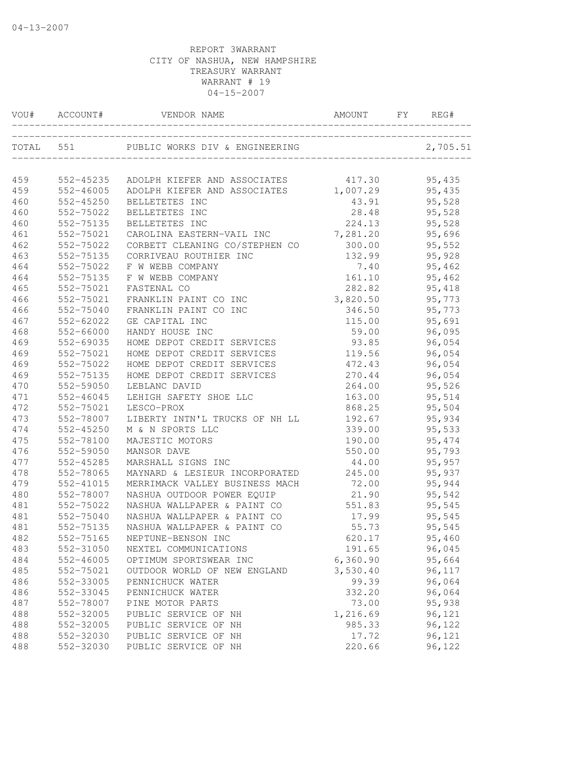| VOU#      | ACCOUNT#      | VENDOR NAME                            | AMOUNT            | FY | REG#     |
|-----------|---------------|----------------------------------------|-------------------|----|----------|
| TOTAL 551 |               | PUBLIC WORKS DIV & ENGINEERING         |                   |    | 2,705.51 |
| 459       |               | 552-45235 ADOLPH KIEFER AND ASSOCIATES | 417.30            |    | 95,435   |
| 459       |               | 552-46005 ADOLPH KIEFER AND ASSOCIATES |                   |    | 95,435   |
| 460       | 552-45250     | BELLETETES INC                         | 1,007.29<br>43.91 |    | 95,528   |
| 460       | 552-75022     | BELLETETES INC                         | 28.48             |    | 95,528   |
| 460       | 552-75135     | BELLETETES INC                         | 224.13            |    | 95,528   |
| 461       | 552-75021     | CAROLINA EASTERN-VAIL INC              | 7,281.20          |    | 95,696   |
| 462       | 552-75022     | CORBETT CLEANING CO/STEPHEN CO         | 300.00            |    | 95,552   |
| 463       | 552-75135     | CORRIVEAU ROUTHIER INC                 | 132.99            |    | 95,928   |
| 464       | 552-75022     | F W WEBB COMPANY                       | 7.40              |    | 95,462   |
| 464       | 552-75135     | F W WEBB COMPANY                       | 161.10            |    | 95,462   |
| 465       | 552-75021     | FASTENAL CO                            | 282.82            |    | 95,418   |
| 466       | 552-75021     | FRANKLIN PAINT CO INC                  | 3,820.50          |    | 95,773   |
| 466       | 552-75040     | FRANKLIN PAINT CO INC                  | 346.50            |    | 95,773   |
| 467       | 552-62022     | GE CAPITAL INC                         | 115.00            |    | 95,691   |
| 468       | 552-66000     | HANDY HOUSE INC                        | 59.00             |    | 96,095   |
| 469       | 552-69035     | HOME DEPOT CREDIT SERVICES             | 93.85             |    | 96,054   |
| 469       | 552-75021     | HOME DEPOT CREDIT SERVICES             | 119.56            |    | 96,054   |
| 469       | 552-75022     | HOME DEPOT CREDIT SERVICES             | 472.43            |    | 96,054   |
| 469       | 552-75135     | HOME DEPOT CREDIT SERVICES             | 270.44            |    | 96,054   |
| 470       | 552-59050     | LEBLANC DAVID                          | 264.00            |    | 95,526   |
| 471       | 552-46045     | LEHIGH SAFETY SHOE LLC                 | 163.00            |    | 95,514   |
| 472       | 552-75021     | LESCO-PROX                             | 868.25            |    | 95,504   |
| 473       | 552-78007     | LIBERTY INTN'L TRUCKS OF NH LL         | 192.67            |    | 95,934   |
| 474       | 552-45250     | M & N SPORTS LLC                       | 339.00            |    | 95,533   |
| 475       | 552-78100     | MAJESTIC MOTORS                        | 190.00            |    | 95,474   |
| 476       | 552-59050     | MANSOR DAVE                            | 550.00            |    | 95,793   |
| 477       | 552-45285     | MARSHALL SIGNS INC                     | 44.00             |    | 95,957   |
| 478       | 552-78065     | MAYNARD & LESIEUR INCORPORATED         | 245.00            |    | 95,937   |
| 479       | 552-41015     | MERRIMACK VALLEY BUSINESS MACH         | 72.00             |    | 95,944   |
| 480       | 552-78007     | NASHUA OUTDOOR POWER EQUIP             | 21.90             |    | 95,542   |
| 481       | 552-75022     | NASHUA WALLPAPER & PAINT CO            | 551.83            |    | 95,545   |
| 481       | 552-75040     | NASHUA WALLPAPER & PAINT CO            | 17.99             |    | 95,545   |
| 481       | 552-75135     | NASHUA WALLPAPER & PAINT CO            | 55.73             |    | 95,545   |
| 482       | 552-75165     | NEPTUNE-BENSON INC                     | 620.17            |    | 95,460   |
| 483       | 552-31050     | NEXTEL COMMUNICATIONS                  | 191.65            |    | 96,045   |
| 484       | $552 - 46005$ | OPTIMUM SPORTSWEAR INC                 | 6,360.90          |    | 95,664   |
| 485       | 552-75021     | OUTDOOR WORLD OF NEW ENGLAND           | 3,530.40          |    | 96,117   |
| 486       | 552-33005     | PENNICHUCK WATER                       | 99.39             |    | 96,064   |
| 486       | 552-33045     | PENNICHUCK WATER                       | 332.20            |    | 96,064   |
| 487       | 552-78007     | PINE MOTOR PARTS                       | 73.00             |    | 95,938   |
| 488       | 552-32005     | PUBLIC SERVICE OF NH                   | 1,216.69          |    | 96,121   |
| 488       | 552-32005     | PUBLIC SERVICE OF NH                   | 985.33            |    | 96,122   |
| 488       | 552-32030     | PUBLIC SERVICE OF NH                   | 17.72             |    | 96,121   |
| 488       | 552-32030     | PUBLIC SERVICE OF NH                   | 220.66            |    | 96,122   |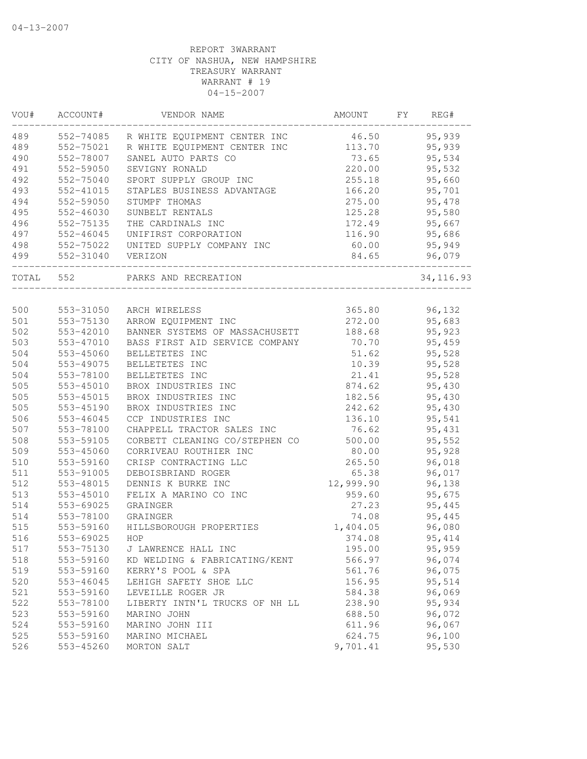| VOU#  | ACCOUNT#  | VENDOR NAME                    | AMOUNT    | FY | REG#       |
|-------|-----------|--------------------------------|-----------|----|------------|
| 489   | 552-74085 | R WHITE EQUIPMENT CENTER INC   | 46.50     |    | 95,939     |
| 489   | 552-75021 | R WHITE EQUIPMENT CENTER INC   | 113.70    |    | 95,939     |
| 490   | 552-78007 | SANEL AUTO PARTS CO            | 73.65     |    | 95,534     |
| 491   | 552-59050 | SEVIGNY RONALD                 | 220.00    |    | 95,532     |
| 492   | 552-75040 | SPORT SUPPLY GROUP INC         | 255.18    |    | 95,660     |
| 493   | 552-41015 | STAPLES BUSINESS ADVANTAGE     | 166.20    |    | 95,701     |
| 494   | 552-59050 | STUMPF THOMAS                  | 275.00    |    | 95,478     |
| 495   | 552-46030 | SUNBELT RENTALS                | 125.28    |    | 95,580     |
| 496   | 552-75135 | THE CARDINALS INC              | 172.49    |    | 95,667     |
| 497   | 552-46045 | UNIFIRST CORPORATION           | 116.90    |    | 95,686     |
| 498   | 552-75022 | UNITED SUPPLY COMPANY INC      | 60.00     |    | 95,949     |
| 499   | 552-31040 | VERIZON                        | 84.65     |    | 96,079     |
| TOTAL | 552       | PARKS AND RECREATION           |           |    | 34, 116.93 |
|       |           |                                |           |    |            |
| 500   | 553-31050 | ARCH WIRELESS                  | 365.80    |    | 96,132     |
| 501   | 553-75130 | ARROW EQUIPMENT INC            | 272.00    |    | 95,683     |
| 502   | 553-42010 | BANNER SYSTEMS OF MASSACHUSETT | 188.68    |    | 95,923     |
| 503   | 553-47010 | BASS FIRST AID SERVICE COMPANY | 70.70     |    | 95,459     |
| 504   | 553-45060 | BELLETETES INC                 | 51.62     |    | 95,528     |
| 504   | 553-49075 | BELLETETES INC                 | 10.39     |    | 95,528     |
| 504   | 553-78100 | BELLETETES INC                 | 21.41     |    | 95,528     |
| 505   | 553-45010 | BROX INDUSTRIES INC            | 874.62    |    | 95,430     |
| 505   | 553-45015 | BROX INDUSTRIES INC            | 182.56    |    | 95,430     |
| 505   | 553-45190 | BROX INDUSTRIES INC            | 242.62    |    | 95,430     |
| 506   | 553-46045 | CCP INDUSTRIES INC             | 136.10    |    | 95,541     |
| 507   | 553-78100 | CHAPPELL TRACTOR SALES INC     | 76.62     |    | 95,431     |
| 508   | 553-59105 | CORBETT CLEANING CO/STEPHEN CO | 500.00    |    | 95,552     |
| 509   | 553-45060 | CORRIVEAU ROUTHIER INC         | 80.00     |    | 95,928     |
| 510   | 553-59160 | CRISP CONTRACTING LLC          | 265.50    |    | 96,018     |
| 511   | 553-91005 | DEBOISBRIAND ROGER             | 65.38     |    | 96,017     |
| 512   | 553-48015 | DENNIS K BURKE INC             | 12,999.90 |    | 96,138     |
| 513   | 553-45010 | FELIX A MARINO CO INC          | 959.60    |    | 95,675     |
| 514   | 553-69025 | GRAINGER                       | 27.23     |    | 95,445     |
| 514   | 553-78100 | GRAINGER                       | 74.08     |    | 95,445     |
| 515   | 553-59160 | HILLSBOROUGH PROPERTIES        | 1,404.05  |    | 96,080     |
| 516   | 553-69025 | HOP                            | 374.08    |    | 95, 414    |
| 517   | 553-75130 | J LAWRENCE HALL INC            | 195.00    |    | 95,959     |
| 518   | 553-59160 | KD WELDING & FABRICATING/KENT  | 566.97    |    | 96,074     |
| 519   | 553-59160 | KERRY'S POOL & SPA             | 561.76    |    | 96,075     |
| 520   | 553-46045 | LEHIGH SAFETY SHOE LLC         | 156.95    |    | 95,514     |
| 521   | 553-59160 | LEVEILLE ROGER JR              | 584.38    |    | 96,069     |
| 522   | 553-78100 | LIBERTY INTN'L TRUCKS OF NH LL | 238.90    |    | 95,934     |
| 523   | 553-59160 | MARINO JOHN                    | 688.50    |    | 96,072     |
| 524   | 553-59160 | MARINO JOHN III                | 611.96    |    | 96,067     |
| 525   | 553-59160 | MARINO MICHAEL                 | 624.75    |    | 96,100     |
| 526   | 553-45260 | MORTON SALT                    | 9,701.41  |    | 95,530     |
|       |           |                                |           |    |            |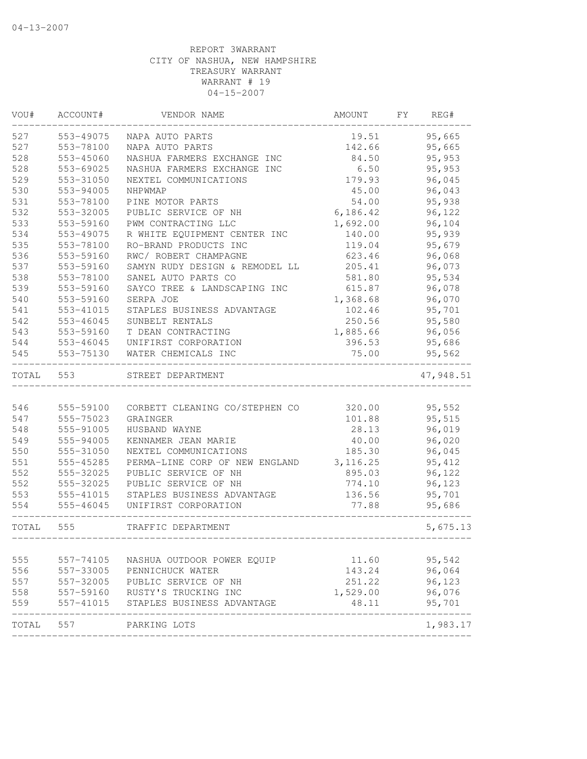| VOU#  | ACCOUNT#  | VENDOR NAME                    | AMOUNT   | FY | REG#      |
|-------|-----------|--------------------------------|----------|----|-----------|
| 527   | 553-49075 | NAPA AUTO PARTS                | 19.51    |    | 95,665    |
| 527   | 553-78100 | NAPA AUTO PARTS                | 142.66   |    | 95,665    |
| 528   | 553-45060 | NASHUA FARMERS EXCHANGE INC    | 84.50    |    | 95,953    |
| 528   | 553-69025 | NASHUA FARMERS EXCHANGE INC    | 6.50     |    | 95,953    |
| 529   | 553-31050 | NEXTEL COMMUNICATIONS          | 179.93   |    | 96,045    |
| 530   | 553-94005 | NHPWMAP                        | 45.00    |    | 96,043    |
| 531   | 553-78100 | PINE MOTOR PARTS               | 54.00    |    | 95,938    |
| 532   | 553-32005 | PUBLIC SERVICE OF NH           | 6,186.42 |    | 96,122    |
| 533   | 553-59160 | PWM CONTRACTING LLC            | 1,692.00 |    | 96,104    |
| 534   | 553-49075 | R WHITE EQUIPMENT CENTER INC   | 140.00   |    | 95,939    |
| 535   | 553-78100 | RO-BRAND PRODUCTS INC          | 119.04   |    | 95,679    |
| 536   | 553-59160 | RWC/ ROBERT CHAMPAGNE          | 623.46   |    | 96,068    |
| 537   | 553-59160 | SAMYN RUDY DESIGN & REMODEL LL | 205.41   |    | 96,073    |
| 538   | 553-78100 | SANEL AUTO PARTS CO            | 581.80   |    | 95,534    |
| 539   | 553-59160 | SAYCO TREE & LANDSCAPING INC   | 615.87   |    | 96,078    |
| 540   | 553-59160 | SERPA JOE                      | 1,368.68 |    | 96,070    |
| 541   | 553-41015 | STAPLES BUSINESS ADVANTAGE     | 102.46   |    | 95,701    |
| 542   | 553-46045 | SUNBELT RENTALS                | 250.56   |    | 95,580    |
| 543   | 553-59160 | T DEAN CONTRACTING             | 1,885.66 |    | 96,056    |
| 544   | 553-46045 | UNIFIRST CORPORATION           | 396.53   |    | 95,686    |
| 545   | 553-75130 | WATER CHEMICALS INC            | 75.00    |    | 95,562    |
| TOTAL | 553       | STREET DEPARTMENT              |          |    | 47,948.51 |
|       |           |                                |          |    |           |
| 546   | 555-59100 | CORBETT CLEANING CO/STEPHEN CO | 320.00   |    | 95,552    |
| 547   | 555-75023 | GRAINGER                       | 101.88   |    | 95,515    |
| 548   | 555-91005 | HUSBAND WAYNE                  | 28.13    |    | 96,019    |
| 549   | 555-94005 | KENNAMER JEAN MARIE            | 40.00    |    | 96,020    |
| 550   | 555-31050 | NEXTEL COMMUNICATIONS          | 185.30   |    | 96,045    |
| 551   | 555-45285 | PERMA-LINE CORP OF NEW ENGLAND | 3,116.25 |    | 95, 412   |
| 552   | 555-32025 | PUBLIC SERVICE OF NH           | 895.03   |    | 96,122    |
| 552   | 555-32025 | PUBLIC SERVICE OF NH           | 774.10   |    | 96,123    |
| 553   | 555-41015 | STAPLES BUSINESS ADVANTAGE     | 136.56   |    | 95,701    |
| 554   | 555-46045 | UNIFIRST CORPORATION           | 77.88    |    | 95,686    |
| TOTAL | 555       | TRAFFIC DEPARTMENT             |          |    | 5,675.13  |
|       |           |                                |          |    |           |
| 555   | 557-74105 | NASHUA OUTDOOR POWER EQUIP     | 11.60    |    | 95,542    |
| 556   | 557-33005 | PENNICHUCK WATER               | 143.24   |    | 96,064    |
| 557   | 557-32005 | PUBLIC SERVICE OF NH           | 251.22   |    | 96,123    |
| 558   | 557-59160 | RUSTY'S TRUCKING INC           | 1,529.00 |    | 96,076    |
| 559   | 557-41015 | STAPLES BUSINESS ADVANTAGE     | 48.11    |    | 95,701    |
| TOTAL | 557       | PARKING LOTS                   |          |    | 1,983.17  |
|       |           |                                |          |    |           |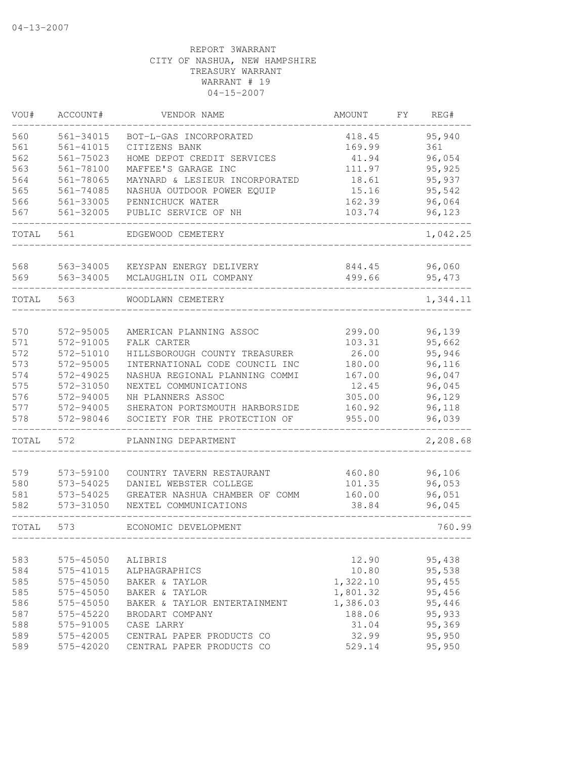| VOU#       | ACCOUNT#               | VENDOR NAME                                                     | <b>AMOUNT</b>    | FΥ | REG#             |
|------------|------------------------|-----------------------------------------------------------------|------------------|----|------------------|
| 560        | 561-34015              | BOT-L-GAS INCORPORATED                                          | 418.45           |    | 95,940           |
| 561        | $561 - 41015$          | CITIZENS BANK                                                   | 169.99           |    | 361              |
| 562        | $561 - 75023$          | HOME DEPOT CREDIT SERVICES                                      | 41.94            |    | 96,054           |
| 563        | 561-78100              | MAFFEE'S GARAGE INC                                             | 111.97           |    | 95,925           |
| 564        | 561-78065              | MAYNARD & LESIEUR INCORPORATED                                  | 18.61            |    | 95,937           |
| 565        | 561-74085              | NASHUA OUTDOOR POWER EQUIP                                      | 15.16            |    | 95,542           |
| 566        | 561-33005              | PENNICHUCK WATER                                                | 162.39           |    | 96,064           |
| 567        | 561-32005              | PUBLIC SERVICE OF NH                                            | 103.74           |    | 96,123           |
| TOTAL      | 561                    | EDGEWOOD CEMETERY                                               |                  |    | 1,042.25         |
| 568        | 563-34005              | KEYSPAN ENERGY DELIVERY                                         | 844.45           |    | 96,060           |
| 569        | 563-34005              | MCLAUGHLIN OIL COMPANY                                          | 499.66           |    | 95, 473          |
|            |                        |                                                                 |                  |    |                  |
| TOTAL      | 563                    | WOODLAWN CEMETERY                                               |                  |    | 1,344.11         |
|            |                        |                                                                 |                  |    |                  |
| 570        | 572-95005              | AMERICAN PLANNING ASSOC                                         | 299.00           |    | 96,139           |
| 571        | 572-91005              | FALK CARTER                                                     | 103.31           |    | 95,662           |
| 572        | 572-51010              | HILLSBOROUGH COUNTY TREASURER                                   | 26.00            |    | 95,946           |
| 573        | 572-95005              | INTERNATIONAL CODE COUNCIL INC                                  | 180.00           |    | 96,116           |
| 574        | 572-49025              | NASHUA REGIONAL PLANNING COMMI                                  | 167.00           |    | 96,047           |
| 575        | 572-31050              | NEXTEL COMMUNICATIONS                                           | 12.45            |    | 96,045           |
| 576        | 572-94005              | NH PLANNERS ASSOC                                               | 305.00           |    | 96,129           |
| 577<br>578 | 572-94005<br>572-98046 | SHERATON PORTSMOUTH HARBORSIDE<br>SOCIETY FOR THE PROTECTION OF | 160.92<br>955.00 |    | 96,118<br>96,039 |
| TOTAL      | 572                    | PLANNING DEPARTMENT                                             |                  |    | 2,208.68         |
|            |                        |                                                                 |                  |    |                  |
| 579        | 573-59100              | COUNTRY TAVERN RESTAURANT                                       | 460.80           |    | 96,106           |
| 580        | 573-54025              | DANIEL WEBSTER COLLEGE                                          | 101.35           |    | 96,053           |
| 581        | 573-54025              | GREATER NASHUA CHAMBER OF COMM                                  | 160.00           |    | 96,051           |
| 582        | 573-31050              | NEXTEL COMMUNICATIONS                                           | 38.84            |    | 96,045           |
| TOTAL      | 573                    | ECONOMIC DEVELOPMENT                                            |                  |    | 760.99           |
| 583        | 575-45050              | ALIBRIS                                                         | 12.90            |    | 95,438           |
| 584        | 575-41015              | ALPHAGRAPHICS                                                   | 10.80            |    | 95,538           |
| 585        | 575-45050              | BAKER & TAYLOR                                                  | 1,322.10         |    | 95,455           |
| 585        | 575-45050              | BAKER & TAYLOR                                                  | 1,801.32         |    | 95,456           |
| 586        | 575-45050              | BAKER & TAYLOR ENTERTAINMENT                                    | 1,386.03         |    | 95,446           |
| 587        | 575-45220              | BRODART COMPANY                                                 | 188.06           |    | 95,933           |
| 588        | 575-91005              | CASE LARRY                                                      | 31.04            |    | 95,369           |
| 589        | 575-42005              | CENTRAL PAPER PRODUCTS CO                                       | 32.99            |    | 95,950           |
| 589        | 575-42020              | CENTRAL PAPER PRODUCTS CO                                       | 529.14           |    | 95,950           |
|            |                        |                                                                 |                  |    |                  |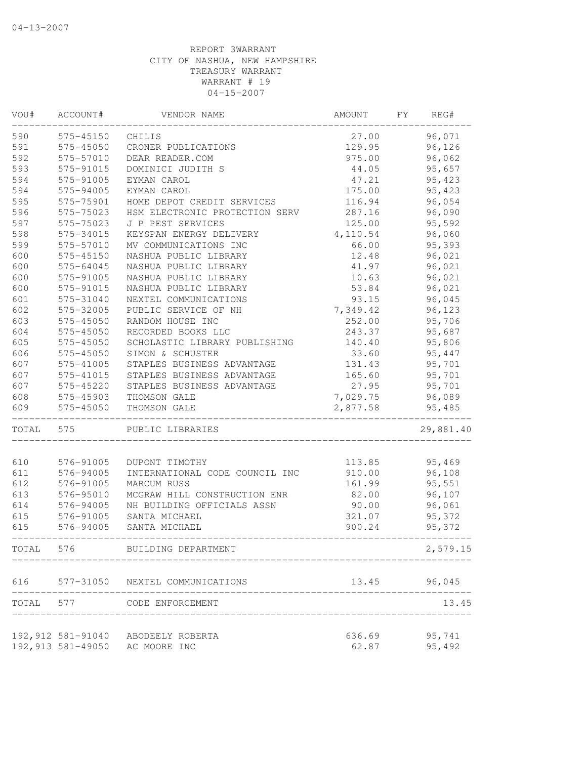| VOU#  | ACCOUNT#           | VENDOR NAME                        | AMOUNT   | FΥ | REG#      |
|-------|--------------------|------------------------------------|----------|----|-----------|
| 590   | 575-45150          | CHILIS                             | 27.00    |    | 96,071    |
| 591   | 575-45050          | CRONER PUBLICATIONS                | 129.95   |    | 96,126    |
| 592   | 575-57010          | DEAR READER.COM                    | 975.00   |    | 96,062    |
| 593   | 575-91015          | DOMINICI JUDITH S                  | 44.05    |    | 95,657    |
| 594   | 575-91005          | EYMAN CAROL                        | 47.21    |    | 95, 423   |
| 594   | 575-94005          | EYMAN CAROL                        | 175.00   |    | 95,423    |
| 595   | 575-75901          | HOME DEPOT CREDIT SERVICES         | 116.94   |    | 96,054    |
| 596   | 575-75023          | HSM ELECTRONIC PROTECTION SERV     | 287.16   |    | 96,090    |
| 597   | 575-75023          | J P PEST SERVICES                  | 125.00   |    | 95,592    |
| 598   | 575-34015          | KEYSPAN ENERGY DELIVERY            | 4,110.54 |    | 96,060    |
| 599   | 575-57010          | MV COMMUNICATIONS INC              | 66.00    |    | 95,393    |
| 600   | 575-45150          | NASHUA PUBLIC LIBRARY              | 12.48    |    | 96,021    |
| 600   | 575-64045          | NASHUA PUBLIC LIBRARY              | 41.97    |    | 96,021    |
| 600   | 575-91005          | NASHUA PUBLIC LIBRARY              | 10.63    |    | 96,021    |
| 600   | 575-91015          | NASHUA PUBLIC LIBRARY              | 53.84    |    | 96,021    |
| 601   | 575-31040          | NEXTEL COMMUNICATIONS              | 93.15    |    | 96,045    |
| 602   | 575-32005          | PUBLIC SERVICE OF NH               | 7,349.42 |    | 96,123    |
| 603   | 575-45050          | RANDOM HOUSE INC                   | 252.00   |    | 95,706    |
| 604   | 575-45050          | RECORDED BOOKS LLC                 | 243.37   |    | 95,687    |
| 605   | 575-45050          | SCHOLASTIC LIBRARY PUBLISHING      | 140.40   |    | 95,806    |
| 606   | 575-45050          | SIMON & SCHUSTER                   | 33.60    |    | 95,447    |
| 607   | 575-41005          | STAPLES BUSINESS ADVANTAGE         | 131.43   |    | 95,701    |
| 607   | 575-41015          | STAPLES BUSINESS ADVANTAGE         | 165.60   |    | 95,701    |
| 607   | 575-45220          | STAPLES BUSINESS ADVANTAGE         | 27.95    |    | 95,701    |
| 608   | 575-45903          | THOMSON GALE                       | 7,029.75 |    | 96,089    |
| 609   | 575-45050          | THOMSON GALE                       | 2,877.58 |    | 95,485    |
| TOTAL | 575                | PUBLIC LIBRARIES                   |          |    | 29,881.40 |
| 610   | 576-91005          | DUPONT TIMOTHY                     | 113.85   |    | 95,469    |
| 611   | 576-94005          | INTERNATIONAL CODE COUNCIL INC     | 910.00   |    | 96,108    |
| 612   | 576-91005          | <b>MARCUM RUSS</b>                 | 161.99   |    | 95,551    |
| 613   | 576-95010          | MCGRAW HILL CONSTRUCTION ENR       | 82.00    |    | 96,107    |
| 614   | 576-94005          | NH BUILDING OFFICIALS ASSN         | 90.00    |    | 96,061    |
| 615   | 576-91005          | SANTA MICHAEL                      | 321.07   |    | 95,372    |
| 615   | 576-94005          | SANTA MICHAEL                      | 900.24   |    | 95,372    |
| TOTAL | 576                | BUILDING DEPARTMENT                |          |    | 2,579.15  |
| 616   |                    | 577-31050 NEXTEL COMMUNICATIONS    | 13.45    |    | 96,045    |
| TOTAL | 577                | CODE ENFORCEMENT                   |          |    | 13.45     |
|       |                    | 192,912 581-91040 ABODEELY ROBERTA | 636.69   |    | 95,741    |
|       | 192, 913 581-49050 | AC MOORE INC                       | 62.87    |    | 95,492    |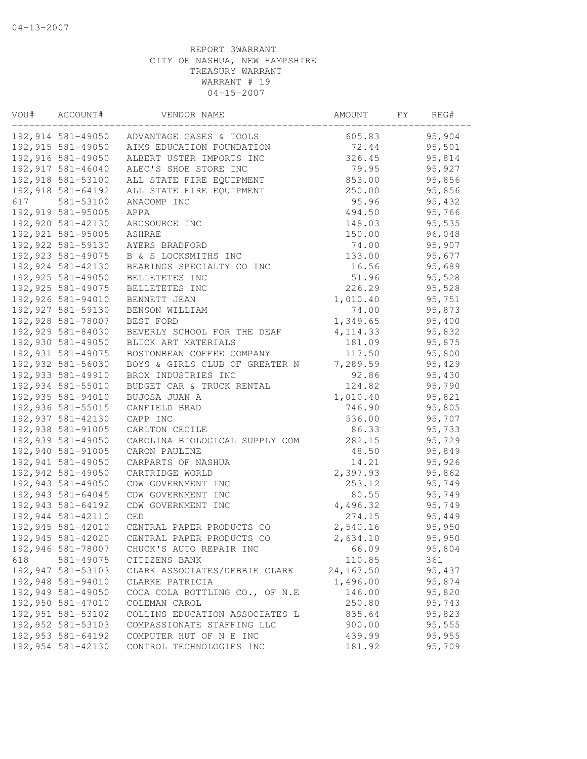| VOU# | ACCOUNT#           | VENDOR NAME                               | AMOUNT    | FΥ | REG#   |
|------|--------------------|-------------------------------------------|-----------|----|--------|
|      |                    | 192,914 581-49050 ADVANTAGE GASES & TOOLS | 605.83    |    | 95,904 |
|      | 192,915 581-49050  | AIMS EDUCATION FOUNDATION                 | 72.44     |    | 95,501 |
|      | 192,916 581-49050  | ALBERT USTER IMPORTS INC                  | 326.45    |    | 95,814 |
|      | 192, 917 581-46040 | ALEC'S SHOE STORE INC                     | 79.95     |    | 95,927 |
|      | 192, 918 581-53100 | ALL STATE FIRE EQUIPMENT                  | 853.00    |    | 95,856 |
|      | 192,918 581-64192  | ALL STATE FIRE EQUIPMENT                  | 250.00    |    | 95,856 |
| 617  | 581-53100          | ANACOMP INC                               | 95.96     |    | 95,432 |
|      | 192,919 581-95005  | APPA                                      | 494.50    |    | 95,766 |
|      | 192,920 581-42130  | ARCSOURCE INC                             | 148.03    |    | 95,535 |
|      | 192, 921 581-95005 | ASHRAE                                    | 150.00    |    | 96,048 |
|      | 192,922 581-59130  | AYERS BRADFORD                            | 74.00     |    | 95,907 |
|      | 192, 923 581-49075 | B & S LOCKSMITHS INC                      | 133.00    |    | 95,677 |
|      | 192, 924 581-42130 | BEARINGS SPECIALTY CO INC                 | 16.56     |    | 95,689 |
|      | 192, 925 581-49050 | BELLETETES INC                            | 51.96     |    | 95,528 |
|      | 192, 925 581-49075 | BELLETETES INC                            | 226.29    |    | 95,528 |
|      | 192,926 581-94010  | BENNETT JEAN                              | 1,010.40  |    | 95,751 |
|      | 192, 927 581-59130 | BENSON WILLIAM                            | 74.00     |    | 95,873 |
|      | 192,928 581-78007  | BEST FORD                                 | 1,349.65  |    | 95,400 |
|      | 192,929 581-84030  | BEVERLY SCHOOL FOR THE DEAF               | 4, 114.33 |    | 95,832 |
|      | 192,930 581-49050  | BLICK ART MATERIALS                       | 181.09    |    | 95,875 |
|      | 192,931 581-49075  | BOSTONBEAN COFFEE COMPANY                 | 117.50    |    | 95,800 |
|      | 192,932 581-56030  | BOYS & GIRLS CLUB OF GREATER N            | 7,289.59  |    | 95,429 |
|      | 192, 933 581-49910 | BROX INDUSTRIES INC                       | 92.86     |    | 95,430 |
|      | 192,934 581-55010  | BUDGET CAR & TRUCK RENTAL                 | 124.82    |    | 95,790 |
|      | 192,935 581-94010  | BUJOSA JUAN A                             | 1,010.40  |    | 95,821 |
|      | 192,936 581-55015  | CANFIELD BRAD                             | 746.90    |    | 95,805 |
|      | 192,937 581-42130  | CAPP INC                                  | 536.00    |    | 95,707 |
|      | 192,938 581-91005  | CARLTON CECILE                            | 86.33     |    | 95,733 |
|      | 192,939 581-49050  | CAROLINA BIOLOGICAL SUPPLY COM            | 282.15    |    | 95,729 |
|      | 192,940 581-91005  | CARON PAULINE                             | 48.50     |    | 95,849 |
|      | 192,941 581-49050  | CARPARTS OF NASHUA                        | 14.21     |    | 95,926 |
|      | 192,942 581-49050  | CARTRIDGE WORLD                           | 2,397.93  |    | 95,862 |
|      | 192,943 581-49050  | CDW GOVERNMENT INC                        | 253.12    |    | 95,749 |
|      | 192,943 581-64045  | CDW GOVERNMENT INC                        | 80.55     |    | 95,749 |
|      | 192,943 581-64192  | CDW GOVERNMENT INC                        | 4,496.32  |    | 95,749 |
|      | 192,944 581-42110  | $\ensuremath{\mathsf{CED}}$               | 274.15    |    | 95,449 |
|      | 192,945 581-42010  | CENTRAL PAPER PRODUCTS CO                 | 2,540.16  |    | 95,950 |
|      | 192,945 581-42020  | CENTRAL PAPER PRODUCTS CO                 | 2,634.10  |    | 95,950 |
|      | 192,946 581-78007  | CHUCK'S AUTO REPAIR INC                   | 66.09     |    | 95,804 |
| 618  | 581-49075          | CITIZENS BANK                             | 110.85    |    | 361    |
|      | 192,947 581-53103  | CLARK ASSOCIATES/DEBBIE CLARK             | 24,167.50 |    | 95,437 |
|      | 192,948 581-94010  | CLARKE PATRICIA                           | 1,496.00  |    | 95,874 |
|      | 192,949 581-49050  | COCA COLA BOTTLING CO., OF N.E            | 146.00    |    | 95,820 |
|      | 192,950 581-47010  | COLEMAN CAROL                             | 250.80    |    | 95,743 |
|      | 192,951 581-53102  | COLLINS EDUCATION ASSOCIATES L            | 835.64    |    | 95,823 |
|      | 192,952 581-53103  | COMPASSIONATE STAFFING LLC                | 900.00    |    | 95,555 |
|      | 192,953 581-64192  | COMPUTER HUT OF N E INC                   | 439.99    |    | 95,955 |
|      | 192,954 581-42130  | CONTROL TECHNOLOGIES INC                  | 181.92    |    | 95,709 |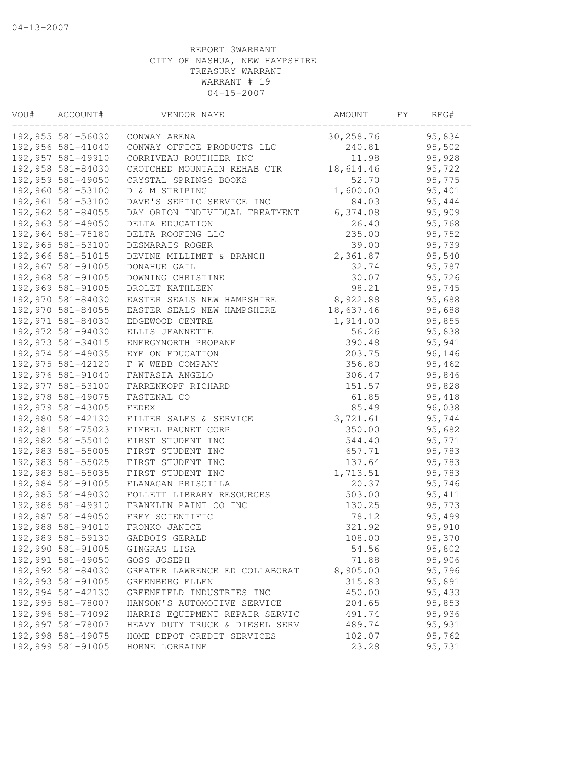| VOU# | ACCOUNT#           | VENDOR NAME                    | AMOUNT    | FΥ | REG#    |
|------|--------------------|--------------------------------|-----------|----|---------|
|      | 192,955 581-56030  | CONWAY ARENA                   | 30,258.76 |    | 95,834  |
|      | 192,956 581-41040  | CONWAY OFFICE PRODUCTS LLC     | 240.81    |    | 95,502  |
|      | 192,957 581-49910  | CORRIVEAU ROUTHIER INC         | 11.98     |    | 95,928  |
|      | 192,958 581-84030  | CROTCHED MOUNTAIN REHAB CTR    | 18,614.46 |    | 95,722  |
|      | 192,959 581-49050  | CRYSTAL SPRINGS BOOKS          | 52.70     |    | 95,775  |
|      | 192,960 581-53100  | D & M STRIPING                 | 1,600.00  |    | 95,401  |
|      | 192,961 581-53100  | DAVE'S SEPTIC SERVICE INC      | 84.03     |    | 95,444  |
|      | 192,962 581-84055  | DAY ORION INDIVIDUAL TREATMENT | 6,374.08  |    | 95,909  |
|      | 192,963 581-49050  | DELTA EDUCATION                | 26.40     |    | 95,768  |
|      | 192,964 581-75180  | DELTA ROOFING LLC              | 235.00    |    | 95,752  |
|      | 192,965 581-53100  | DESMARAIS ROGER                | 39.00     |    | 95,739  |
|      | 192,966 581-51015  | DEVINE MILLIMET & BRANCH       | 2,361.87  |    | 95,540  |
|      | 192,967 581-91005  | DONAHUE GAIL                   | 32.74     |    | 95,787  |
|      | 192,968 581-91005  | DOWNING CHRISTINE              | 30.07     |    | 95,726  |
|      | 192,969 581-91005  | DROLET KATHLEEN                | 98.21     |    | 95,745  |
|      | 192,970 581-84030  | EASTER SEALS NEW HAMPSHIRE     | 8,922.88  |    | 95,688  |
|      | 192,970 581-84055  | EASTER SEALS NEW HAMPSHIRE     | 18,637.46 |    | 95,688  |
|      | 192,971 581-84030  | EDGEWOOD CENTRE                | 1,914.00  |    | 95,855  |
|      | 192,972 581-94030  | ELLIS JEANNETTE                | 56.26     |    | 95,838  |
|      | 192, 973 581-34015 | ENERGYNORTH PROPANE            | 390.48    |    | 95,941  |
|      | 192,974 581-49035  | EYE ON EDUCATION               | 203.75    |    | 96,146  |
|      | 192, 975 581-42120 | F W WEBB COMPANY               | 356.80    |    | 95,462  |
|      | 192,976 581-91040  | FANTASIA ANGELO                | 306.47    |    | 95,846  |
|      | 192,977 581-53100  | FARRENKOPF RICHARD             | 151.57    |    | 95,828  |
|      | 192,978 581-49075  | FASTENAL CO                    | 61.85     |    | 95,418  |
|      | 192,979 581-43005  | FEDEX                          | 85.49     |    | 96,038  |
|      | 192,980 581-42130  | FILTER SALES & SERVICE         | 3,721.61  |    | 95,744  |
|      | 192,981 581-75023  | FIMBEL PAUNET CORP             | 350.00    |    | 95,682  |
|      | 192,982 581-55010  | FIRST STUDENT INC              | 544.40    |    | 95,771  |
|      | 192,983 581-55005  | FIRST STUDENT INC              | 657.71    |    | 95,783  |
|      | 192,983 581-55025  | FIRST STUDENT INC              | 137.64    |    | 95,783  |
|      | 192,983 581-55035  | FIRST STUDENT INC              | 1,713.51  |    | 95,783  |
|      | 192,984 581-91005  | FLANAGAN PRISCILLA             | 20.37     |    | 95,746  |
|      | 192,985 581-49030  | FOLLETT LIBRARY RESOURCES      | 503.00    |    | 95, 411 |
|      | 192,986 581-49910  | FRANKLIN PAINT CO INC          | 130.25    |    | 95,773  |
|      | 192,987 581-49050  | FREY SCIENTIFIC                | 78.12     |    | 95,499  |
|      | 192,988 581-94010  | FRONKO JANICE                  | 321.92    |    | 95,910  |
|      | 192,989 581-59130  | GADBOIS GERALD                 | 108.00    |    | 95,370  |
|      | 192,990 581-91005  | GINGRAS LISA                   | 54.56     |    | 95,802  |
|      | 192,991 581-49050  | GOSS JOSEPH                    | 71.88     |    | 95,906  |
|      | 192,992 581-84030  | GREATER LAWRENCE ED COLLABORAT | 8,905.00  |    | 95,796  |
|      | 192,993 581-91005  | GREENBERG ELLEN                | 315.83    |    | 95,891  |
|      | 192,994 581-42130  | GREENFIELD INDUSTRIES INC      | 450.00    |    | 95,433  |
|      | 192,995 581-78007  | HANSON'S AUTOMOTIVE SERVICE    | 204.65    |    | 95,853  |
|      | 192,996 581-74092  | HARRIS EQUIPMENT REPAIR SERVIC | 491.74    |    | 95,936  |
|      | 192,997 581-78007  | HEAVY DUTY TRUCK & DIESEL SERV | 489.74    |    | 95,931  |
|      | 192,998 581-49075  | HOME DEPOT CREDIT SERVICES     | 102.07    |    | 95,762  |
|      | 192,999 581-91005  | HORNE LORRAINE                 | 23.28     |    | 95,731  |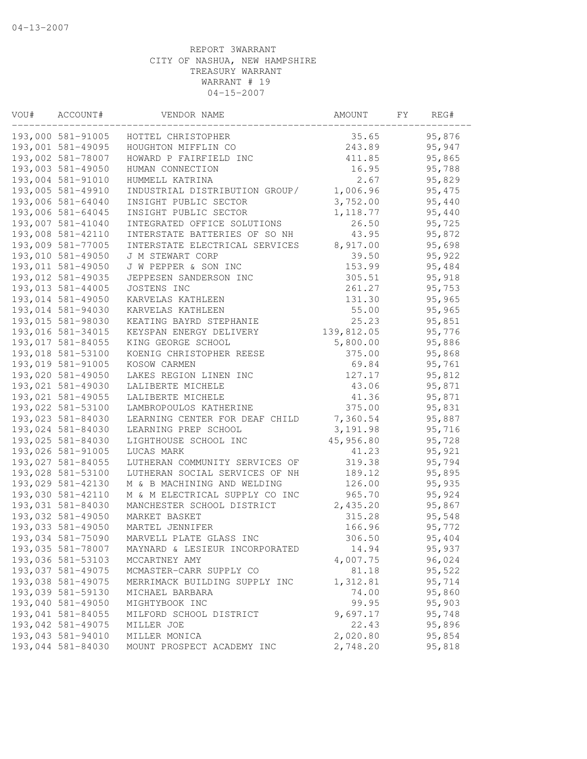| VOU# | ACCOUNT#          | VENDOR NAME                    | AMOUNT     | FΥ | REG#   |
|------|-------------------|--------------------------------|------------|----|--------|
|      | 193,000 581-91005 | HOTTEL CHRISTOPHER             | 35.65      |    | 95,876 |
|      | 193,001 581-49095 | HOUGHTON MIFFLIN CO            | 243.89     |    | 95,947 |
|      | 193,002 581-78007 | HOWARD P FAIRFIELD INC         | 411.85     |    | 95,865 |
|      | 193,003 581-49050 | HUMAN CONNECTION               | 16.95      |    | 95,788 |
|      | 193,004 581-91010 | HUMMELL KATRINA                | 2.67       |    | 95,829 |
|      | 193,005 581-49910 | INDUSTRIAL DISTRIBUTION GROUP/ | 1,006.96   |    | 95,475 |
|      | 193,006 581-64040 | INSIGHT PUBLIC SECTOR          | 3,752.00   |    | 95,440 |
|      | 193,006 581-64045 | INSIGHT PUBLIC SECTOR          | 1, 118.77  |    | 95,440 |
|      | 193,007 581-41040 | INTEGRATED OFFICE SOLUTIONS    | 26.50      |    | 95,725 |
|      | 193,008 581-42110 | INTERSTATE BATTERIES OF SO NH  | 43.95      |    | 95,872 |
|      | 193,009 581-77005 | INTERSTATE ELECTRICAL SERVICES | 8,917.00   |    | 95,698 |
|      | 193,010 581-49050 | J M STEWART CORP               | 39.50      |    | 95,922 |
|      | 193,011 581-49050 | J W PEPPER & SON INC           | 153.99     |    | 95,484 |
|      | 193,012 581-49035 | JEPPESEN SANDERSON INC         | 305.51     |    | 95,918 |
|      | 193,013 581-44005 | JOSTENS INC                    | 261.27     |    | 95,753 |
|      | 193,014 581-49050 | KARVELAS KATHLEEN              | 131.30     |    | 95,965 |
|      | 193,014 581-94030 | KARVELAS KATHLEEN              | 55.00      |    | 95,965 |
|      | 193,015 581-98030 | KEATING BAYRD STEPHANIE        | 25.23      |    | 95,851 |
|      | 193,016 581-34015 | KEYSPAN ENERGY DELIVERY        | 139,812.05 |    | 95,776 |
|      | 193,017 581-84055 | KING GEORGE SCHOOL             | 5,800.00   |    | 95,886 |
|      | 193,018 581-53100 | KOENIG CHRISTOPHER REESE       | 375.00     |    | 95,868 |
|      | 193,019 581-91005 | KOSOW CARMEN                   | 69.84      |    | 95,761 |
|      | 193,020 581-49050 | LAKES REGION LINEN INC         | 127.17     |    | 95,812 |
|      | 193,021 581-49030 | LALIBERTE MICHELE              | 43.06      |    | 95,871 |
|      | 193,021 581-49055 | LALIBERTE MICHELE              | 41.36      |    | 95,871 |
|      | 193,022 581-53100 | LAMBROPOULOS KATHERINE         | 375.00     |    | 95,831 |
|      | 193,023 581-84030 | LEARNING CENTER FOR DEAF CHILD | 7,360.54   |    | 95,887 |
|      | 193,024 581-84030 | LEARNING PREP SCHOOL           | 3, 191.98  |    | 95,716 |
|      | 193,025 581-84030 | LIGHTHOUSE SCHOOL INC          | 45,956.80  |    | 95,728 |
|      | 193,026 581-91005 | LUCAS MARK                     | 41.23      |    | 95,921 |
|      | 193,027 581-84055 | LUTHERAN COMMUNITY SERVICES OF | 319.38     |    | 95,794 |
|      | 193,028 581-53100 | LUTHERAN SOCIAL SERVICES OF NH | 189.12     |    | 95,895 |
|      | 193,029 581-42130 | M & B MACHINING AND WELDING    | 126.00     |    | 95,935 |
|      | 193,030 581-42110 | M & M ELECTRICAL SUPPLY CO INC | 965.70     |    | 95,924 |
|      | 193,031 581-84030 | MANCHESTER SCHOOL DISTRICT     | 2,435.20   |    | 95,867 |
|      | 193,032 581-49050 | MARKET BASKET                  | 315.28     |    | 95,548 |
|      | 193,033 581-49050 | MARTEL JENNIFER                | 166.96     |    | 95,772 |
|      | 193,034 581-75090 | MARVELL PLATE GLASS INC        | 306.50     |    | 95,404 |
|      | 193,035 581-78007 | MAYNARD & LESIEUR INCORPORATED | 14.94      |    | 95,937 |
|      | 193,036 581-53103 | MCCARTNEY AMY                  | 4,007.75   |    | 96,024 |
|      | 193,037 581-49075 | MCMASTER-CARR SUPPLY CO        | 81.18      |    | 95,522 |
|      | 193,038 581-49075 | MERRIMACK BUILDING SUPPLY INC  | 1,312.81   |    | 95,714 |
|      | 193,039 581-59130 | MICHAEL BARBARA                | 74.00      |    | 95,860 |
|      | 193,040 581-49050 | MIGHTYBOOK INC                 | 99.95      |    | 95,903 |
|      | 193,041 581-84055 | MILFORD SCHOOL DISTRICT        | 9,697.17   |    | 95,748 |
|      | 193,042 581-49075 | MILLER JOE                     | 22.43      |    | 95,896 |
|      | 193,043 581-94010 | MILLER MONICA                  | 2,020.80   |    | 95,854 |
|      | 193,044 581-84030 | MOUNT PROSPECT ACADEMY INC     | 2,748.20   |    | 95,818 |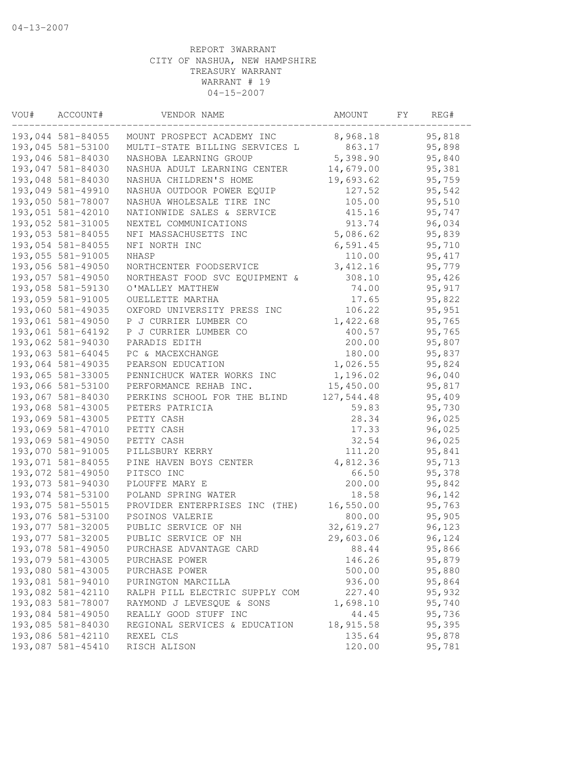| VOU# | ACCOUNT#          | VENDOR NAME                    | AMOUNT     | FΥ | REG#    |
|------|-------------------|--------------------------------|------------|----|---------|
|      | 193,044 581-84055 | MOUNT PROSPECT ACADEMY INC     | 8,968.18   |    | 95,818  |
|      | 193,045 581-53100 | MULTI-STATE BILLING SERVICES L | 863.17     |    | 95,898  |
|      | 193,046 581-84030 | NASHOBA LEARNING GROUP         | 5,398.90   |    | 95,840  |
|      | 193,047 581-84030 | NASHUA ADULT LEARNING CENTER   | 14,679.00  |    | 95,381  |
|      | 193,048 581-84030 | NASHUA CHILDREN'S HOME         | 19,693.62  |    | 95,759  |
|      | 193,049 581-49910 | NASHUA OUTDOOR POWER EQUIP     | 127.52     |    | 95,542  |
|      | 193,050 581-78007 | NASHUA WHOLESALE TIRE INC      | 105.00     |    | 95,510  |
|      | 193,051 581-42010 | NATIONWIDE SALES & SERVICE     | 415.16     |    | 95,747  |
|      | 193,052 581-31005 | NEXTEL COMMUNICATIONS          | 913.74     |    | 96,034  |
|      | 193,053 581-84055 | NFI MASSACHUSETTS INC          | 5,086.62   |    | 95,839  |
|      | 193,054 581-84055 | NFI NORTH INC                  | 6, 591.45  |    | 95,710  |
|      | 193,055 581-91005 | NHASP                          | 110.00     |    | 95, 417 |
|      | 193,056 581-49050 | NORTHCENTER FOODSERVICE        | 3, 412.16  |    | 95,779  |
|      | 193,057 581-49050 | NORTHEAST FOOD SVC EQUIPMENT & | 308.10     |    | 95,426  |
|      | 193,058 581-59130 | O'MALLEY MATTHEW               | 74.00      |    | 95,917  |
|      | 193,059 581-91005 | OUELLETTE MARTHA               | 17.65      |    | 95,822  |
|      | 193,060 581-49035 | OXFORD UNIVERSITY PRESS INC    | 106.22     |    | 95,951  |
|      | 193,061 581-49050 | P J CURRIER LUMBER CO          | 1,422.68   |    | 95,765  |
|      | 193,061 581-64192 | P J CURRIER LUMBER CO          | 400.57     |    | 95,765  |
|      | 193,062 581-94030 | PARADIS EDITH                  | 200.00     |    | 95,807  |
|      | 193,063 581-64045 | PC & MACEXCHANGE               | 180.00     |    | 95,837  |
|      | 193,064 581-49035 | PEARSON EDUCATION              | 1,026.55   |    | 95,824  |
|      | 193,065 581-33005 | PENNICHUCK WATER WORKS INC     | 1,196.02   |    | 96,040  |
|      | 193,066 581-53100 | PERFORMANCE REHAB INC.         | 15,450.00  |    | 95,817  |
|      | 193,067 581-84030 | PERKINS SCHOOL FOR THE BLIND   | 127,544.48 |    | 95,409  |
|      | 193,068 581-43005 | PETERS PATRICIA                | 59.83      |    | 95,730  |
|      | 193,069 581-43005 | PETTY CASH                     | 28.34      |    | 96,025  |
|      | 193,069 581-47010 | PETTY CASH                     | 17.33      |    | 96,025  |
|      | 193,069 581-49050 | PETTY CASH                     | 32.54      |    | 96,025  |
|      | 193,070 581-91005 | PILLSBURY KERRY                | 111.20     |    | 95,841  |
|      | 193,071 581-84055 | PINE HAVEN BOYS CENTER         | 4,812.36   |    | 95,713  |
|      | 193,072 581-49050 | PITSCO INC                     | 66.50      |    | 95,378  |
|      | 193,073 581-94030 | PLOUFFE MARY E                 | 200.00     |    | 95,842  |
|      | 193,074 581-53100 | POLAND SPRING WATER            | 18.58      |    | 96,142  |
|      | 193,075 581-55015 | PROVIDER ENTERPRISES INC (THE) | 16,550.00  |    | 95,763  |
|      | 193,076 581-53100 | PSOINOS VALERIE                | 800.00     |    | 95,905  |
|      | 193,077 581-32005 | PUBLIC SERVICE OF NH           | 32,619.27  |    | 96,123  |
|      | 193,077 581-32005 | PUBLIC SERVICE OF NH           | 29,603.06  |    | 96,124  |
|      | 193,078 581-49050 | PURCHASE ADVANTAGE CARD        | 88.44      |    | 95,866  |
|      | 193,079 581-43005 | PURCHASE POWER                 | 146.26     |    | 95,879  |
|      | 193,080 581-43005 | PURCHASE POWER                 | 500.00     |    | 95,880  |
|      | 193,081 581-94010 | PURINGTON MARCILLA             | 936.00     |    | 95,864  |
|      | 193,082 581-42110 | RALPH PILL ELECTRIC SUPPLY COM | 227.40     |    | 95,932  |
|      | 193,083 581-78007 | RAYMOND J LEVESQUE & SONS      | 1,698.10   |    | 95,740  |
|      | 193,084 581-49050 | REALLY GOOD STUFF INC          | 44.45      |    | 95,736  |
|      | 193,085 581-84030 | REGIONAL SERVICES & EDUCATION  | 18,915.58  |    | 95,395  |
|      | 193,086 581-42110 | REXEL CLS                      | 135.64     |    | 95,878  |
|      | 193,087 581-45410 | RISCH ALISON                   | 120.00     |    | 95,781  |
|      |                   |                                |            |    |         |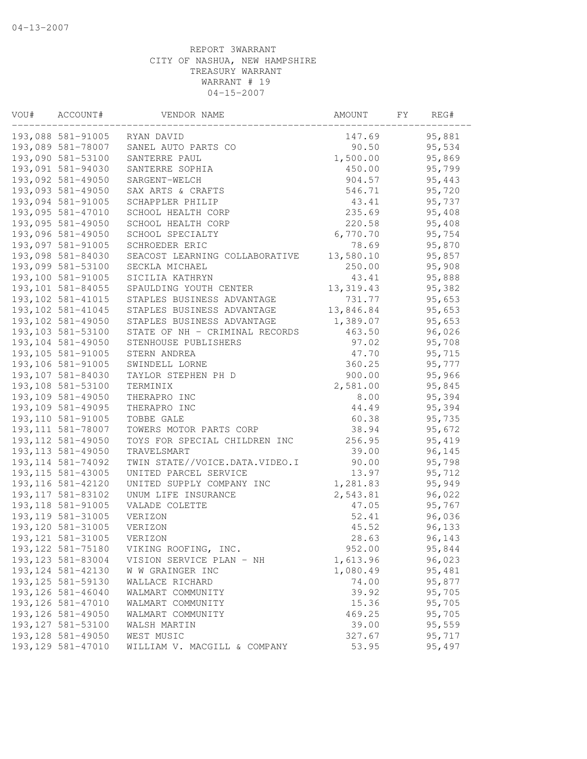| VOU# | ACCOUNT#           | VENDOR NAME                    | AMOUNT     | FY | REG#   |
|------|--------------------|--------------------------------|------------|----|--------|
|      | 193,088 581-91005  | RYAN DAVID                     | 147.69     |    | 95,881 |
|      | 193,089 581-78007  | SANEL AUTO PARTS CO            | 90.50      |    | 95,534 |
|      | 193,090 581-53100  | SANTERRE PAUL                  | 1,500.00   |    | 95,869 |
|      | 193,091 581-94030  | SANTERRE SOPHIA                | 450.00     |    | 95,799 |
|      | 193,092 581-49050  | SARGENT-WELCH                  | 904.57     |    | 95,443 |
|      | 193,093 581-49050  | SAX ARTS & CRAFTS              | 546.71     |    | 95,720 |
|      | 193,094 581-91005  | SCHAPPLER PHILIP               | 43.41      |    | 95,737 |
|      | 193,095 581-47010  | SCHOOL HEALTH CORP             | 235.69     |    | 95,408 |
|      | 193,095 581-49050  | SCHOOL HEALTH CORP             | 220.58     |    | 95,408 |
|      | 193,096 581-49050  | SCHOOL SPECIALTY               | 6,770.70   |    | 95,754 |
|      | 193,097 581-91005  | SCHROEDER ERIC                 | 78.69      |    | 95,870 |
|      | 193,098 581-84030  | SEACOST LEARNING COLLABORATIVE | 13,580.10  |    | 95,857 |
|      | 193,099 581-53100  | SECKLA MICHAEL                 | 250.00     |    | 95,908 |
|      | 193,100 581-91005  | SICILIA KATHRYN                | 43.41      |    | 95,888 |
|      | 193,101 581-84055  | SPAULDING YOUTH CENTER         | 13, 319.43 |    | 95,382 |
|      | 193, 102 581-41015 | STAPLES BUSINESS ADVANTAGE     | 731.77     |    | 95,653 |
|      | 193, 102 581-41045 | STAPLES BUSINESS ADVANTAGE     | 13,846.84  |    | 95,653 |
|      | 193,102 581-49050  | STAPLES BUSINESS ADVANTAGE     | 1,389.07   |    | 95,653 |
|      | 193,103 581-53100  | STATE OF NH - CRIMINAL RECORDS | 463.50     |    | 96,026 |
|      | 193,104 581-49050  | STENHOUSE PUBLISHERS           | 97.02      |    | 95,708 |
|      | 193, 105 581-91005 | STERN ANDREA                   | 47.70      |    | 95,715 |
|      | 193,106 581-91005  | SWINDELL LORNE                 | 360.25     |    | 95,777 |
|      | 193,107 581-84030  | TAYLOR STEPHEN PH D            | 900.00     |    | 95,966 |
|      | 193,108 581-53100  | TERMINIX                       | 2,581.00   |    | 95,845 |
|      | 193,109 581-49050  | THERAPRO INC                   | 8.00       |    | 95,394 |
|      | 193,109 581-49095  | THERAPRO INC                   | 44.49      |    | 95,394 |
|      | 193, 110 581-91005 | TOBBE GALE                     | 60.38      |    | 95,735 |
|      | 193, 111 581-78007 | TOWERS MOTOR PARTS CORP        | 38.94      |    | 95,672 |
|      | 193, 112 581-49050 | TOYS FOR SPECIAL CHILDREN INC  | 256.95     |    | 95,419 |
|      | 193, 113 581-49050 | TRAVELSMART                    | 39.00      |    | 96,145 |
|      | 193, 114 581-74092 | TWIN STATE//VOICE.DATA.VIDEO.I | 90.00      |    | 95,798 |
|      | 193, 115 581-43005 | UNITED PARCEL SERVICE          | 13.97      |    | 95,712 |
|      | 193, 116 581-42120 | UNITED SUPPLY COMPANY INC      | 1,281.83   |    | 95,949 |
|      | 193, 117 581-83102 | UNUM LIFE INSURANCE            | 2,543.81   |    | 96,022 |
|      | 193, 118 581-91005 | VALADE COLETTE                 | 47.05      |    | 95,767 |
|      | 193, 119 581-31005 | VERIZON                        | 52.41      |    | 96,036 |
|      | 193, 120 581-31005 | VERIZON                        | 45.52      |    | 96,133 |
|      | 193, 121 581-31005 | VERIZON                        | 28.63      |    | 96,143 |
|      | 193, 122 581-75180 | VIKING ROOFING, INC.           | 952.00     |    | 95,844 |
|      | 193, 123 581-83004 | VISION SERVICE PLAN - NH       | 1,613.96   |    | 96,023 |
|      | 193, 124 581-42130 | W W GRAINGER INC               | 1,080.49   |    | 95,481 |
|      | 193, 125 581-59130 | WALLACE RICHARD                | 74.00      |    | 95,877 |
|      | 193, 126 581-46040 | WALMART COMMUNITY              | 39.92      |    | 95,705 |
|      | 193, 126 581-47010 | WALMART COMMUNITY              | 15.36      |    | 95,705 |
|      | 193, 126 581-49050 | WALMART COMMUNITY              | 469.25     |    | 95,705 |
|      | 193, 127 581-53100 | WALSH MARTIN                   | 39.00      |    | 95,559 |
|      | 193, 128 581-49050 | WEST MUSIC                     | 327.67     |    | 95,717 |
|      | 193, 129 581-47010 | WILLIAM V. MACGILL & COMPANY   | 53.95      |    | 95,497 |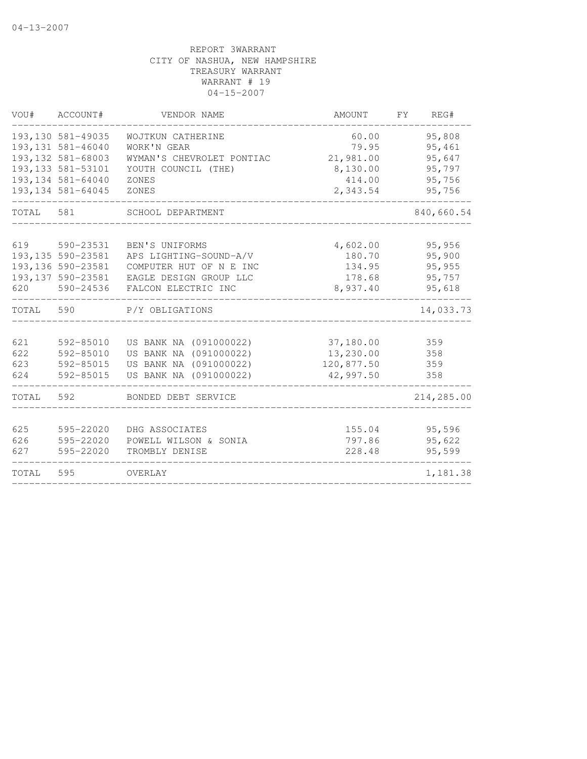| VOU#  | ACCOUNT#           | VENDOR NAME               | AMOUNT     | FY | REG#       |
|-------|--------------------|---------------------------|------------|----|------------|
|       | 193, 130 581-49035 | WOJTKUN CATHERINE         | 60.00      |    | 95,808     |
|       | 193, 131 581-46040 | WORK'N GEAR               | 79.95      |    | 95,461     |
|       | 193, 132 581-68003 | WYMAN'S CHEVROLET PONTIAC | 21,981.00  |    | 95,647     |
|       | 193, 133 581-53101 | YOUTH COUNCIL (THE)       | 8,130.00   |    | 95,797     |
|       | 193, 134 581-64040 | ZONES                     | 414.00     |    | 95,756     |
|       | 193, 134 581-64045 | ZONES                     | 2,343.54   |    | 95,756     |
| TOTAL | 581                | SCHOOL DEPARTMENT         |            |    | 840,660.54 |
| 619   | 590-23531          | BEN'S UNIFORMS            | 4,602.00   |    | 95,956     |
|       | 193, 135 590-23581 | APS LIGHTING-SOUND-A/V    | 180.70     |    | 95,900     |
|       | 193, 136 590-23581 | COMPUTER HUT OF N E INC   | 134.95     |    | 95,955     |
|       | 193, 137 590-23581 | EAGLE DESIGN GROUP LLC    | 178.68     |    | 95,757     |
|       | 620 590-24536      | FALCON ELECTRIC INC       | 8,937.40   |    | 95,618     |
| TOTAL | 590                | P/Y OBLIGATIONS           |            |    | 14,033.73  |
|       |                    |                           |            |    |            |
| 621   | 592-85010          | US BANK NA (091000022)    | 37,180.00  |    | 359        |
| 622   | 592-85010          | US BANK NA (091000022)    | 13,230.00  |    | 358        |
| 623   | 592-85015          | US BANK NA (091000022)    | 120,877.50 |    | 359        |
| 624   | 592-85015          | US BANK NA (091000022)    | 42,997.50  |    | 358        |
| TOTAL | 592                | BONDED DEBT SERVICE       |            |    | 214,285.00 |
| 625   | 595-22020          | DHG ASSOCIATES            | 155.04     |    | 95,596     |
| 626   | 595-22020          | POWELL WILSON & SONIA     | 797.86     |    | 95,622     |
| 627   | 595-22020          | TROMBLY DENISE            | 228.48     |    | 95,599     |
| TOTAL | 595                | OVERLAY                   |            |    | 1,181.38   |
|       |                    |                           |            |    |            |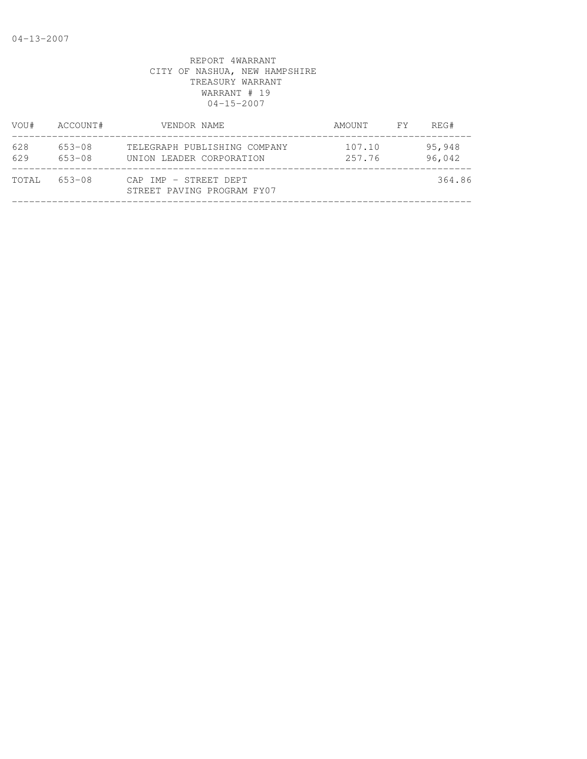| VOU#       | ACCOUNT#                 | VENDOR NAME                                              | AMOUNT           | FY | REG#             |
|------------|--------------------------|----------------------------------------------------------|------------------|----|------------------|
| 628<br>629 | $653 - 08$<br>$653 - 08$ | TELEGRAPH PUBLISHING COMPANY<br>UNION LEADER CORPORATION | 107.10<br>257.76 |    | 95,948<br>96,042 |
| TOTAL      | $653 - 08$               | CAP IMP - STREET DEPT<br>STREET PAVING PROGRAM FY07      |                  |    | 364.86           |
|            |                          |                                                          |                  |    |                  |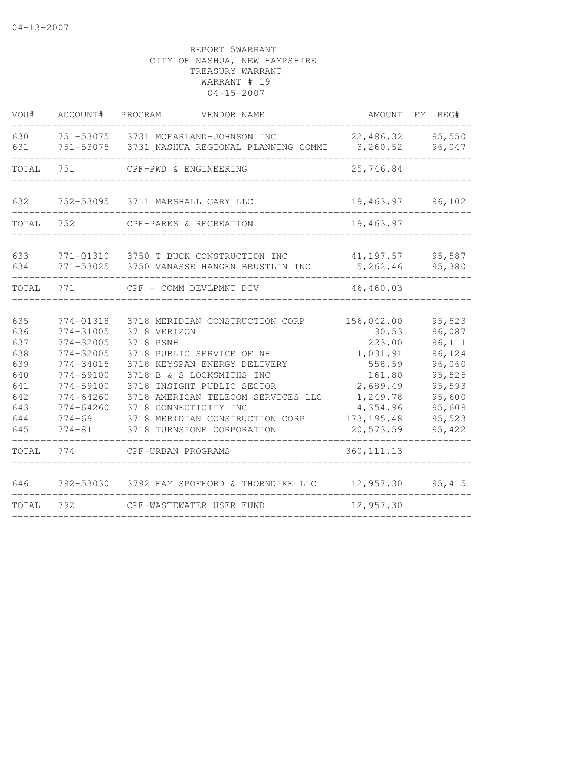| VOU#                                                                      | ACCOUNT#                                                                                                                                              | PROGRAM<br>VENDOR NAME                                                                                                                                                                                                                                                                                               |                                                                                                                               | AMOUNT FY REG#                                                                                             |
|---------------------------------------------------------------------------|-------------------------------------------------------------------------------------------------------------------------------------------------------|----------------------------------------------------------------------------------------------------------------------------------------------------------------------------------------------------------------------------------------------------------------------------------------------------------------------|-------------------------------------------------------------------------------------------------------------------------------|------------------------------------------------------------------------------------------------------------|
| 630<br>631                                                                | 751-53075                                                                                                                                             | 751-53075 3731 MCFARLAND-JOHNSON INC<br>3731 NASHUA REGIONAL PLANNING COMMI                                                                                                                                                                                                                                          | 22,486.32<br>3,260.52                                                                                                         | 95,550<br>96,047                                                                                           |
| TOTAL                                                                     | 751                                                                                                                                                   | CPF-PWD & ENGINEERING                                                                                                                                                                                                                                                                                                | 25,746.84                                                                                                                     |                                                                                                            |
| 632                                                                       |                                                                                                                                                       | 752-53095 3711 MARSHALL GARY LLC                                                                                                                                                                                                                                                                                     | 19,463.97                                                                                                                     | 96,102                                                                                                     |
| TOTAL                                                                     | 752                                                                                                                                                   | CPF-PARKS & RECREATION                                                                                                                                                                                                                                                                                               | 19,463.97                                                                                                                     |                                                                                                            |
| 633<br>634                                                                | 771-53025                                                                                                                                             | 771-01310 3750 T BUCK CONSTRUCTION INC<br>3750 VANASSE HANGEN BRUSTLIN INC                                                                                                                                                                                                                                           | 41,197.57<br>5,262.46                                                                                                         | 95,587<br>95,380                                                                                           |
| TOTAL                                                                     | 771                                                                                                                                                   | CPF - COMM DEVLPMNT DIV                                                                                                                                                                                                                                                                                              | 46,460.03                                                                                                                     |                                                                                                            |
| 635<br>636<br>637<br>638<br>639<br>640<br>641<br>642<br>643<br>644<br>645 | 774-01318<br>$774 - 31005$<br>774-32005<br>774-32005<br>774-34015<br>774-59100<br>774-59100<br>$774 - 64260$<br>774-64260<br>$774 - 69$<br>$774 - 81$ | 3718 MERIDIAN CONSTRUCTION CORP<br>3718 VERIZON<br>3718 PSNH<br>3718 PUBLIC SERVICE OF NH<br>3718 KEYSPAN ENERGY DELIVERY<br>3718 B & S LOCKSMITHS INC<br>3718 INSIGHT PUBLIC SECTOR<br>3718 AMERICAN TELECOM SERVICES LLC<br>3718 CONNECTICITY INC<br>3718 MERIDIAN CONSTRUCTION CORP<br>3718 TURNSTONE CORPORATION | 156,042.00<br>30.53<br>223.00<br>1,031.91<br>558.59<br>161.80<br>2,689.49<br>1,249.78<br>4,354.96<br>173, 195.48<br>20,573.59 | 95,523<br>96,087<br>96,111<br>96,124<br>96,060<br>95,525<br>95,593<br>95,600<br>95,609<br>95,523<br>95,422 |
| TOTAL                                                                     | 774                                                                                                                                                   | CPF-URBAN PROGRAMS                                                                                                                                                                                                                                                                                                   | 360, 111.13                                                                                                                   |                                                                                                            |
| 646                                                                       |                                                                                                                                                       | 792-53030 3792 FAY SPOFFORD & THORNDIKE LLC                                                                                                                                                                                                                                                                          | 12,957.30                                                                                                                     | 95,415                                                                                                     |
| TOTAL                                                                     | 792                                                                                                                                                   | CPF-WASTEWATER USER FUND                                                                                                                                                                                                                                                                                             | 12,957.30                                                                                                                     |                                                                                                            |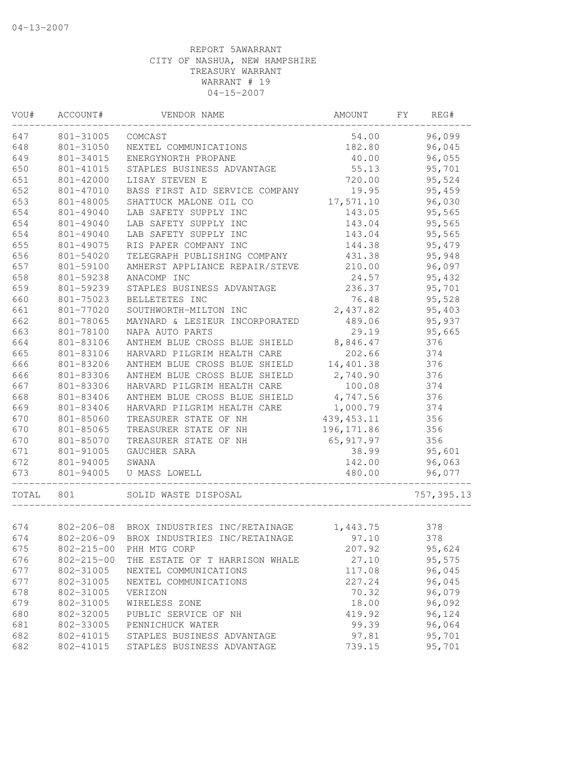| VOU#  | ACCOUNT#         | VENDOR NAME                                       | AMOUNT      | FΥ | REG#        |
|-------|------------------|---------------------------------------------------|-------------|----|-------------|
| 647   | 801-31005        | COMCAST                                           | 54.00       |    | 96,099      |
| 648   | 801-31050        | NEXTEL COMMUNICATIONS                             | 182.80      |    | 96,045      |
| 649   | 801-34015        | ENERGYNORTH PROPANE                               | 40.00       |    | 96,055      |
| 650   | 801-41015        | STAPLES BUSINESS ADVANTAGE                        | 55.13       |    | 95,701      |
| 651   | 801-42000        | LISAY STEVEN E                                    | 720.00      |    | 95,524      |
| 652   | 801-47010        | BASS FIRST AID SERVICE COMPANY                    | 19.95       |    | 95,459      |
| 653   | 801-48005        | SHATTUCK MALONE OIL CO                            | 17,571.10   |    | 96,030      |
| 654   | 801-49040        | LAB SAFETY SUPPLY INC                             | 143.05      |    | 95,565      |
| 654   | 801-49040        | LAB SAFETY SUPPLY INC                             | 143.04      |    | 95,565      |
| 654   | 801-49040        | LAB SAFETY SUPPLY INC                             | 143.04      |    | 95,565      |
| 655   | 801-49075        | RIS PAPER COMPANY INC                             | 144.38      |    | 95,479      |
| 656   | 801-54020        | TELEGRAPH PUBLISHING COMPANY                      | 431.38      |    | 95,948      |
| 657   | 801-59100        | AMHERST APPLIANCE REPAIR/STEVE                    | 210.00      |    | 96,097      |
| 658   | 801-59238        | ANACOMP INC                                       | 24.57       |    | 95,432      |
| 659   | 801-59239        | STAPLES BUSINESS ADVANTAGE                        | 236.37      |    | 95,701      |
| 660   | 801-75023        | BELLETETES INC                                    | 76.48       |    | 95,528      |
| 661   | 801-77020        | SOUTHWORTH-MILTON INC                             | 2,437.82    |    | 95,403      |
| 662   | 801-78065        | MAYNARD & LESIEUR INCORPORATED                    | 489.06      |    | 95,937      |
| 663   | 801-78100        | NAPA AUTO PARTS                                   | 29.19       |    | 95,665      |
| 664   | 801-83106        | ANTHEM BLUE CROSS BLUE SHIELD                     | 8,846.47    |    | 376         |
| 665   | 801-83106        | HARVARD PILGRIM HEALTH CARE                       | 202.66      |    | 374         |
| 666   | 801-83206        | ANTHEM BLUE CROSS BLUE SHIELD                     | 14,401.38   |    | 376         |
| 666   | 801-83306        | ANTHEM BLUE CROSS BLUE SHIELD                     | 2,740.90    |    | 376         |
| 667   | 801-83306        | HARVARD PILGRIM HEALTH CARE                       | 100.08      |    | 374         |
| 668   | 801-83406        | ANTHEM BLUE CROSS BLUE SHIELD                     | 4,747.56    |    | 376         |
| 669   | 801-83406        | HARVARD PILGRIM HEALTH CARE                       | 1,000.79    |    | 374         |
| 670   | 801-85060        | TREASURER STATE OF NH                             | 439, 453.11 |    | 356         |
| 670   | 801-85065        | TREASURER STATE OF NH                             | 196, 171.86 |    | 356         |
| 670   | 801-85070        | TREASURER STATE OF NH                             | 65, 917.97  |    | 356         |
| 671   | 801-91005        | GAUCHER SARA                                      | 38.99       |    | 95,601      |
| 672   | 801-94005        | SWANA                                             | 142.00      |    | 96,063      |
| 673   | 801-94005        | U MASS LOWELL                                     | 480.00      |    | 96,077      |
| TOTAL | 801              | SOLID WASTE DISPOSAL                              |             |    | 757, 395.13 |
|       |                  |                                                   |             |    |             |
| 674   |                  | 802-206-08 BROX INDUSTRIES INC/RETAINAGE 1,443.75 |             |    | 378         |
| 674   |                  | 802-206-09 BROX INDUSTRIES INC/RETAINAGE 97.10    |             |    | 378         |
| 675   | $802 - 215 - 00$ | PHH MTG CORP                                      | 207.92      |    | 95,624      |
| 676   | $802 - 215 - 00$ | THE ESTATE OF T HARRISON WHALE                    | 27.10       |    | 95,575      |
| 677   | 802-31005        | NEXTEL COMMUNICATIONS                             | 117.08      |    | 96,045      |
| 677   | 802-31005        | NEXTEL COMMUNICATIONS                             | 227.24      |    | 96,045      |
| 678   | 802-31005        | VERIZON                                           | 70.32       |    | 96,079      |
| 679   | 802-31005        | WIRELESS ZONE                                     | 18.00       |    | 96,092      |
| 680   | 802-32005        | PUBLIC SERVICE OF NH                              | 419.92      |    | 96,124      |
| 681   | 802-33005        | PENNICHUCK WATER                                  | 99.39       |    | 96,064      |
| 682   | 802-41015        | STAPLES BUSINESS ADVANTAGE                        | 97.81       |    | 95,701      |
| 682   | 802-41015        | STAPLES BUSINESS ADVANTAGE                        | 739.15      |    | 95,701      |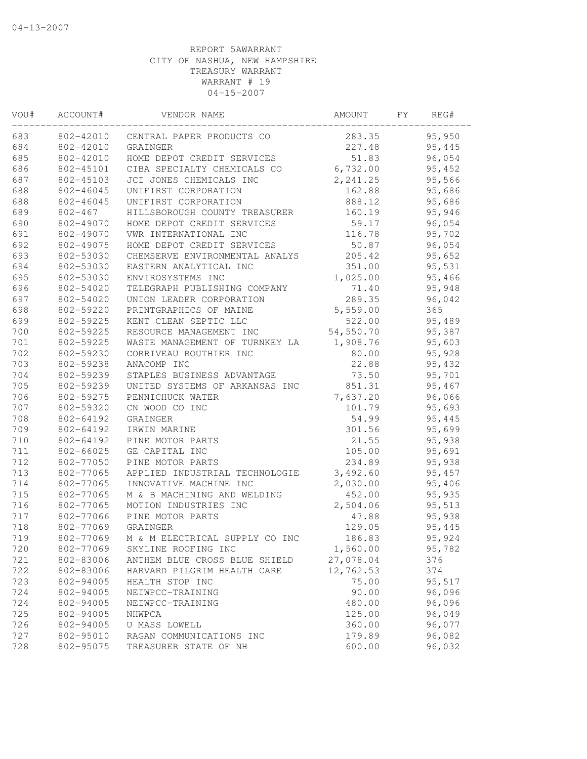| VOU# | ACCOUNT#    | VENDOR NAME                    | AMOUNT    | FY | REG#   |
|------|-------------|--------------------------------|-----------|----|--------|
| 683  | 802-42010   | CENTRAL PAPER PRODUCTS CO      | 283.35    |    | 95,950 |
| 684  | 802-42010   | GRAINGER                       | 227.48    |    | 95,445 |
| 685  | 802-42010   | HOME DEPOT CREDIT SERVICES     | 51.83     |    | 96,054 |
| 686  | 802-45101   | CIBA SPECIALTY CHEMICALS CO    | 6,732.00  |    | 95,452 |
| 687  | 802-45103   | JCI JONES CHEMICALS INC        | 2, 241.25 |    | 95,566 |
| 688  | 802-46045   | UNIFIRST CORPORATION           | 162.88    |    | 95,686 |
| 688  | 802-46045   | UNIFIRST CORPORATION           | 888.12    |    | 95,686 |
| 689  | $802 - 467$ | HILLSBOROUGH COUNTY TREASURER  | 160.19    |    | 95,946 |
| 690  | 802-49070   | HOME DEPOT CREDIT SERVICES     | 59.17     |    | 96,054 |
| 691  | 802-49070   | VWR INTERNATIONAL INC          | 116.78    |    | 95,702 |
| 692  | 802-49075   | HOME DEPOT CREDIT SERVICES     | 50.87     |    | 96,054 |
| 693  | 802-53030   | CHEMSERVE ENVIRONMENTAL ANALYS | 205.42    |    | 95,652 |
| 694  | 802-53030   | EASTERN ANALYTICAL INC         | 351.00    |    | 95,531 |
| 695  | 802-53030   | ENVIROSYSTEMS INC              | 1,025.00  |    | 95,466 |
| 696  | 802-54020   | TELEGRAPH PUBLISHING COMPANY   | 71.40     |    | 95,948 |
| 697  | 802-54020   | UNION LEADER CORPORATION       | 289.35    |    | 96,042 |
| 698  | 802-59220   | PRINTGRAPHICS OF MAINE         | 5,559.00  |    | 365    |
| 699  | 802-59225   | KENT CLEAN SEPTIC LLC          | 522.00    |    | 95,489 |
| 700  | 802-59225   | RESOURCE MANAGEMENT INC        | 54,550.70 |    | 95,387 |
| 701  | 802-59225   | WASTE MANAGEMENT OF TURNKEY LA | 1,908.76  |    | 95,603 |
| 702  | 802-59230   | CORRIVEAU ROUTHIER INC         | 80.00     |    | 95,928 |
| 703  | 802-59238   | ANACOMP INC                    | 22.88     |    | 95,432 |
| 704  | 802-59239   | STAPLES BUSINESS ADVANTAGE     | 73.50     |    | 95,701 |
| 705  | 802-59239   | UNITED SYSTEMS OF ARKANSAS INC | 851.31    |    | 95,467 |
| 706  | 802-59275   | PENNICHUCK WATER               | 7,637.20  |    | 96,066 |
| 707  | 802-59320   | CN WOOD CO INC                 | 101.79    |    | 95,693 |
| 708  | 802-64192   | GRAINGER                       | 54.99     |    | 95,445 |
| 709  | 802-64192   | IRWIN MARINE                   | 301.56    |    | 95,699 |
| 710  | 802-64192   | PINE MOTOR PARTS               | 21.55     |    | 95,938 |
| 711  | 802-66025   | GE CAPITAL INC                 | 105.00    |    | 95,691 |
| 712  | 802-77050   | PINE MOTOR PARTS               | 234.89    |    | 95,938 |
| 713  | 802-77065   | APPLIED INDUSTRIAL TECHNOLOGIE | 3,492.60  |    | 95,457 |
| 714  | 802-77065   | INNOVATIVE MACHINE INC         | 2,030.00  |    | 95,406 |
| 715  | 802-77065   | M & B MACHINING AND WELDING    | 452.00    |    | 95,935 |
| 716  | 802-77065   | MOTION INDUSTRIES INC          | 2,504.06  |    | 95,513 |
| 717  | 802-77066   | PINE MOTOR PARTS               | 47.88     |    | 95,938 |
| 718  | 802-77069   | GRAINGER                       | 129.05    |    | 95,445 |
| 719  | 802-77069   | M & M ELECTRICAL SUPPLY CO INC | 186.83    |    | 95,924 |
| 720  | 802-77069   | SKYLINE ROOFING INC            | 1,560.00  |    | 95,782 |
| 721  | 802-83006   | ANTHEM BLUE CROSS BLUE SHIELD  | 27,078.04 |    | 376    |
| 722  | 802-83006   | HARVARD PILGRIM HEALTH CARE    | 12,762.53 |    | 374    |
| 723  | 802-94005   | HEALTH STOP INC                | 75.00     |    | 95,517 |
| 724  | 802-94005   | NEIWPCC-TRAINING               | 90.00     |    | 96,096 |
| 724  | 802-94005   | NEIWPCC-TRAINING               | 480.00    |    | 96,096 |
| 725  | 802-94005   | NHWPCA                         | 125.00    |    | 96,049 |
| 726  | 802-94005   | U MASS LOWELL                  | 360.00    |    | 96,077 |
| 727  | 802-95010   | RAGAN COMMUNICATIONS INC       | 179.89    |    | 96,082 |
| 728  | 802-95075   | TREASURER STATE OF NH          | 600.00    |    | 96,032 |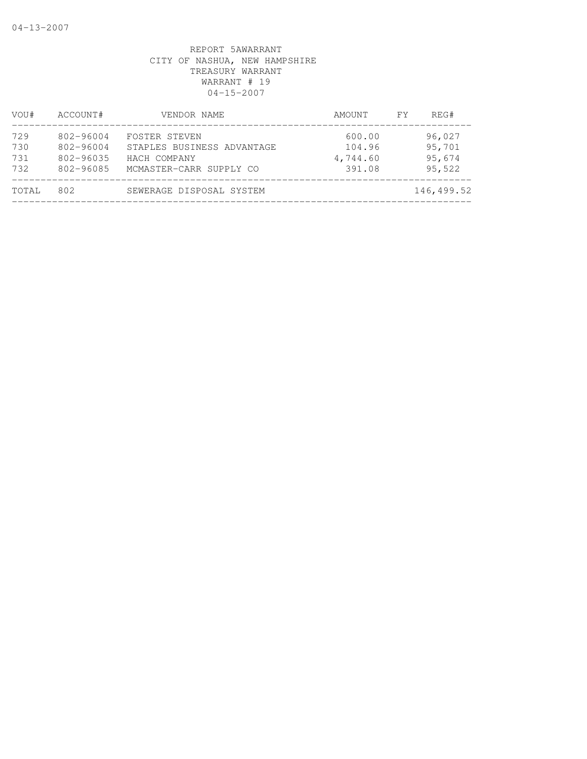| VOU#                     | ACCOUNT#                                         | VENDOR NAME                                                                            | AMOUNT                                 | FY. | REG#                                 |
|--------------------------|--------------------------------------------------|----------------------------------------------------------------------------------------|----------------------------------------|-----|--------------------------------------|
| 729<br>730<br>731<br>732 | 802-96004<br>802-96004<br>802-96035<br>802-96085 | FOSTER STEVEN<br>STAPLES BUSINESS ADVANTAGE<br>HACH COMPANY<br>MCMASTER-CARR SUPPLY CO | 600.00<br>104.96<br>4,744.60<br>391.08 |     | 96,027<br>95,701<br>95,674<br>95,522 |
| TOTAL                    | 802                                              | SEWERAGE DISPOSAL SYSTEM                                                               |                                        |     | 146,499.52                           |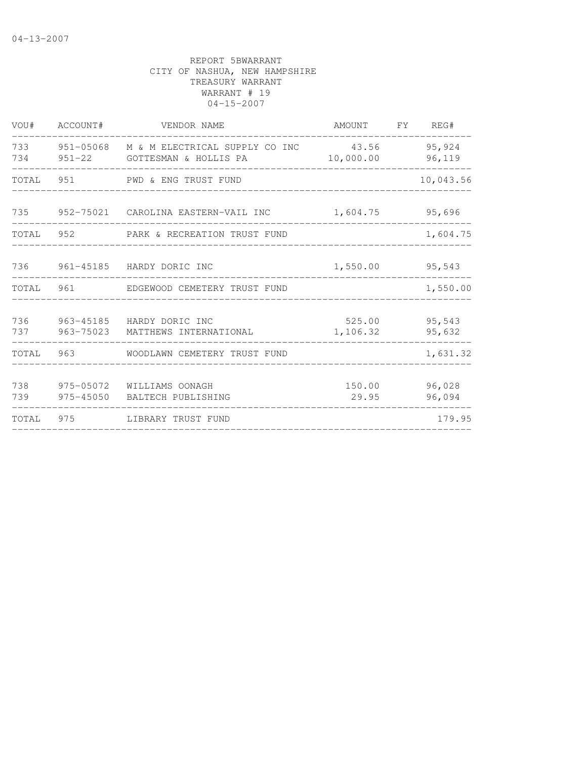| VOU#       | ACCOUNT#  | VENDOR NAME                                                                    | AMOUNT             | FY REG#          |
|------------|-----------|--------------------------------------------------------------------------------|--------------------|------------------|
| 733<br>734 |           | 951-05068 M & M ELECTRICAL SUPPLY CO INC<br>951-22       GOTTESMAN & HOLLIS PA | 43.56<br>10,000.00 | 95,924<br>96,119 |
| TOTAL      | 951       | PWD & ENG TRUST FUND                                                           |                    | 10,043.56        |
|            |           | 735 952-75021 CAROLINA EASTERN-VAIL INC                                        | 1,604.75           | 95,696           |
| TOTAL 952  |           | PARK & RECREATION TRUST FUND                                                   |                    | 1,604.75         |
| 736        |           | 961-45185 HARDY DORIC INC                                                      | 1,550.00 95,543    |                  |
| TOTAL      | 961       | EDGEWOOD CEMETERY TRUST FUND                                                   |                    | 1,550.00         |
| 736<br>737 | 963-75023 | 963-45185 HARDY DORIC INC<br>MATTHEWS INTERNATIONAL                            | 525.00<br>1,106.32 | 95,543<br>95,632 |
| TOTAL      | 963       | WOODLAWN CEMETERY TRUST FUND                                                   |                    | 1,631.32         |
| 738<br>739 | 975-45050 | 975-05072 WILLIAMS OONAGH<br>BALTECH PUBLISHING                                | 150.00<br>29.95    | 96,028<br>96,094 |
| TOTAL      | 975       | LIBRARY TRUST FUND                                                             |                    | 179.95           |
|            |           |                                                                                |                    |                  |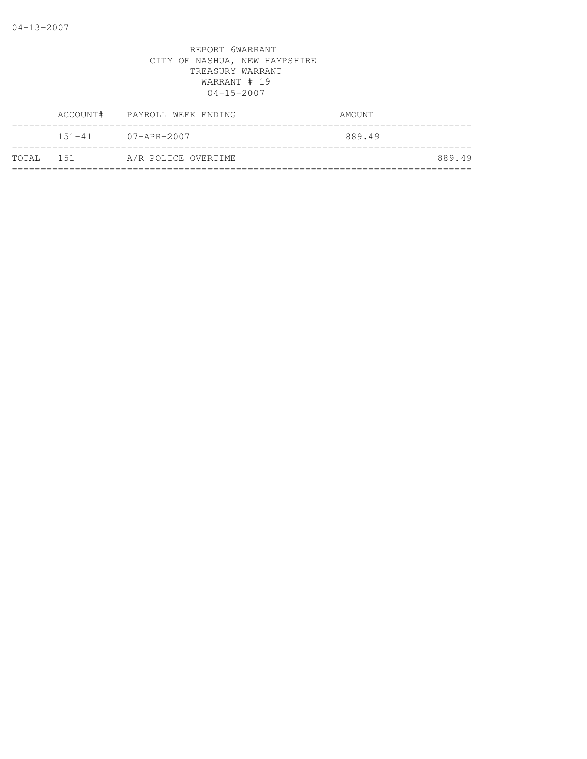|           | ACCOUNT# PAYROLL WEEK ENDING | AMOUNT |
|-----------|------------------------------|--------|
|           | $151 - 41$ $07 - APR - 2007$ | 889.49 |
| TOTAL 151 | A/R POLICE OVERTIME          | 889.49 |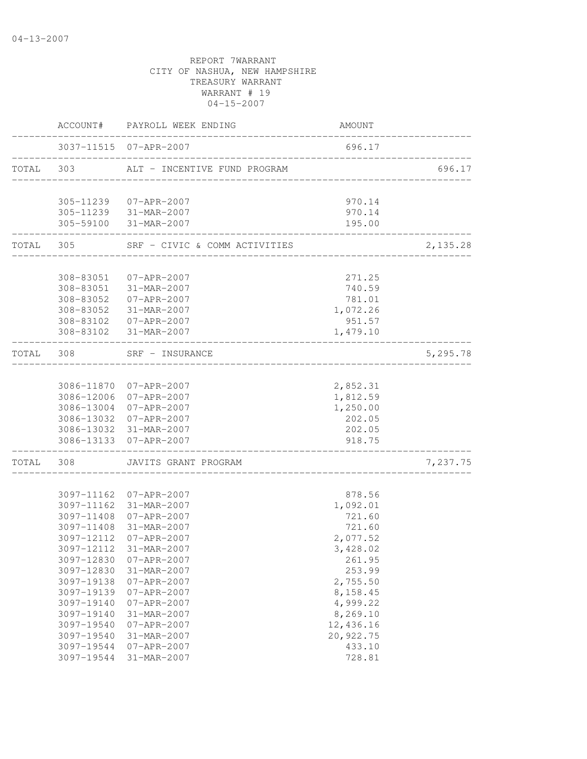|           |            | ACCOUNT# PAYROLL WEEK ENDING                     | AMOUNT                            |          |
|-----------|------------|--------------------------------------------------|-----------------------------------|----------|
|           |            | 3037-11515 07-APR-2007                           | 696.17                            |          |
| TOTAL 303 |            | ALT - INCENTIVE FUND PROGRAM                     | _________________________________ | 696.17   |
|           |            | 305-11239 07-APR-2007                            | 970.14                            |          |
|           |            | 305-11239 31-MAR-2007                            | 970.14                            |          |
|           |            | 305-59100 31-MAR-2007                            | 195.00                            |          |
|           | TOTAL 305  | SRF - CIVIC & COMM ACTIVITIES                    |                                   | 2,135.28 |
|           |            |                                                  |                                   |          |
|           |            | 308-83051 07-APR-2007                            | 271.25                            |          |
|           |            | 308-83051 31-MAR-2007<br>308-83052 07-APR-2007   | 740.59<br>781.01                  |          |
|           | 308-83052  | 31-MAR-2007                                      | 1,072.26                          |          |
|           | 308-83102  | 07-APR-2007                                      | 951.57                            |          |
|           |            | 308-83102 31-MAR-2007                            | 1,479.10                          |          |
| TOTAL     | 308        | SRF - INSURANCE                                  |                                   | 5,295.78 |
|           |            |                                                  |                                   |          |
|           |            | 3086-11870 07-APR-2007                           | 2,852.31                          |          |
|           |            | 3086-12006 07-APR-2007                           | 1,812.59                          |          |
|           |            | 3086-13004 07-APR-2007                           | 1,250.00                          |          |
|           |            | 3086-13032 07-APR-2007                           | 202.05                            |          |
|           |            | 3086-13032 31-MAR-2007<br>3086-13133 07-APR-2007 | 202.05<br>918.75                  |          |
| TOTAL     | 308        | JAVITS GRANT PROGRAM                             |                                   | 7,237.75 |
|           |            |                                                  |                                   |          |
|           |            | 3097-11162 07-APR-2007                           | 878.56                            |          |
|           |            | 3097-11162 31-MAR-2007                           | 1,092.01                          |          |
|           |            | 3097-11408 07-APR-2007                           | 721.60                            |          |
|           |            | 3097-11408 31-MAR-2007                           | 721.60                            |          |
|           | 3097-12112 | 07-APR-2007                                      | 2,077.52                          |          |
|           |            | 3097-12112 31-MAR-2007                           | 3,428.02                          |          |
|           | 3097-12830 | 07-APR-2007                                      | 261.95                            |          |
|           | 3097-12830 | 31-MAR-2007                                      | 253.99                            |          |
|           | 3097-19138 | $07 - APR - 2007$                                | 2,755.50                          |          |
|           | 3097-19139 | $07 - APR - 2007$                                | 8,158.45                          |          |
|           | 3097-19140 | $07 - APR - 2007$                                | 4,999.22                          |          |
|           | 3097-19140 | 31-MAR-2007                                      | 8,269.10                          |          |
|           | 3097-19540 | $07 - APR - 2007$                                | 12,436.16                         |          |
|           | 3097-19540 | 31-MAR-2007                                      | 20,922.75                         |          |
|           | 3097-19544 | $07 - APR - 2007$                                | 433.10                            |          |
|           | 3097-19544 | 31-MAR-2007                                      | 728.81                            |          |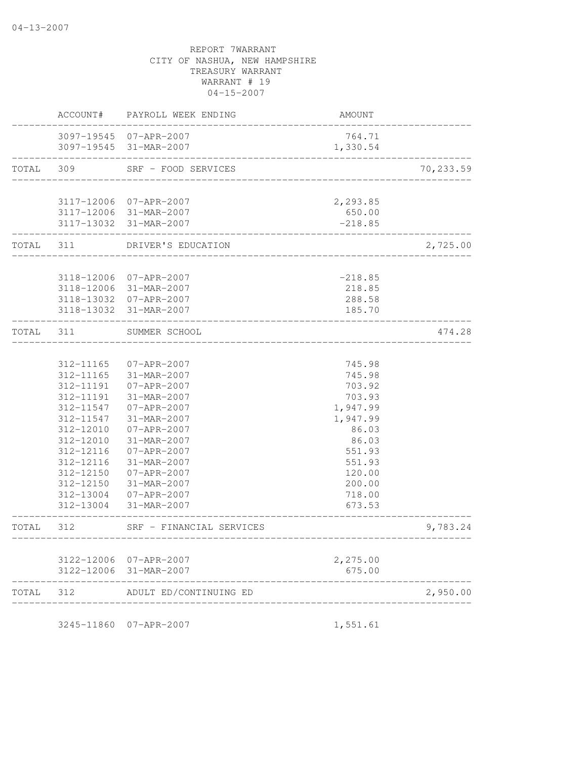|           | AMOUNT                             | ACCOUNT# PAYROLL WEEK ENDING                     |                        |           |
|-----------|------------------------------------|--------------------------------------------------|------------------------|-----------|
|           | 764.71<br>1,330.54                 | 3097-19545 07-APR-2007<br>3097-19545 31-MAR-2007 |                        |           |
| 70,233.59 |                                    | SRF - FOOD SERVICES                              | 309                    | TOTAL     |
|           |                                    |                                                  |                        |           |
|           | 2,293.85<br>650.00                 | 3117-12006 07-APR-2007<br>3117-12006 31-MAR-2007 |                        |           |
|           | $-218.85$                          | 3117-13032 31-MAR-2007                           |                        |           |
| 2,725.00  | ____________________               | TOTAL 311 DRIVER'S EDUCATION                     | .                      |           |
|           |                                    |                                                  |                        |           |
|           | $-218.85$<br>218.85                | 3118-12006 07-APR-2007<br>3118-12006 31-MAR-2007 |                        |           |
|           | 288.58                             | 3118-13032 07-APR-2007                           |                        |           |
|           | 185.70                             | 3118-13032 31-MAR-2007                           |                        |           |
| 474.28    |                                    | SUMMER SCHOOL                                    | 311                    | TOTAL     |
|           |                                    |                                                  |                        |           |
|           | 745.98                             | 07-APR-2007                                      | 312-11165              |           |
|           | 745.98                             | 31-MAR-2007                                      | 312-11165              |           |
|           | 703.92                             | $07 - APR - 2007$                                | 312-11191              |           |
|           | 703.93                             | 31-MAR-2007                                      | 312-11191              |           |
|           | 1,947.99                           | 07-APR-2007                                      | 312-11547              |           |
|           | 1,947.99                           | 31-MAR-2007                                      | 312-11547              |           |
|           | 86.03                              | 07-APR-2007                                      | 312-12010              |           |
|           | 86.03                              | 31-MAR-2007                                      | 312-12010              |           |
|           | 551.93                             | 07-APR-2007                                      | 312-12116              |           |
|           | 551.93                             | 31-MAR-2007<br>07-APR-2007                       | 312-12116              |           |
|           | 120.00<br>200.00                   | 31-MAR-2007                                      | 312-12150<br>312-12150 |           |
|           | 718.00                             | 07-APR-2007                                      | 312-13004              |           |
|           | 673.53                             | 31-MAR-2007                                      | $312 - 13004$          |           |
| 9,783.24  | __________________________________ | SRF - FINANCIAL SERVICES                         | 312                    | TOTAL     |
|           | 2,275.00                           | 3122-12006 07-APR-2007                           |                        |           |
|           | 675.00                             | 3122-12006 31-MAR-2007                           |                        |           |
| 2,950.00  |                                    | ADULT ED/CONTINUING ED                           |                        | TOTAL 312 |

3245-11860 07-APR-2007 1,551.61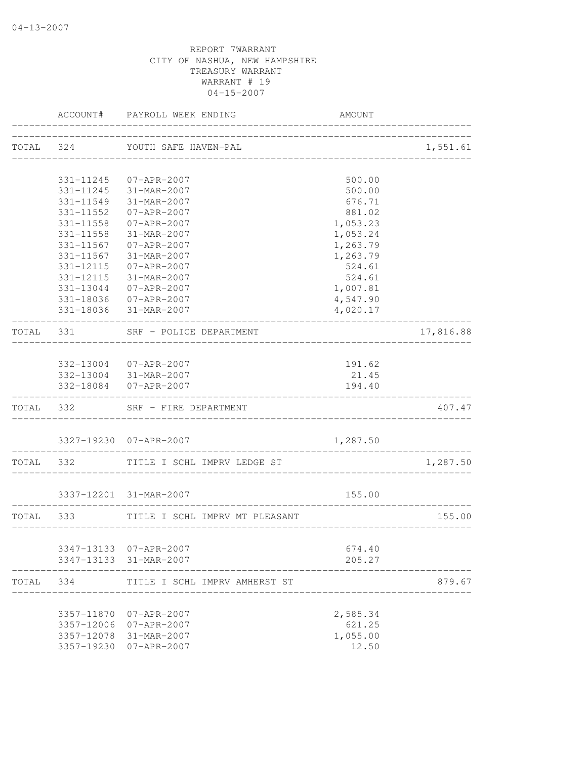|           | ACCOUNT#               | PAYROLL WEEK ENDING                                                      | <b>AMOUNT</b>        |           |
|-----------|------------------------|--------------------------------------------------------------------------|----------------------|-----------|
|           |                        | TOTAL 324 YOUTH SAFE HAVEN-PAL<br>-------------------------------------- |                      | 1,551.61  |
|           |                        |                                                                          |                      |           |
|           |                        | 331-11245 07-APR-2007                                                    | 500.00               |           |
|           | 331-11245              | 31-MAR-2007                                                              | 500.00               |           |
|           | 331-11549              | 31-MAR-2007                                                              | 676.71               |           |
|           | 331-11552              | $07 - APR - 2007$                                                        | 881.02               |           |
|           | 331-11558              | $07 - APR - 2007$                                                        | 1,053.23             |           |
|           | $331 - 11558$          | 31-MAR-2007                                                              | 1,053.24             |           |
|           | $331 - 11567$          | $07 - APR - 2007$                                                        | 1,263.79             |           |
|           | 331-11567              | 31-MAR-2007                                                              | 1,263.79             |           |
|           | 331-12115              | 07-APR-2007                                                              | 524.61               |           |
|           | 331-12115              | 31-MAR-2007                                                              | 524.61               |           |
|           | 331-13044<br>331-18036 | 07-APR-2007                                                              | 1,007.81             |           |
|           |                        | 07-APR-2007<br>331-18036 31-MAR-2007                                     | 4,547.90<br>4,020.17 |           |
|           |                        |                                                                          |                      |           |
| TOTAL 331 |                        | SRF - POLICE DEPARTMENT<br>----------------------                        |                      | 17,816.88 |
|           |                        | 332-13004 07-APR-2007                                                    | 191.62               |           |
|           |                        | 332-13004 31-MAR-2007                                                    | 21.45                |           |
|           |                        | 332-18084 07-APR-2007                                                    | 194.40               |           |
|           |                        | TOTAL 332 SRF - FIRE DEPARTMENT                                          |                      | 407.47    |
|           |                        | 3327-19230 07-APR-2007                                                   | 1,287.50             |           |
|           |                        | TOTAL 332 TITLE I SCHL IMPRV LEDGE ST                                    | _______________      | 1,287.50  |
|           |                        |                                                                          |                      |           |
|           |                        | 3337-12201 31-MAR-2007                                                   | 155.00               |           |
|           | TOTAL 333              | TITLE I SCHL IMPRV MT PLEASANT                                           |                      | 155.00    |
|           |                        | 3347-13133 07-APR-2007                                                   | 674.40               |           |
|           |                        | 3347-13133 31-MAR-2007                                                   | 205.27               |           |
| TOTAL     | 334                    | TITLE I SCHL IMPRV AMHERST ST                                            |                      | 879.67    |
|           |                        |                                                                          |                      |           |
|           | 3357-11870             | 07-APR-2007                                                              | 2,585.34             |           |
|           | 3357-12006             | 07-APR-2007                                                              | 621.25               |           |
|           | 3357-12078             | 31-MAR-2007                                                              | 1,055.00             |           |
|           | 3357-19230             | 07-APR-2007                                                              | 12.50                |           |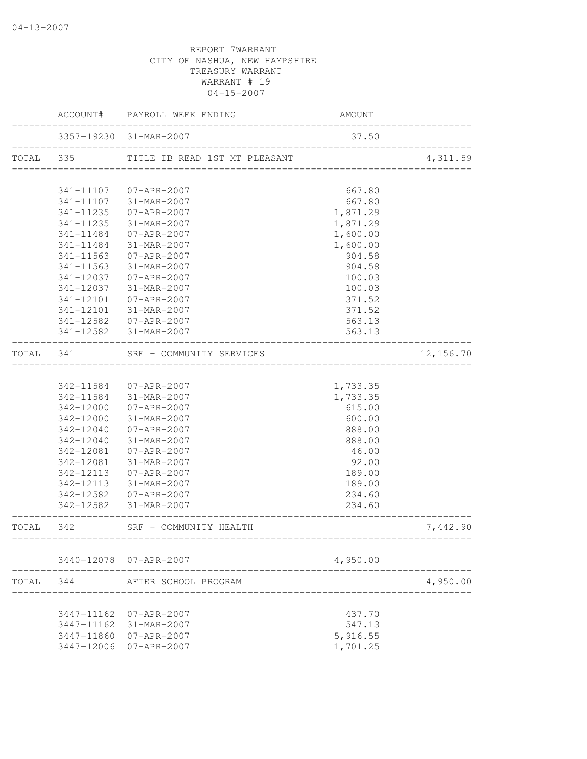|           |               | AMOUNT<br>ACCOUNT# PAYROLL WEEK ENDING           |          |           |
|-----------|---------------|--------------------------------------------------|----------|-----------|
|           |               | 3357-19230 31-MAR-2007                           | 37.50    |           |
| TOTAL 335 |               | TITLE IB READ 1ST MT PLEASANT                    |          | 4,311.59  |
|           |               |                                                  |          |           |
|           |               | 341-11107 07-APR-2007                            | 667.80   |           |
|           |               | 341-11107 31-MAR-2007                            | 667.80   |           |
|           | 341-11235     | 07-APR-2007                                      | 1,871.29 |           |
|           | 341-11235     | 31-MAR-2007                                      | 1,871.29 |           |
|           | $341 - 11484$ | 07-APR-2007                                      | 1,600.00 |           |
|           | 341-11484     | 31-MAR-2007                                      | 1,600.00 |           |
|           | 341-11563     | 07-APR-2007                                      | 904.58   |           |
|           | 341-11563     | 31-MAR-2007                                      | 904.58   |           |
|           | 341-12037     | 07-APR-2007                                      | 100.03   |           |
|           | 341-12037     | 31-MAR-2007                                      | 100.03   |           |
|           | 341-12101     | 07-APR-2007                                      | 371.52   |           |
|           | 341-12101     | 31-MAR-2007                                      | 371.52   |           |
|           |               | 341-12582 07-APR-2007                            | 563.13   |           |
|           |               | 341-12582 31-MAR-2007                            | 563.13   |           |
| TOTAL 341 |               | SRF - COMMUNITY SERVICES                         |          | 12,156.70 |
|           |               |                                                  |          |           |
|           |               | 342-11584 07-APR-2007                            | 1,733.35 |           |
|           |               | 342-11584 31-MAR-2007                            | 1,733.35 |           |
|           | 342-12000     | 07-APR-2007                                      | 615.00   |           |
|           | 342-12000     | 31-MAR-2007                                      | 600.00   |           |
|           | 342-12040     | 07-APR-2007                                      | 888.00   |           |
|           | 342-12040     | 31-MAR-2007                                      | 888.00   |           |
|           | 342-12081     | 07-APR-2007                                      | 46.00    |           |
|           | 342-12081     | 31-MAR-2007                                      | 92.00    |           |
|           | 342-12113     | 07-APR-2007                                      | 189.00   |           |
|           | 342-12113     | 31-MAR-2007                                      | 189.00   |           |
|           | 342-12582     | 07-APR-2007                                      | 234.60   |           |
|           |               | 342-12582 31-MAR-2007<br>_______________________ | 234.60   |           |
|           |               | TOTAL 342 SRF - COMMUNITY HEALTH                 |          | 7,442.90  |
|           |               | 3440-12078 07-APR-2007                           | 4,950.00 |           |
| TOTAL     | 344           | AFTER SCHOOL PROGRAM                             |          | 4,950.00  |
|           |               |                                                  |          |           |
|           | 3447-11162    | $07 - APR - 2007$                                | 437.70   |           |
|           | 3447-11162    | 31-MAR-2007                                      | 547.13   |           |
|           |               | 3447-11860 07-APR-2007                           | 5,916.55 |           |
|           | 3447-12006    | $07 - APR - 2007$                                | 1,701.25 |           |
|           |               |                                                  |          |           |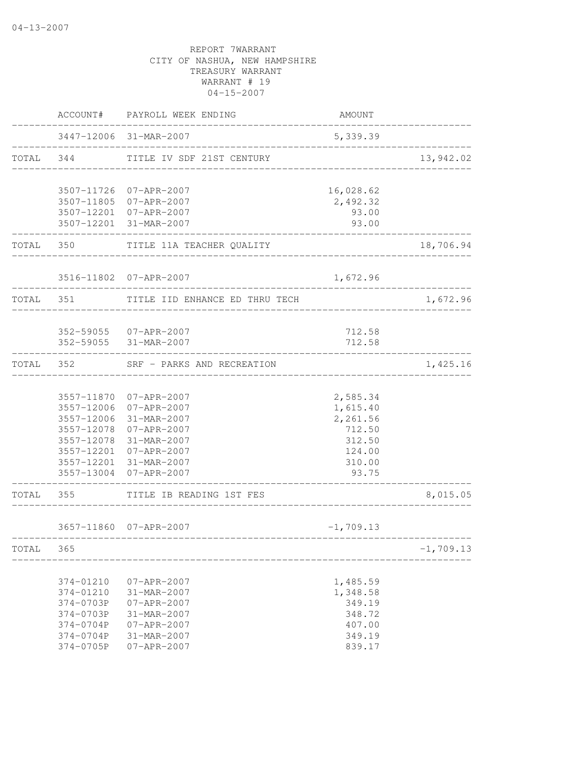|           |                        | ACCOUNT# PAYROLL WEEK ENDING          | AMOUNT                              |             |
|-----------|------------------------|---------------------------------------|-------------------------------------|-------------|
|           |                        | 3447-12006 31-MAR-2007                | 5,339.39                            |             |
|           |                        | TOTAL 344 TITLE IV SDF 21ST CENTURY   |                                     | 13,942.02   |
|           |                        | 3507-11726 07-APR-2007                | 16,028.62                           |             |
|           |                        | 3507-11805 07-APR-2007                | 2,492.32                            |             |
|           |                        | 3507-12201 07-APR-2007                | 93.00                               |             |
|           | -----------            | 3507-12201 31-MAR-2007                | 93.00                               |             |
|           |                        | TOTAL 350 TITLE 11A TEACHER QUALITY   |                                     | 18,706.94   |
|           |                        | 3516-11802 07-APR-2007                | 1,672.96                            |             |
| TOTAL 351 |                        | TITLE IID ENHANCE ED THRU TECH        |                                     | 1,672.96    |
|           |                        |                                       |                                     |             |
|           |                        | 352-59055 07-APR-2007                 | 712.58                              |             |
|           |                        | 352-59055 31-MAR-2007                 | 712.58                              |             |
| TOTAL 352 |                        | SRF - PARKS AND RECREATION            | ___________________________________ | 1,425.16    |
|           |                        |                                       |                                     |             |
|           |                        | 3557-11870 07-APR-2007                | 2,585.34                            |             |
|           |                        | 3557-12006 07-APR-2007                | 1,615.40                            |             |
|           | 3557-12006             | 31-MAR-2007<br>3557-12078 07-APR-2007 | 2,261.56<br>712.50                  |             |
|           |                        | 3557-12078 31-MAR-2007                | 312.50                              |             |
|           |                        | 3557-12201 07-APR-2007                | 124.00                              |             |
|           |                        | 3557-12201 31-MAR-2007                | 310.00                              |             |
|           |                        | 3557-13004 07-APR-2007                | 93.75                               |             |
|           | TOTAL 355              | TITLE IB READING 1ST FES              | -----------------                   | 8,015.05    |
|           |                        | 3657-11860 07-APR-2007                | $-1,709.13$                         |             |
| TOTAL     | 365                    | ------------------------------------- |                                     | $-1,709.13$ |
|           |                        |                                       |                                     |             |
|           | 374-01210              | $07 - APR - 2007$                     | 1,485.59                            |             |
|           | 374-01210              | 31-MAR-2007                           | 1,348.58                            |             |
|           | 374-0703P              | $07 - APR - 2007$                     | 349.19                              |             |
|           | 374-0703P              | 31-MAR-2007                           | 348.72                              |             |
|           | 374-0704P<br>374-0704P | $07 - APR - 2007$                     | 407.00<br>349.19                    |             |
|           | 374-0705P              | 31-MAR-2007<br>$07 - APR - 2007$      | 839.17                              |             |
|           |                        |                                       |                                     |             |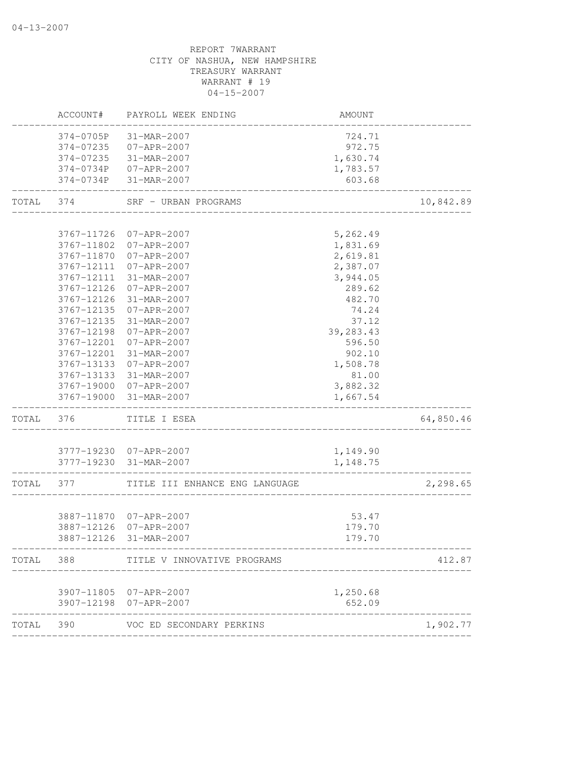# CITY OF NASHUA, NEW HAMPSHIRE TREASURY WARRANT WARRANT # 19 04-15-2007 ACCOUNT# PAYROLL WEEK ENDING AMOUNT -------------------------------------------------------------------------------- 374-0705P 31-MAR-2007 724.71 374-07235 07-APR-2007 972.75 374-07235 31-MAR-2007 1,630.74 374-0734P 07-APR-2007 1,783.57 374-0734P 31-MAR-2007 603.68 -------------------------------------------------------------------------------- TOTAL 374 SRF - URBAN PROGRAMS 10,842.89 -------------------------------------------------------------------------------- 3767-11726 07-APR-2007 5,262.49 3767-11802 07-APR-2007 1,831.69 3767-11870 07-APR-2007 2,619.81 3767-12111 07-APR-2007 2,387.07 3767-12111 31-MAR-2007 3,944.05 3767-12126 07-APR-2007 289.62 3767-12126 31-MAR-2007 482.70 3767-12135 07-APR-2007 74.24 3767-12135 31-MAR-2007 37.12 3767-12198 07-APR-2007 39,283.43 3767-12201 07-APR-2007 596.50 3767-12201 31-MAR-2007 902.10 3767-13133 07-APR-2007 1,508.78 3767-13133 31-MAR-2007 81.00 3767-19000 07-APR-2007 3,882.32 3767-19000 31-MAR-2007 1,667.54 -------------------------------------------------------------------------------- TOTAL 376 TITLE I ESEA 64,850.46 -------------------------------------------------------------------------------- 3777-19230 07-APR-2007 1,149.90 3777-19230 31-MAR-2007 1,148.75 -------------------------------------------------------------------------------- TOTAL 377 TITLE III ENHANCE ENG LANGUAGE 2,298.65 -------------------------------------------------------------------------------- 3887-11870 07-APR-2007 53.47 3887-12126 07-APR-2007 179.70 3887-12126 31-MAR-2007 179.70 -------------------------------------------------------------------------------- TOTAL 388 TITLE V INNOVATIVE PROGRAMS 412.87 -------------------------------------------------------------------------------- 3907-11805 07-APR-2007 1,250.68 3907-12198 07-APR-2007 652.09 -------------------------------------------------------------------------------- TOTAL 390 VOC ED SECONDARY PERKINS 1,902.77 --------------------------------------------------------------------------------

REPORT 7WARRANT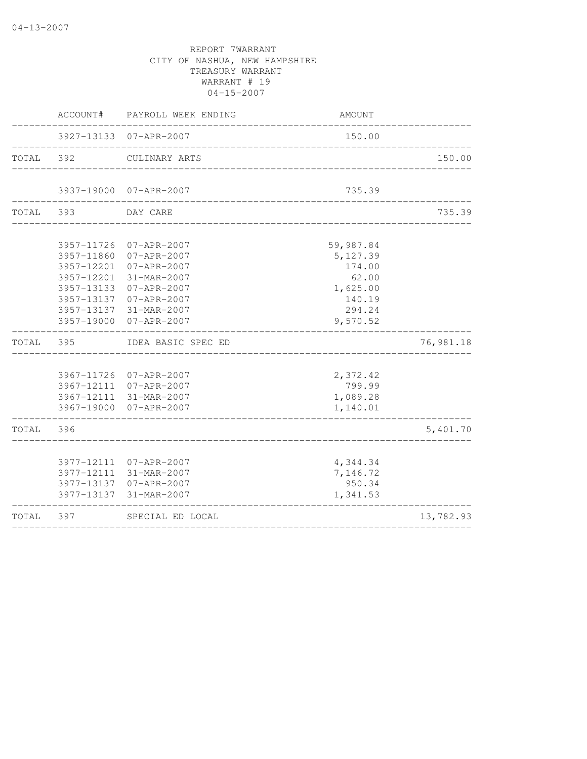|           | ACCOUNT#                                             | PAYROLL WEEK ENDING                                                                                                                                                    | AMOUNT                                                                               |           |
|-----------|------------------------------------------------------|------------------------------------------------------------------------------------------------------------------------------------------------------------------------|--------------------------------------------------------------------------------------|-----------|
|           |                                                      | 3927-13133 07-APR-2007                                                                                                                                                 | 150.00                                                                               |           |
| TOTAL 392 |                                                      | CULINARY ARTS                                                                                                                                                          |                                                                                      | 150.00    |
|           |                                                      | 3937-19000 07-APR-2007                                                                                                                                                 | 735.39                                                                               |           |
| TOTAL 393 |                                                      | DAY CARE                                                                                                                                                               |                                                                                      | 735.39    |
|           | 3957-12201<br>3957-13133<br>3957-13137<br>3957-13137 | 3957-11726 07-APR-2007<br>3957-11860 07-APR-2007<br>3957-12201 07-APR-2007<br>31-MAR-2007<br>$07 - APR - 2007$<br>07-APR-2007<br>31-MAR-2007<br>3957-19000 07-APR-2007 | 59,987.84<br>5,127.39<br>174.00<br>62.00<br>1,625.00<br>140.19<br>294.24<br>9,570.52 |           |
| TOTAL     | 395                                                  | IDEA BASIC SPEC ED                                                                                                                                                     |                                                                                      | 76,981.18 |
|           |                                                      | 3967-11726 07-APR-2007<br>3967-12111 07-APR-2007<br>3967-12111 31-MAR-2007<br>3967-19000 07-APR-2007                                                                   | 2,372.42<br>799.99<br>1,089.28<br>1,140.01                                           |           |
| TOTAL     | 396                                                  |                                                                                                                                                                        |                                                                                      | 5,401.70  |
|           | 3977-13137                                           | 3977-12111 07-APR-2007<br>3977-12111 31-MAR-2007<br>3977-13137 07-APR-2007<br>31-MAR-2007                                                                              | 4,344.34<br>7,146.72<br>950.34<br>1,341.53                                           |           |
| TOTAL     | 397                                                  | SPECIAL ED LOCAL                                                                                                                                                       |                                                                                      | 13,782.93 |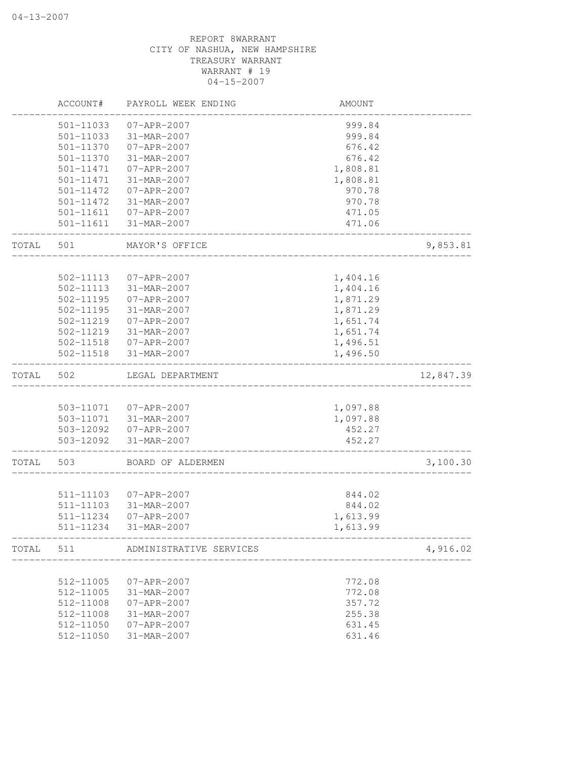|       | ACCOUNT#               | PAYROLL WEEK ENDING               | AMOUNT               |           |
|-------|------------------------|-----------------------------------|----------------------|-----------|
|       | 501-11033              | $07 - APR - 2007$                 | 999.84               |           |
|       | 501-11033              | 31-MAR-2007                       | 999.84               |           |
|       | 501-11370              | 07-APR-2007                       | 676.42               |           |
|       | 501-11370              | 31-MAR-2007                       | 676.42               |           |
|       | $501 - 11471$          | 07-APR-2007                       | 1,808.81             |           |
|       | 501-11471              | 31-MAR-2007                       | 1,808.81             |           |
|       | 501-11472              | 07-APR-2007                       | 970.78               |           |
|       | 501-11472              | 31-MAR-2007                       | 970.78               |           |
|       | 501-11611              | 07-APR-2007                       | 471.05               |           |
|       | 501-11611              | 31-MAR-2007                       | 471.06               |           |
| TOTAL | 501                    | MAYOR'S OFFICE                    |                      | 9,853.81  |
|       |                        |                                   |                      |           |
|       | 502-11113              | 07-APR-2007                       | 1,404.16             |           |
|       | 502-11113              | 31-MAR-2007                       | 1,404.16             |           |
|       | 502-11195              | 07-APR-2007                       | 1,871.29             |           |
|       | 502-11195              | 31-MAR-2007                       | 1,871.29             |           |
|       | 502-11219              | 07-APR-2007                       | 1,651.74             |           |
|       | 502-11219              | 31-MAR-2007                       | 1,651.74             |           |
|       |                        | 502-11518  07-APR-2007            | 1,496.51             |           |
|       | 502-11518              | 31-MAR-2007                       | 1,496.50             |           |
| TOTAL | 502                    | LEGAL DEPARTMENT                  |                      | 12,847.39 |
|       |                        |                                   |                      |           |
|       |                        | 503-11071  07-APR-2007            | 1,097.88             |           |
|       |                        | 503-11071 31-MAR-2007             | 1,097.88             |           |
|       |                        | 503-12092  07-APR-2007            | 452.27               |           |
|       | 503-12092              | 31-MAR-2007                       | 452.27               |           |
| TOTAL | 503                    | BOARD OF ALDERMEN                 |                      | 3,100.30  |
|       |                        |                                   |                      |           |
|       | 511-11103              | $07 - APR - 2007$                 | 844.02               |           |
|       | 511-11103              | 31-MAR-2007                       | 844.02               |           |
|       | 511-11234<br>511-11234 | 07-APR-2007<br>31-MAR-2007        | 1,613.99<br>1,613.99 |           |
|       |                        |                                   |                      |           |
|       |                        | TOTAL 511 ADMINISTRATIVE SERVICES | ___________________  | 4,916.02  |
|       | 512-11005              | 07-APR-2007                       | 772.08               |           |
|       | 512-11005              | 31-MAR-2007                       | 772.08               |           |
|       | 512-11008              | 07-APR-2007                       | 357.72               |           |
|       | 512-11008              | 31-MAR-2007                       | 255.38               |           |
|       | 512-11050              | 07-APR-2007                       | 631.45               |           |
|       | 512-11050              | 31-MAR-2007                       | 631.46               |           |
|       |                        |                                   |                      |           |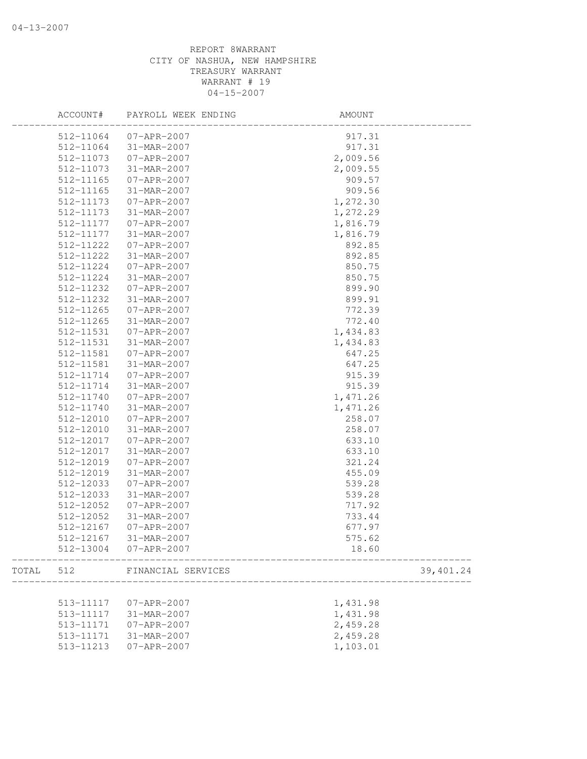|       | ACCOUNT#  | PAYROLL WEEK ENDING | AMOUNT     |
|-------|-----------|---------------------|------------|
|       | 512-11064 | $07 - APR - 2007$   | 917.31     |
|       | 512-11064 | 31-MAR-2007         | 917.31     |
|       | 512-11073 | 07-APR-2007         | 2,009.56   |
|       | 512-11073 | 31-MAR-2007         | 2,009.55   |
|       | 512-11165 | $07 - APR - 2007$   | 909.57     |
|       | 512-11165 | 31-MAR-2007         | 909.56     |
|       | 512-11173 | 07-APR-2007         | 1,272.30   |
|       | 512-11173 | 31-MAR-2007         | 1,272.29   |
|       | 512-11177 | 07-APR-2007         | 1,816.79   |
|       | 512-11177 | 31-MAR-2007         | 1,816.79   |
|       | 512-11222 | 07-APR-2007         | 892.85     |
|       | 512-11222 | 31-MAR-2007         | 892.85     |
|       | 512-11224 | 07-APR-2007         | 850.75     |
|       | 512-11224 | 31-MAR-2007         | 850.75     |
|       | 512-11232 | $07 - APR - 2007$   | 899.90     |
|       | 512-11232 | 31-MAR-2007         | 899.91     |
|       | 512-11265 | 07-APR-2007         | 772.39     |
|       | 512-11265 | 31-MAR-2007         | 772.40     |
|       | 512-11531 | $07 - APR - 2007$   | 1,434.83   |
|       | 512-11531 | 31-MAR-2007         | 1,434.83   |
|       | 512-11581 | $07 - APR - 2007$   | 647.25     |
|       | 512-11581 | 31-MAR-2007         | 647.25     |
|       | 512-11714 | 07-APR-2007         | 915.39     |
|       | 512-11714 | 31-MAR-2007         | 915.39     |
|       | 512-11740 | 07-APR-2007         | 1,471.26   |
|       | 512-11740 | 31-MAR-2007         | 1,471.26   |
|       | 512-12010 | $07 - APR - 2007$   | 258.07     |
|       | 512-12010 | 31-MAR-2007         | 258.07     |
|       | 512-12017 | 07-APR-2007         | 633.10     |
|       | 512-12017 | 31-MAR-2007         | 633.10     |
|       |           |                     |            |
|       | 512-12019 | 07-APR-2007         | 321.24     |
|       | 512-12019 | 31-MAR-2007         | 455.09     |
|       | 512-12033 | $07 - APR - 2007$   | 539.28     |
|       | 512-12033 | 31-MAR-2007         | 539.28     |
|       | 512-12052 | 07-APR-2007         | 717.92     |
|       | 512-12052 | 31-MAR-2007         | 733.44     |
|       | 512-12167 | $07 - APR - 2007$   | 677.97     |
|       | 512-12167 | 31-MAR-2007         | 575.62     |
|       | 512-13004 | 07-APR-2007         | 18.60      |
| TOTAL | 512       | FINANCIAL SERVICES  | 39, 401.24 |
|       |           |                     |            |
|       | 513-11117 | $07 - APR - 2007$   | 1,431.98   |
|       | 513-11117 | 31-MAR-2007         | 1,431.98   |
|       | 513-11171 | $07 - APR - 2007$   | 2,459.28   |
|       | 513-11171 | 31-MAR-2007         | 2,459.28   |
|       | 513-11213 | $07 - APR - 2007$   | 1,103.01   |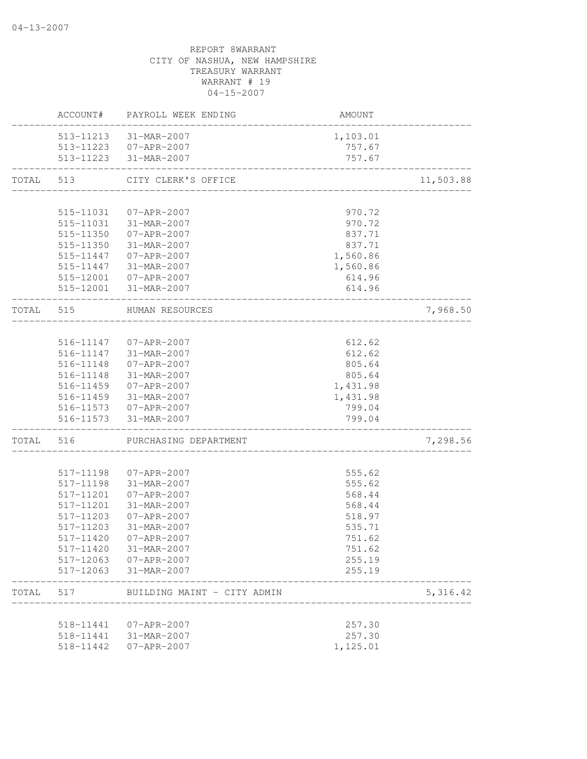|           |                        | ACCOUNT# PAYROLL WEEK ENDING               | AMOUNT   |           |
|-----------|------------------------|--------------------------------------------|----------|-----------|
|           |                        | 513-11213 31-MAR-2007                      | 1,103.01 |           |
|           |                        | 513-11223  07-APR-2007                     | 757.67   |           |
|           |                        | 513-11223 31-MAR-2007                      | 757.67   |           |
| TOTAL     | 513                    | CITY CLERK'S OFFICE                        |          | 11,503.88 |
|           |                        |                                            |          |           |
|           | 515-11031              | 07-APR-2007                                | 970.72   |           |
|           | 515-11031              | 31-MAR-2007                                | 970.72   |           |
|           | 515-11350              | 07-APR-2007                                | 837.71   |           |
|           | 515-11350              | 31-MAR-2007                                | 837.71   |           |
|           |                        | 515-11447 07-APR-2007                      | 1,560.86 |           |
|           |                        | 515-11447 31-MAR-2007                      | 1,560.86 |           |
|           |                        | 515-12001  07-APR-2007                     | 614.96   |           |
|           |                        | 515-12001 31-MAR-2007                      | 614.96   |           |
| TOTAL 515 |                        | HUMAN RESOURCES<br>_______________________ |          | 7,968.50  |
|           |                        |                                            |          |           |
|           |                        | 516-11147 07-APR-2007                      | 612.62   |           |
|           |                        | 516-11147 31-MAR-2007                      | 612.62   |           |
|           | 516-11148              | 07-APR-2007                                | 805.64   |           |
|           | 516-11148              | 31-MAR-2007                                | 805.64   |           |
|           | 516-11459              | $07 - APR - 2007$                          | 1,431.98 |           |
|           | 516-11459              | 31-MAR-2007                                | 1,431.98 |           |
|           |                        | 516-11573 07-APR-2007                      | 799.04   |           |
|           |                        | 516-11573 31-MAR-2007                      | 799.04   |           |
| TOTAL     | 516                    | PURCHASING DEPARTMENT                      |          | 7,298.56  |
|           | 517-11198              |                                            | 555.62   |           |
|           | 517-11198              | 07-APR-2007<br>31-MAR-2007                 | 555.62   |           |
|           |                        |                                            | 568.44   |           |
|           | 517-11201              | $07 - APR - 2007$                          |          |           |
|           | 517-11201<br>517-11203 | 31-MAR-2007                                | 568.44   |           |
|           |                        | 07-APR-2007                                | 518.97   |           |
|           | 517-11203              | 31-MAR-2007                                | 535.71   |           |
|           | 517-11420              | 07-APR-2007                                | 751.62   |           |
|           |                        | 517-11420 31-MAR-2007                      | 751.62   |           |
|           |                        | 517-12063 07-APR-2007                      | 255.19   |           |
|           |                        | 517-12063 31-MAR-2007                      | 255.19   |           |
| TOTAL 517 |                        | BUILDING MAINT - CITY ADMIN                |          | 5, 316.42 |
|           |                        | 518-11441  07-APR-2007                     | 257.30   |           |
|           |                        | 518-11441 31-MAR-2007                      | 257.30   |           |
|           |                        | 518-11442  07-APR-2007                     | 1,125.01 |           |
|           |                        |                                            |          |           |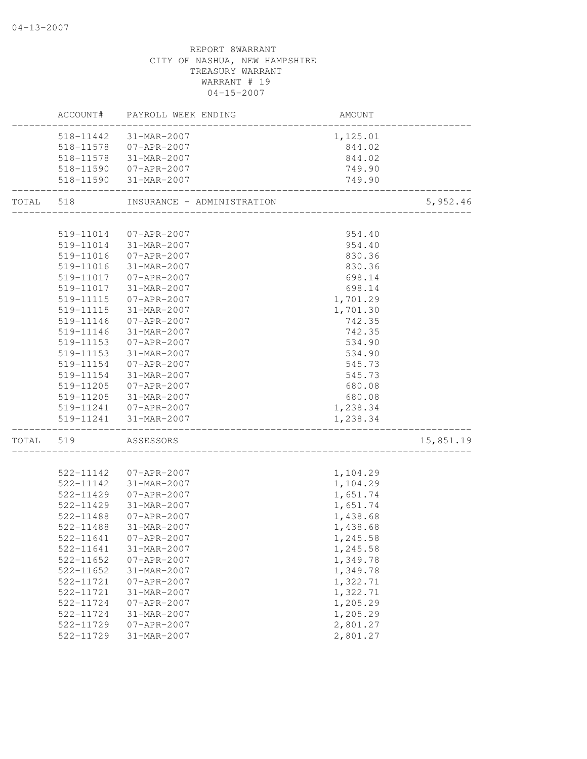## TREASURY WARRANT WARRANT # 19 04-15-2007 ACCOUNT# PAYROLL WEEK ENDING AND AMOUNT -------------------------------------------------------------------------------- 518-11442 31-MAR-2007 1,125.01 518-11578 07-APR-2007 844.02 518-11578 31-MAR-2007 844.02 518-11590 07-APR-2007 749.90 518-11590 31-MAR-2007 749.90 -------------------------------------------------------------------------------- INSURANCE - ADMINISTRATION 5,952.46 -------------------------------------------------------------------------------- 519-11014 07-APR-2007 954.40 519-11014 31-MAR-2007 954.40 519-11016 07-APR-2007 830.36 519-11016 31-MAR-2007 830.36 519-11017 07-APR-2007 698.14 519-11017 31-MAR-2007 698.14 519-11115 07-APR-2007 1,701.29 519-11115 31-MAR-2007 1,701.30 519-11146 07-APR-2007 742.35 519-11146 31-MAR-2007 742.35 519-11153 07-APR-2007 534.90 519-11153 31-MAR-2007 534.90 519-11154 07-APR-2007 545.73<br>519-11154 31-MAR-2007 545.73 519-11154 31-MAR-2007 519-11205 07-APR-2007 680.08 519-11205 31-MAR-2007 680.08 519-11241 07-APR-2007 1,238.34 519-11241 31-MAR-2007 1,238.34 -------------------------------------------------------------------------------- TOTAL 519 ASSESSORS 15,851.19 -------------------------------------------------------------------------------- 522-11142 07-APR-2007 1,104.29 522-11142 31-MAR-2007 1,104.29 522-11429 07-APR-2007 1,651.74 522-11429 31-MAR-2007 1,651.74 522-11488 07-APR-2007 1,438.68 522-11488 31-MAR-2007 1,438.68 522-11641 07-APR-2007 1,245.58 522-11641 31-MAR-2007 1,245.58 522-11652 07-APR-2007 1,349.78 522-11652 31-MAR-2007 1,349.78 522-11721 07-APR-2007 1,322.71 522-11721 31-MAR-2007 1,322.71<br>522-11724 07-APR-2007 1,205.29 522-11724 07-APR-2007 522-11724 31-MAR-2007 1,205.29 522-11729 07-APR-2007 2,801.27 522-11729 31-MAR-2007 2,801.27

# REPORT 8WARRANT CITY OF NASHUA, NEW HAMPSHIRE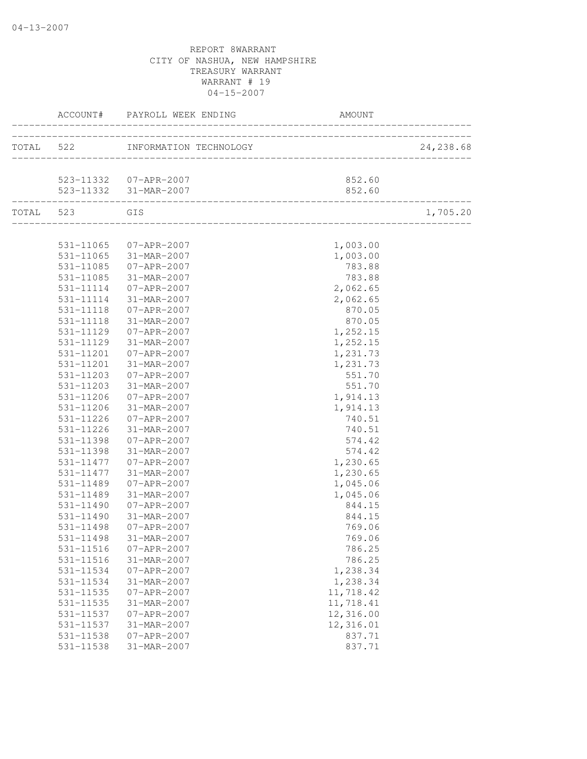|                        | ACCOUNT# PAYROLL WEEK ENDING                    | <b>AMOUNT</b>                    |           |
|------------------------|-------------------------------------------------|----------------------------------|-----------|
|                        | TOTAL 522 INFORMATION TECHNOLOGY                | ________________________________ | 24,238.68 |
|                        |                                                 |                                  |           |
|                        | 523-11332  07-APR-2007<br>523-11332 31-MAR-2007 | 852.60<br>852.60                 |           |
| TOTAL 523 GIS          |                                                 |                                  | 1,705.20  |
|                        |                                                 |                                  |           |
|                        | 531-11065 07-APR-2007                           | 1,003.00                         |           |
|                        | 531-11065 31-MAR-2007                           | 1,003.00                         |           |
| 531-11085              | $07 - APR - 2007$                               | 783.88                           |           |
| 531-11085              | 31-MAR-2007                                     | 783.88                           |           |
| 531-11114              | $07 - APR - 2007$                               | 2,062.65                         |           |
| 531-11114              | 31-MAR-2007                                     | 2,062.65                         |           |
| 531-11118              | 07-APR-2007                                     | 870.05                           |           |
| 531-11118              | 31-MAR-2007                                     | 870.05                           |           |
| 531-11129              | 07-APR-2007                                     | 1,252.15                         |           |
| 531-11129              | 31-MAR-2007                                     | 1,252.15                         |           |
| 531-11201              | 07-APR-2007                                     | 1,231.73                         |           |
| 531-11201              | 31-MAR-2007                                     | 1,231.73                         |           |
| 531-11203              | $07 - APR - 2007$                               | 551.70                           |           |
| 531-11203              | 31-MAR-2007                                     | 551.70                           |           |
| 531-11206              | 07-APR-2007                                     | 1,914.13                         |           |
| 531-11206              | 31-MAR-2007                                     | 1,914.13                         |           |
| 531-11226              | 07-APR-2007                                     | 740.51                           |           |
| 531-11226              | 31-MAR-2007                                     | 740.51                           |           |
| 531-11398              | 07-APR-2007                                     | 574.42                           |           |
| 531-11398              | 31-MAR-2007                                     | 574.42                           |           |
| 531-11477              | $07 - APR - 2007$                               | 1,230.65                         |           |
| 531-11477              | 31-MAR-2007                                     | 1,230.65                         |           |
| 531-11489              | 07-APR-2007                                     | 1,045.06                         |           |
| 531-11489              | 31-MAR-2007                                     | 1,045.06                         |           |
| 531-11490              | $07 - APR - 2007$                               | 844.15                           |           |
| 531-11490              | 31-MAR-2007                                     | 844.15                           |           |
| 531-11498              | 07-APR-2007                                     | 769.06                           |           |
| 531-11498              | 31-MAR-2007                                     | 769.06                           |           |
| 531-11516              | $07 - APR - 2007$                               | 786.25                           |           |
| 531-11516              | 31-MAR-2007                                     | 786.25                           |           |
| 531-11534<br>531-11534 | $07 - APR - 2007$                               | 1,238.34<br>1,238.34             |           |
|                        | 31-MAR-2007                                     |                                  |           |
| 531-11535              | $07 - APR - 2007$                               | 11,718.42                        |           |
| 531-11535<br>531-11537 | 31-MAR-2007                                     | 11,718.41                        |           |
| 531-11537              | $07 - APR - 2007$                               | 12,316.00<br>12,316.01           |           |
| 531-11538              | 31-MAR-2007<br>$07 - APR - 2007$                | 837.71                           |           |
| 531-11538              | 31-MAR-2007                                     | 837.71                           |           |
|                        |                                                 |                                  |           |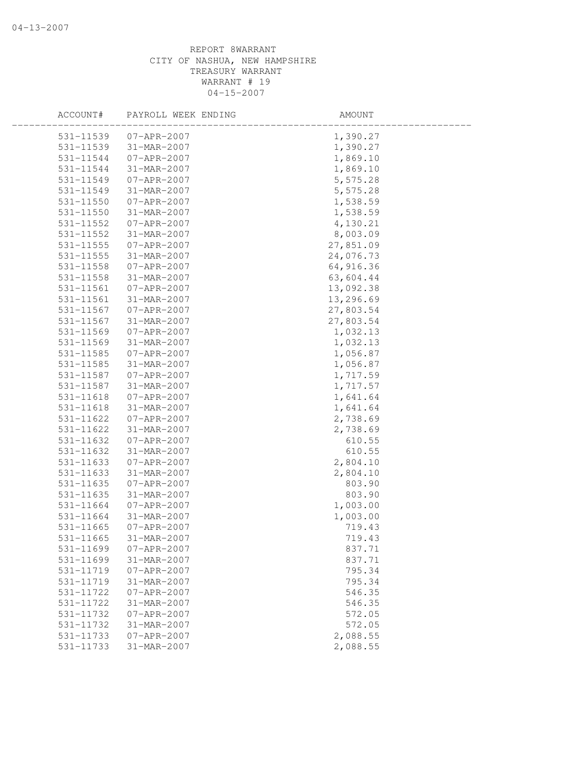| ACCOUNT#      | PAYROLL WEEK ENDING | AMOUNT    |  |
|---------------|---------------------|-----------|--|
| 531-11539     | 07-APR-2007         | 1,390.27  |  |
| 531-11539     | 31-MAR-2007         | 1,390.27  |  |
| 531-11544     | 07-APR-2007         | 1,869.10  |  |
| 531-11544     | 31-MAR-2007         | 1,869.10  |  |
| 531-11549     | 07-APR-2007         | 5,575.28  |  |
| 531-11549     | 31-MAR-2007         | 5,575.28  |  |
| 531-11550     | $07 - APR - 2007$   | 1,538.59  |  |
| 531-11550     | 31-MAR-2007         | 1,538.59  |  |
| 531-11552     | 07-APR-2007         | 4,130.21  |  |
| 531-11552     | 31-MAR-2007         | 8,003.09  |  |
| $531 - 11555$ | 07-APR-2007         | 27,851.09 |  |
| 531-11555     | 31-MAR-2007         | 24,076.73 |  |
| 531-11558     | 07-APR-2007         | 64,916.36 |  |
| 531-11558     | 31-MAR-2007         | 63,604.44 |  |
| 531-11561     | 07-APR-2007         | 13,092.38 |  |
| 531-11561     | 31-MAR-2007         | 13,296.69 |  |
| 531-11567     | 07-APR-2007         | 27,803.54 |  |
| 531-11567     | 31-MAR-2007         | 27,803.54 |  |
| 531-11569     | 07-APR-2007         | 1,032.13  |  |
| 531-11569     | 31-MAR-2007         | 1,032.13  |  |
| 531-11585     | 07-APR-2007         | 1,056.87  |  |
| 531-11585     | 31-MAR-2007         | 1,056.87  |  |
| 531-11587     | 07-APR-2007         | 1,717.59  |  |
| 531-11587     | 31-MAR-2007         | 1,717.57  |  |
| 531-11618     | 07-APR-2007         | 1,641.64  |  |
| 531-11618     | 31-MAR-2007         | 1,641.64  |  |
| 531-11622     | 07-APR-2007         | 2,738.69  |  |
| 531-11622     | 31-MAR-2007         | 2,738.69  |  |
| 531-11632     | 07-APR-2007         | 610.55    |  |
| 531-11632     | 31-MAR-2007         | 610.55    |  |
| 531-11633     | 07-APR-2007         | 2,804.10  |  |
| 531-11633     | 31-MAR-2007         | 2,804.10  |  |
| 531-11635     | 07-APR-2007         | 803.90    |  |
| 531-11635     | 31-MAR-2007         | 803.90    |  |
| 531-11664     | 07-APR-2007         | 1,003.00  |  |
| 531-11664     | 31-MAR-2007         | 1,003.00  |  |
| 531-11665     | $07 - APR - 2007$   | 719.43    |  |
| 531-11665     | 31-MAR-2007         | 719.43    |  |
| 531-11699     | $07 - APR - 2007$   | 837.71    |  |
| 531-11699     | 31-MAR-2007         | 837.71    |  |
| 531-11719     | $07 - APR - 2007$   | 795.34    |  |
| 531-11719     | 31-MAR-2007         | 795.34    |  |
| 531-11722     | $07 - APR - 2007$   | 546.35    |  |
| 531-11722     | 31-MAR-2007         | 546.35    |  |
| 531-11732     | $07 - APR - 2007$   | 572.05    |  |
| 531-11732     | 31-MAR-2007         | 572.05    |  |
| 531-11733     | $07 - APR - 2007$   | 2,088.55  |  |
| 531-11733     | 31-MAR-2007         | 2,088.55  |  |
|               |                     |           |  |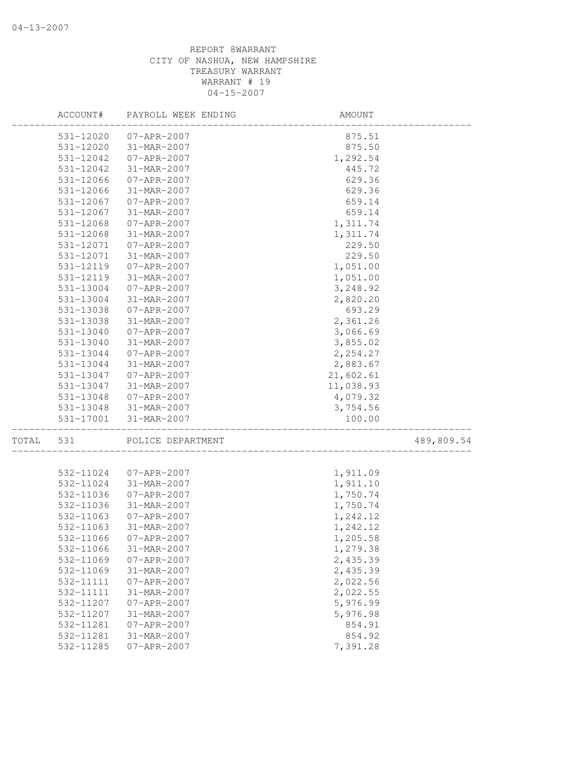|       | ACCOUNT#  | PAYROLL WEEK ENDING | AMOUNT                            |            |
|-------|-----------|---------------------|-----------------------------------|------------|
|       | 531-12020 | 07-APR-2007         | 875.51                            |            |
|       | 531-12020 | 31-MAR-2007         | 875.50                            |            |
|       | 531-12042 | 07-APR-2007         | 1,292.54                          |            |
|       | 531-12042 | 31-MAR-2007         | 445.72                            |            |
|       | 531-12066 | 07-APR-2007         | 629.36                            |            |
|       | 531-12066 | 31-MAR-2007         | 629.36                            |            |
|       | 531-12067 | $07 - APR - 2007$   | 659.14                            |            |
|       | 531-12067 | 31-MAR-2007         | 659.14                            |            |
|       | 531-12068 | 07-APR-2007         | 1,311.74                          |            |
|       | 531-12068 | 31-MAR-2007         | 1,311.74                          |            |
|       | 531-12071 | $07 - APR - 2007$   | 229.50                            |            |
|       | 531-12071 | 31-MAR-2007         | 229.50                            |            |
|       | 531-12119 | 07-APR-2007         | 1,051.00                          |            |
|       | 531-12119 | 31-MAR-2007         | 1,051.00                          |            |
|       | 531-13004 | 07-APR-2007         | 3,248.92                          |            |
|       | 531-13004 | 31-MAR-2007         | 2,820.20                          |            |
|       | 531-13038 | 07-APR-2007         | 693.29                            |            |
|       | 531-13038 | 31-MAR-2007         | 2,361.26                          |            |
|       | 531-13040 | 07-APR-2007         | 3,066.69                          |            |
|       | 531-13040 | 31-MAR-2007         | 3,855.02                          |            |
|       | 531-13044 | 07-APR-2007         | 2,254.27                          |            |
|       | 531-13044 | 31-MAR-2007         | 2,883.67                          |            |
|       | 531-13047 | 07-APR-2007         | 21,602.61                         |            |
|       | 531-13047 | 31-MAR-2007         | 11,038.93                         |            |
|       | 531-13048 | 07-APR-2007         | 4,079.32                          |            |
|       | 531-13048 | 31-MAR-2007         | 3,754.56                          |            |
|       | 531-17001 | 31-MAR-2007         | 100.00                            |            |
|       |           |                     | _________________________________ |            |
| TOTAL | 531       | POLICE DEPARTMENT   |                                   | 489,809.54 |
|       |           |                     |                                   |            |
|       | 532-11024 | 07-APR-2007         | 1,911.09                          |            |
|       | 532-11024 | 31-MAR-2007         | 1,911.10                          |            |
|       | 532-11036 | $07 - APR - 2007$   | 1,750.74                          |            |
|       | 532-11036 | 31-MAR-2007         | 1,750.74                          |            |
|       | 532-11063 | 07-APR-2007         | 1,242.12                          |            |
|       | 532-11063 | 31-MAR-2007         | 1,242.12                          |            |
|       | 532-11066 | 07-APR-2007         | 1,205.58                          |            |
|       | 532-11066 | 31-MAR-2007         | 1,279.38                          |            |
|       | 532-11069 | $07 - APR - 2007$   | 2,435.39                          |            |
|       | 532-11069 | 31-MAR-2007         | 2,435.39                          |            |
|       | 532-11111 | $07 - APR - 2007$   | 2,022.56                          |            |
|       | 532-11111 | 31-MAR-2007         | 2,022.55                          |            |
|       | 532-11207 | $07 - APR - 2007$   | 5,976.99                          |            |
|       | 532-11207 | 31-MAR-2007         | 5,976.98                          |            |
|       | 532-11281 | $07 - APR - 2007$   | 854.91                            |            |
|       | 532-11281 | 31-MAR-2007         | 854.92                            |            |
|       | 532-11285 | $07 - APR - 2007$   | 7,391.28                          |            |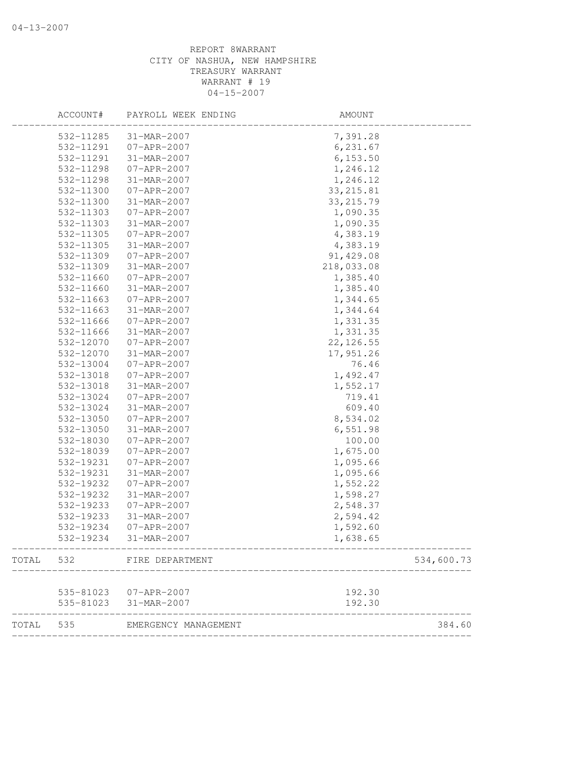|       | ACCOUNT#  | PAYROLL WEEK ENDING    | AMOUNT     |            |
|-------|-----------|------------------------|------------|------------|
|       | 532-11285 | 31-MAR-2007            | 7,391.28   |            |
|       | 532-11291 | 07-APR-2007            | 6, 231.67  |            |
|       | 532-11291 | 31-MAR-2007            | 6, 153.50  |            |
|       | 532-11298 | $07 - APR - 2007$      | 1,246.12   |            |
|       | 532-11298 | 31-MAR-2007            | 1,246.12   |            |
|       | 532-11300 | 07-APR-2007            | 33, 215.81 |            |
|       | 532-11300 | 31-MAR-2007            | 33, 215.79 |            |
|       | 532-11303 | $07 - APR - 2007$      | 1,090.35   |            |
|       | 532-11303 | 31-MAR-2007            | 1,090.35   |            |
|       | 532-11305 | 07-APR-2007            | 4,383.19   |            |
|       | 532-11305 | 31-MAR-2007            | 4,383.19   |            |
|       | 532-11309 | 07-APR-2007            | 91,429.08  |            |
|       | 532-11309 | 31-MAR-2007            | 218,033.08 |            |
|       | 532-11660 | 07-APR-2007            | 1,385.40   |            |
|       | 532-11660 | 31-MAR-2007            | 1,385.40   |            |
|       | 532-11663 | $07 - APR - 2007$      | 1,344.65   |            |
|       | 532-11663 | 31-MAR-2007            | 1,344.64   |            |
|       | 532-11666 | $07 - APR - 2007$      | 1,331.35   |            |
|       | 532-11666 | 31-MAR-2007            | 1,331.35   |            |
|       | 532-12070 | 07-APR-2007            | 22, 126.55 |            |
|       | 532-12070 | 31-MAR-2007            | 17,951.26  |            |
|       | 532-13004 | 07-APR-2007            | 76.46      |            |
|       | 532-13018 | $07 - APR - 2007$      | 1,492.47   |            |
|       | 532-13018 | 31-MAR-2007            | 1,552.17   |            |
|       | 532-13024 | $07 - APR - 2007$      | 719.41     |            |
|       | 532-13024 | 31-MAR-2007            | 609.40     |            |
|       | 532-13050 | $07 - APR - 2007$      | 8,534.02   |            |
|       | 532-13050 | 31-MAR-2007            | 6,551.98   |            |
|       | 532-18030 | $07 - APR - 2007$      | 100.00     |            |
|       | 532-18039 | $07 - APR - 2007$      | 1,675.00   |            |
|       | 532-19231 | $07 - APR - 2007$      | 1,095.66   |            |
|       | 532-19231 | 31-MAR-2007            | 1,095.66   |            |
|       | 532-19232 | $07 - APR - 2007$      | 1,552.22   |            |
|       | 532-19232 | 31-MAR-2007            | 1,598.27   |            |
|       | 532-19233 | $07 - APR - 2007$      | 2,548.37   |            |
|       | 532-19233 | 31-MAR-2007            | 2,594.42   |            |
|       | 532-19234 | $07 - APR - 2007$      | 1,592.60   |            |
|       | 532-19234 | 31-MAR-2007            | 1,638.65   |            |
| TOTAL | 532       | FIRE DEPARTMENT        |            | 534,600.73 |
|       |           | 535-81023  07-APR-2007 | 192.30     |            |
|       | 535-81023 | 31-MAR-2007            | 192.30     |            |
| TOTAL | 535       | EMERGENCY MANAGEMENT   |            | 384.60     |
|       |           |                        |            |            |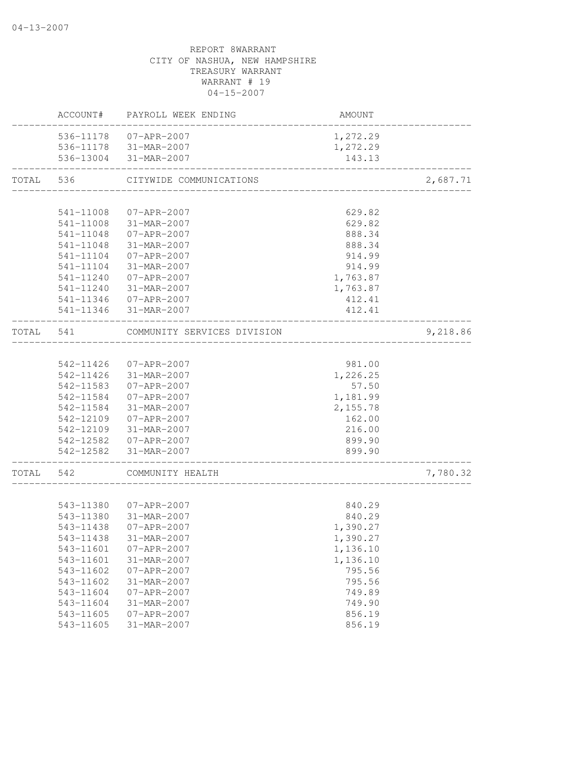|           |           | ACCOUNT# PAYROLL WEEK ENDING                    | AMOUNT                                 |          |
|-----------|-----------|-------------------------------------------------|----------------------------------------|----------|
|           |           | 536-11178 07-APR-2007                           | 1,272.29                               |          |
|           |           | 536-11178 31-MAR-2007                           | 1,272.29                               |          |
|           |           | 536-13004 31-MAR-2007                           | 143.13                                 |          |
| TOTAL     | 536       | CITYWIDE COMMUNICATIONS                         | ______________________________________ | 2,687.71 |
|           |           |                                                 |                                        |          |
|           | 541-11008 | $07 - APR - 2007$                               | 629.82                                 |          |
|           | 541-11008 | 31-MAR-2007                                     | 629.82                                 |          |
|           | 541-11048 | 07-APR-2007                                     | 888.34                                 |          |
|           | 541-11048 | 31-MAR-2007                                     | 888.34                                 |          |
|           | 541-11104 | 07-APR-2007                                     | 914.99                                 |          |
|           | 541-11104 | 31-MAR-2007                                     | 914.99                                 |          |
|           |           | 541-11240 07-APR-2007                           | 1,763.87                               |          |
|           |           | 541-11240 31-MAR-2007                           | 1,763.87                               |          |
|           |           | 541-11346 07-APR-2007<br>541-11346 31-MAR-2007  | 412.41<br>412.41                       |          |
|           |           |                                                 | ----------                             |          |
| TOTAL 541 |           | COMMUNITY SERVICES DIVISION                     |                                        | 9,218.86 |
|           |           |                                                 |                                        |          |
|           |           | 542-11426 07-APR-2007                           | 981.00                                 |          |
|           |           | 542-11426 31-MAR-2007                           | 1,226.25                               |          |
|           |           | 542-11583  07-APR-2007<br>542-11584 07-APR-2007 | 57.50                                  |          |
|           | 542-11584 | 31-MAR-2007                                     | 1,181.99<br>2,155.78                   |          |
|           | 542-12109 | 07-APR-2007                                     | 162.00                                 |          |
|           | 542-12109 | 31-MAR-2007                                     | 216.00                                 |          |
|           |           | 542-12582 07-APR-2007                           | 899.90                                 |          |
|           | 542-12582 | 31-MAR-2007                                     | 899.90                                 |          |
| TOTAL 542 |           | COMMUNITY HEALTH                                |                                        | 7,780.32 |
|           |           |                                                 |                                        |          |
|           |           | 543-11380 07-APR-2007                           | 840.29                                 |          |
|           |           | 543-11380 31-MAR-2007                           | 840.29                                 |          |
|           | 543-11438 | 07-APR-2007                                     | 1,390.27                               |          |
|           |           | 543-11438 31-MAR-2007                           | 1,390.27                               |          |
|           | 543-11601 | $07 - APR - 2007$                               | 1,136.10                               |          |
|           | 543-11601 | 31-MAR-2007                                     | 1,136.10                               |          |
|           | 543-11602 | $07 - APR - 2007$                               | 795.56                                 |          |
|           | 543-11602 | 31-MAR-2007                                     | 795.56                                 |          |
|           | 543-11604 | $07 - APR - 2007$                               | 749.89                                 |          |
|           | 543-11604 | 31-MAR-2007                                     | 749.90                                 |          |
|           | 543-11605 | $07 - APR - 2007$                               | 856.19                                 |          |
|           | 543-11605 | 31-MAR-2007                                     | 856.19                                 |          |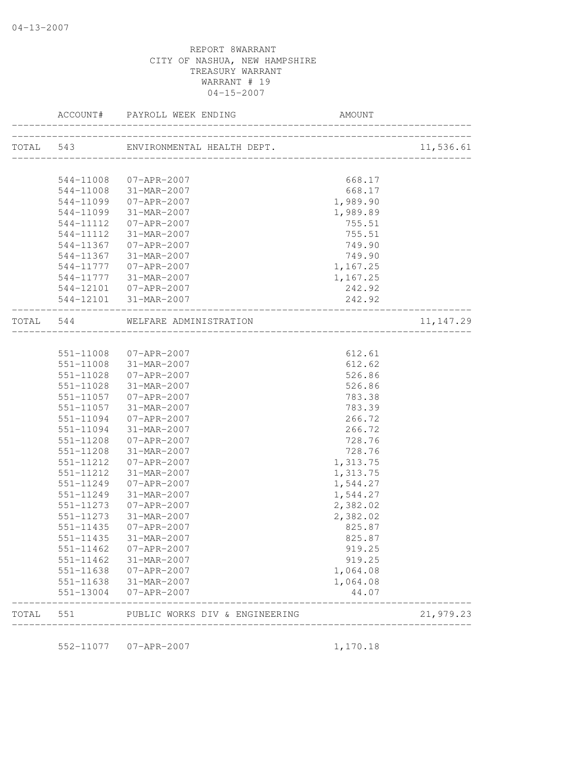|           |           | ACCOUNT# PAYROLL WEEK ENDING                                             | AMOUNT                    |            |
|-----------|-----------|--------------------------------------------------------------------------|---------------------------|------------|
|           |           | TOTAL 543 ENVIRONMENTAL HEALTH DEPT.                                     | _________________________ | 11,536.61  |
|           |           |                                                                          |                           |            |
|           |           | 544-11008 07-APR-2007                                                    | 668.17                    |            |
|           |           | 544-11008 31-MAR-2007                                                    | 668.17                    |            |
|           | 544-11099 | 07-APR-2007                                                              | 1,989.90                  |            |
|           | 544-11099 | 31-MAR-2007                                                              | 1,989.89                  |            |
|           | 544-11112 | $07 - APR - 2007$                                                        | 755.51                    |            |
|           | 544-11112 | 31-MAR-2007                                                              | 755.51                    |            |
|           |           | 544-11367 07-APR-2007                                                    | 749.90                    |            |
|           |           | 544-11367 31-MAR-2007                                                    | 749.90                    |            |
|           |           | 544-11777 07-APR-2007                                                    | 1,167.25                  |            |
|           |           | 544-11777 31-MAR-2007                                                    | 1,167.25                  |            |
|           |           | 544-12101  07-APR-2007                                                   | 242.92                    |            |
|           |           | 544-12101 31-MAR-2007                                                    | 242.92                    |            |
|           |           | ____________________________________<br>TOTAL 544 WELFARE ADMINISTRATION |                           | 11, 147.29 |
|           |           |                                                                          |                           |            |
|           |           | 551-11008 07-APR-2007                                                    | 612.61                    |            |
|           |           | 551-11008 31-MAR-2007                                                    | 612.62                    |            |
|           |           | 551-11028 07-APR-2007                                                    | 526.86                    |            |
|           | 551-11028 | 31-MAR-2007                                                              | 526.86                    |            |
|           | 551-11057 | 07-APR-2007                                                              | 783.38                    |            |
|           | 551-11057 | 31-MAR-2007                                                              | 783.39                    |            |
|           | 551-11094 | 07-APR-2007                                                              | 266.72                    |            |
|           | 551-11094 | 31-MAR-2007                                                              | 266.72                    |            |
|           | 551-11208 | 07-APR-2007                                                              | 728.76                    |            |
|           | 551-11208 | 31-MAR-2007                                                              | 728.76                    |            |
|           | 551-11212 | 07-APR-2007                                                              | 1,313.75                  |            |
|           | 551-11212 | 31-MAR-2007                                                              | 1,313.75                  |            |
|           | 551-11249 | 07-APR-2007                                                              | 1,544.27                  |            |
|           | 551-11249 | 31-MAR-2007                                                              | 1,544.27                  |            |
|           | 551-11273 | 07-APR-2007                                                              | 2,382.02                  |            |
|           | 551-11273 | 31-MAR-2007                                                              | 2,382.02                  |            |
|           | 551-11435 | 07-APR-2007                                                              | 825.87                    |            |
|           | 551-11435 | 31-MAR-2007                                                              | 825.87                    |            |
|           |           | 551-11462 07-APR-2007                                                    | 919.25                    |            |
|           |           | 551-11462 31-MAR-2007                                                    | 919.25                    |            |
|           |           | 551-11638 07-APR-2007                                                    | 1,064.08                  |            |
|           |           | 551-11638 31-MAR-2007                                                    | 1,064.08                  |            |
|           | 551-13004 | 07-APR-2007                                                              | 44.07                     |            |
| TOTAL 551 |           | PUBLIC WORKS DIV & ENGINEERING                                           |                           | 21,979.23  |

552-11077 07-APR-2007 1,170.18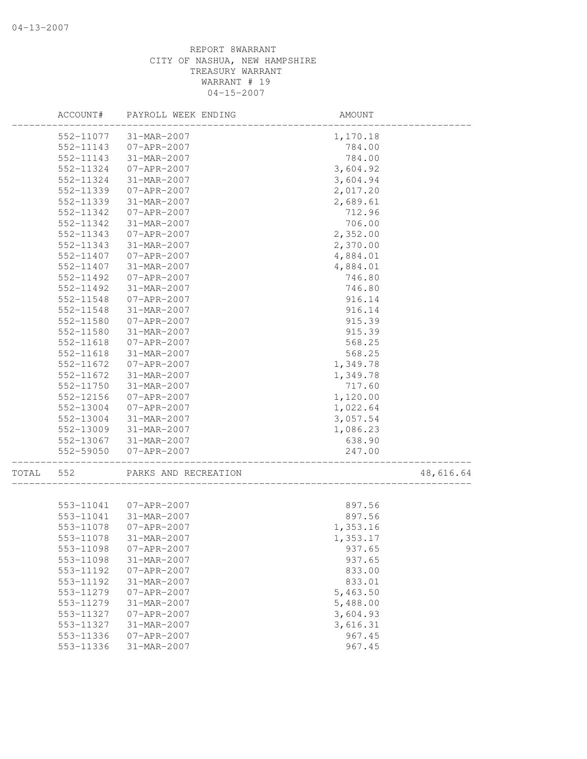|       | ACCOUNT#               | PAYROLL WEEK ENDING              | AMOUNT               |           |
|-------|------------------------|----------------------------------|----------------------|-----------|
|       | 552-11077              | 31-MAR-2007                      | 1,170.18             |           |
|       | 552-11143              | 07-APR-2007                      | 784.00               |           |
|       | 552-11143              | 31-MAR-2007                      | 784.00               |           |
|       | 552-11324              | 07-APR-2007                      | 3,604.92             |           |
|       | 552-11324              | 31-MAR-2007                      | 3,604.94             |           |
|       | 552-11339              | 07-APR-2007                      | 2,017.20             |           |
|       | 552-11339              | 31-MAR-2007                      | 2,689.61             |           |
|       | 552-11342              | $07 - APR - 2007$                | 712.96               |           |
|       | 552-11342              | 31-MAR-2007                      | 706.00               |           |
|       | 552-11343              | 07-APR-2007                      | 2,352.00             |           |
|       | 552-11343              | 31-MAR-2007                      | 2,370.00             |           |
|       | 552-11407              | 07-APR-2007                      | 4,884.01             |           |
|       | 552-11407              | 31-MAR-2007                      | 4,884.01             |           |
|       | 552-11492              | $07 - APR - 2007$                | 746.80               |           |
|       | 552-11492              | 31-MAR-2007                      | 746.80               |           |
|       | 552-11548              | $07 - APR - 2007$                | 916.14               |           |
|       | 552-11548              | 31-MAR-2007                      | 916.14               |           |
|       | 552-11580              | $07 - APR - 2007$                | 915.39               |           |
|       | 552-11580              | 31-MAR-2007                      | 915.39               |           |
|       | $552 - 11618$          | $07 - APR - 2007$                | 568.25               |           |
|       | $552 - 11618$          | 31-MAR-2007                      | 568.25               |           |
|       | 552-11672              | 07-APR-2007                      | 1,349.78             |           |
|       | 552-11672              | 31-MAR-2007                      | 1,349.78             |           |
|       | 552-11750              | 31-MAR-2007                      | 717.60               |           |
|       | 552-12156              | 07-APR-2007                      | 1,120.00             |           |
|       | 552-13004              | $07 - APR - 2007$                | 1,022.64             |           |
|       | 552-13004              | 31-MAR-2007                      | 3,057.54             |           |
|       | 552-13009              | 31-MAR-2007                      | 1,086.23             |           |
|       | 552-13067              | 31-MAR-2007                      | 638.90               |           |
|       | 552-59050              | 07-APR-2007                      | 247.00               |           |
| TOTAL | 552                    | PARKS AND RECREATION             |                      | 48,616.64 |
|       | 553-11041              | $07 - APR - 2007$                | 897.56               |           |
|       | 553-11041              | 31-MAR-2007                      | 897.56               |           |
|       | 553-11078              | $07 - APR - 2007$                | 1,353.16             |           |
|       | 553-11078              | 31-MAR-2007                      | 1,353.17             |           |
|       | 553-11098              | $07 - APR - 2007$                | 937.65               |           |
|       | 553-11098              | 31-MAR-2007                      | 937.65               |           |
|       | 553-11192              | $07 - APR - 2007$                | 833.00               |           |
|       | 553-11192              | 31-MAR-2007                      | 833.01               |           |
|       | 553-11279              | $07 - APR - 2007$                | 5,463.50             |           |
|       | 553-11279              | 31-MAR-2007                      | 5,488.00             |           |
|       |                        |                                  |                      |           |
|       | 553-11327              | $07 - APR - 2007$                | 3,604.93<br>3,616.31 |           |
|       | 553-11327<br>553-11336 | 31-MAR-2007                      |                      |           |
|       | 553-11336              | $07 - APR - 2007$<br>31-MAR-2007 | 967.45<br>967.45     |           |
|       |                        |                                  |                      |           |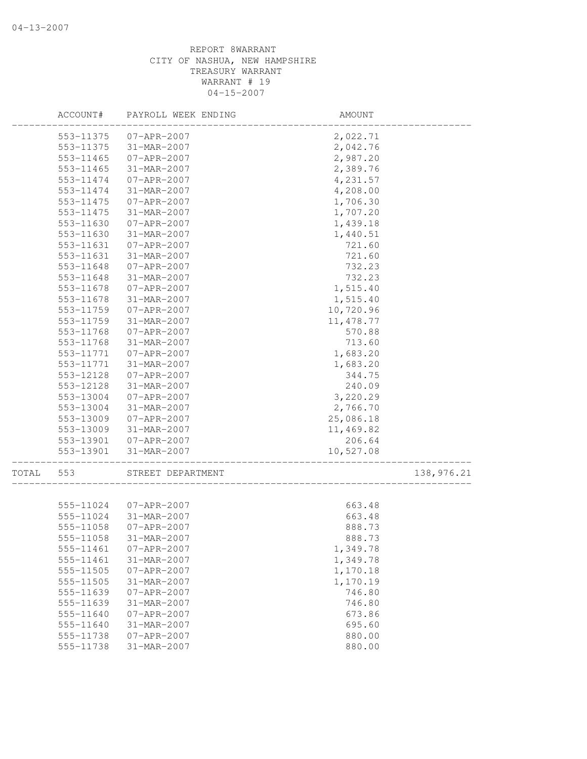|       | ACCOUNT#  | PAYROLL WEEK ENDING | AMOUNT     |            |
|-------|-----------|---------------------|------------|------------|
|       | 553-11375 | 07-APR-2007         | 2,022.71   |            |
|       | 553-11375 | 31-MAR-2007         | 2,042.76   |            |
|       | 553-11465 | 07-APR-2007         | 2,987.20   |            |
|       | 553-11465 | 31-MAR-2007         | 2,389.76   |            |
|       | 553-11474 | $07 - APR - 2007$   | 4,231.57   |            |
|       | 553-11474 | 31-MAR-2007         | 4,208.00   |            |
|       | 553-11475 | $07 - APR - 2007$   | 1,706.30   |            |
|       | 553-11475 | 31-MAR-2007         | 1,707.20   |            |
|       | 553-11630 | $07 - APR - 2007$   | 1,439.18   |            |
|       | 553-11630 | 31-MAR-2007         | 1,440.51   |            |
|       | 553-11631 | $07 - APR - 2007$   | 721.60     |            |
|       | 553-11631 | 31-MAR-2007         | 721.60     |            |
|       | 553-11648 | $07 - APR - 2007$   | 732.23     |            |
|       | 553-11648 | 31-MAR-2007         | 732.23     |            |
|       | 553-11678 | $07 - APR - 2007$   | 1,515.40   |            |
|       | 553-11678 | 31-MAR-2007         | 1,515.40   |            |
|       | 553-11759 | $07 - APR - 2007$   | 10,720.96  |            |
|       | 553-11759 | 31-MAR-2007         | 11, 478.77 |            |
|       | 553-11768 | $07 - APR - 2007$   | 570.88     |            |
|       | 553-11768 | 31-MAR-2007         | 713.60     |            |
|       | 553-11771 | $07 - APR - 2007$   | 1,683.20   |            |
|       | 553-11771 | 31-MAR-2007         | 1,683.20   |            |
|       | 553-12128 | $07 - APR - 2007$   | 344.75     |            |
|       | 553-12128 | 31-MAR-2007         | 240.09     |            |
|       | 553-13004 | 07-APR-2007         | 3,220.29   |            |
|       | 553-13004 | 31-MAR-2007         | 2,766.70   |            |
|       | 553-13009 | $07 - APR - 2007$   | 25,086.18  |            |
|       | 553-13009 | 31-MAR-2007         | 11,469.82  |            |
|       | 553-13901 | $07 - APR - 2007$   | 206.64     |            |
|       | 553-13901 | 31-MAR-2007         | 10,527.08  |            |
| TOTAL | 553       | STREET DEPARTMENT   |            | 138,976.21 |
|       | 555-11024 | 07-APR-2007         | 663.48     |            |
|       | 555-11024 | 31-MAR-2007         | 663.48     |            |
|       | 555-11058 | $07 - APR - 2007$   | 888.73     |            |
|       | 555-11058 | 31-MAR-2007         | 888.73     |            |
|       | 555-11461 | $07 - APR - 2007$   | 1,349.78   |            |
|       | 555-11461 | 31-MAR-2007         | 1,349.78   |            |
|       | 555-11505 | $07 - APR - 2007$   | 1,170.18   |            |
|       | 555-11505 | 31-MAR-2007         | 1,170.19   |            |
|       | 555-11639 | $07 - APR - 2007$   | 746.80     |            |
|       | 555-11639 | 31-MAR-2007         | 746.80     |            |
|       | 555-11640 | $07 - APR - 2007$   | 673.86     |            |
|       | 555-11640 | 31-MAR-2007         | 695.60     |            |
|       | 555-11738 | $07 - APR - 2007$   | 880.00     |            |
|       | 555-11738 | 31-MAR-2007         | 880.00     |            |
|       |           |                     |            |            |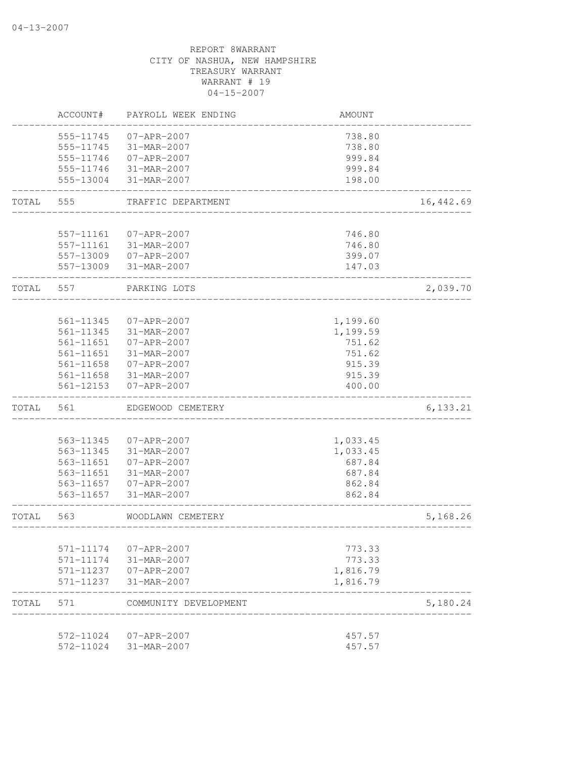|       | ACCOUNT#               | PAYROLL WEEK ENDING        | AMOUNT   |            |
|-------|------------------------|----------------------------|----------|------------|
|       | 555-11745              | $07 - APR - 2007$          | 738.80   |            |
|       | 555-11745              | 31-MAR-2007                | 738.80   |            |
|       | 555-11746              | $07 - APR - 2007$          | 999.84   |            |
|       | 555-11746              | 31-MAR-2007                | 999.84   |            |
|       | 555-13004              | 31-MAR-2007                | 198.00   |            |
| TOTAL | 555                    | TRAFFIC DEPARTMENT         |          | 16, 442.69 |
|       |                        |                            |          |            |
|       | 557-11161              | 07-APR-2007                | 746.80   |            |
|       | 557-11161              | 31-MAR-2007                | 746.80   |            |
|       |                        | 557-13009 07-APR-2007      | 399.07   |            |
|       | 557-13009              | 31-MAR-2007                | 147.03   |            |
| TOTAL | 557                    | PARKING LOTS               |          | 2,039.70   |
|       |                        |                            |          |            |
|       | 561-11345              | $07 - APR - 2007$          | 1,199.60 |            |
|       | 561-11345<br>561-11651 | 31-MAR-2007                | 1,199.59 |            |
|       | 561-11651              | $07 - APR - 2007$          | 751.62   |            |
|       |                        | 31-MAR-2007                | 751.62   |            |
|       | 561-11658              | 07-APR-2007                | 915.39   |            |
|       | 561-11658              | 31-MAR-2007                | 915.39   |            |
|       | 561-12153              | $07 - APR - 2007$          | 400.00   |            |
| TOTAL | 561                    | EDGEWOOD CEMETERY          |          | 6,133.21   |
|       |                        |                            |          |            |
|       | 563-11345              | $07 - APR - 2007$          | 1,033.45 |            |
|       | 563-11345              | 31-MAR-2007                | 1,033.45 |            |
|       | 563-11651              | $07 - APR - 2007$          | 687.84   |            |
|       | 563-11651              | 31-MAR-2007                | 687.84   |            |
|       | 563-11657              | 07-APR-2007                | 862.84   |            |
|       | 563-11657              | 31-MAR-2007                | 862.84   |            |
| TOTAL | 563                    | WOODLAWN CEMETERY          |          | 5,168.26   |
|       |                        |                            |          |            |
|       | 571-11174              | 07-APR-2007                | 773.33   |            |
|       | 571-11174              | 31-MAR-2007                | 773.33   |            |
|       | 571-11237              | 07-APR-2007                | 1,816.79 |            |
|       | 571-11237              | 31-MAR-2007                | 1,816.79 |            |
| TOTAL | 571                    | COMMUNITY DEVELOPMENT      |          | 5,180.24   |
|       |                        |                            |          |            |
|       | 572-11024<br>572-11024 | 07-APR-2007<br>31-MAR-2007 | 457.57   |            |
|       |                        |                            | 457.57   |            |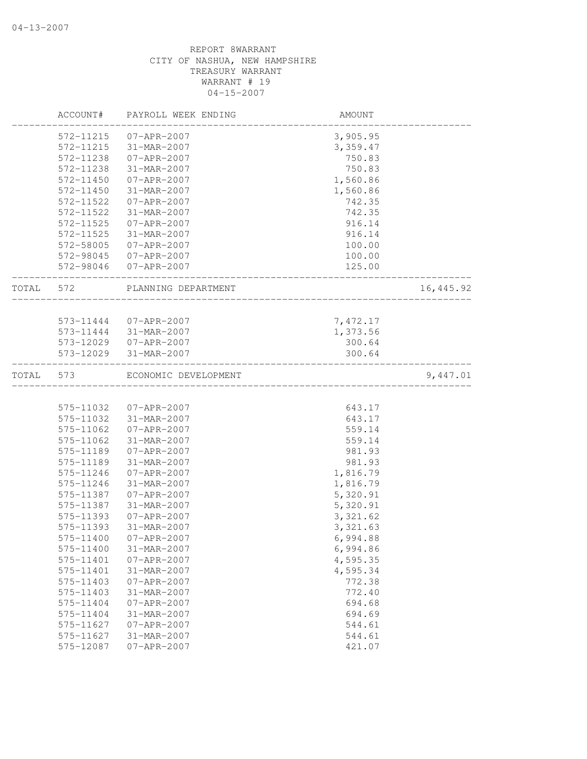|           | ACCOUNT#  | PAYROLL WEEK ENDING   | AMOUNT    |           |
|-----------|-----------|-----------------------|-----------|-----------|
|           | 572-11215 | 07-APR-2007           | 3,905.95  |           |
|           | 572-11215 | 31-MAR-2007           | 3,359.47  |           |
|           | 572-11238 | 07-APR-2007           | 750.83    |           |
|           | 572-11238 | 31-MAR-2007           | 750.83    |           |
|           | 572-11450 | $07 - APR - 2007$     | 1,560.86  |           |
|           | 572-11450 | 31-MAR-2007           | 1,560.86  |           |
|           | 572-11522 | 07-APR-2007           | 742.35    |           |
|           | 572-11522 | 31-MAR-2007           | 742.35    |           |
|           | 572-11525 | 07-APR-2007           | 916.14    |           |
|           | 572-11525 | 31-MAR-2007           | 916.14    |           |
|           | 572-58005 | 07-APR-2007           | 100.00    |           |
|           | 572-98045 | 07-APR-2007           | 100.00    |           |
|           | 572-98046 | 07-APR-2007           | 125.00    |           |
| TOTAL     | 572       | PLANNING DEPARTMENT   |           | 16,445.92 |
|           |           |                       |           |           |
|           |           | 573-11444 07-APR-2007 | 7,472.17  |           |
|           | 573-11444 | 31-MAR-2007           | 1,373.56  |           |
|           |           | 573-12029 07-APR-2007 | 300.64    |           |
|           |           | 573-12029 31-MAR-2007 | 300.64    |           |
| TOTAL 573 |           | ECONOMIC DEVELOPMENT  |           | 9,447.01  |
|           |           |                       |           |           |
|           | 575-11032 | 07-APR-2007           | 643.17    |           |
|           | 575-11032 | 31-MAR-2007           | 643.17    |           |
|           | 575-11062 | 07-APR-2007           | 559.14    |           |
|           | 575-11062 | 31-MAR-2007           | 559.14    |           |
|           | 575-11189 | $07 - APR - 2007$     | 981.93    |           |
|           | 575-11189 | 31-MAR-2007           | 981.93    |           |
|           | 575-11246 | 07-APR-2007           | 1,816.79  |           |
|           | 575-11246 | 31-MAR-2007           | 1,816.79  |           |
|           | 575-11387 | $07 - APR - 2007$     | 5,320.91  |           |
|           | 575-11387 | 31-MAR-2007           | 5,320.91  |           |
|           | 575-11393 | 07-APR-2007           | 3,321.62  |           |
|           | 575-11393 | 31-MAR-2007           | 3, 321.63 |           |
|           | 575-11400 | 07-APR-2007           | 6,994.88  |           |
|           | 575-11400 | 31-MAR-2007           | 6,994.86  |           |
|           | 575-11401 | $07 - APR - 2007$     | 4,595.35  |           |
|           | 575-11401 | 31-MAR-2007           | 4,595.34  |           |
|           | 575-11403 | $07 - APR - 2007$     | 772.38    |           |
|           | 575-11403 | 31-MAR-2007           | 772.40    |           |
|           | 575-11404 | $07 - APR - 2007$     | 694.68    |           |
|           | 575-11404 | 31-MAR-2007           | 694.69    |           |
|           | 575-11627 | $07 - APR - 2007$     | 544.61    |           |
|           | 575-11627 | 31-MAR-2007           | 544.61    |           |
|           | 575-12087 | $07 - APR - 2007$     | 421.07    |           |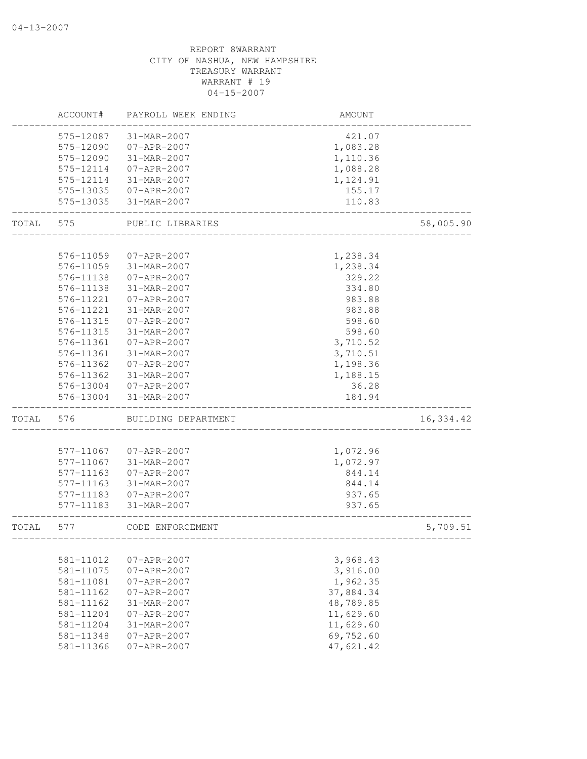## CITY OF NASHUA, NEW HAMPSHIRE TREASURY WARRANT WARRANT # 19 04-15-2007 ACCOUNT# PAYROLL WEEK ENDING AMOUNT -------------------------------------------------------------------------------- 575-12087 31-MAR-2007 421.07 575-12090 07-APR-2007 1,083.28 575-12090 31-MAR-2007 1,110.36 575-12114 07-APR-2007 1,088.28 575-12114 31-MAR-2007 1,124.91 575-13035 07-APR-2007 155.17 575-13035 31-MAR-2007 110.83 -------------------------------------------------------------------------------- TOTAL 575 PUBLIC LIBRARIES 58,005.90 -------------------------------------------------------------------------------- 576-11059 07-APR-2007 1,238.34 576-11059 31-MAR-2007 1,238.34 576-11138 07-APR-2007 329.22 576-11138 31-MAR-2007 334.80 576-11221 07-APR-2007 983.88 576-11221 31-MAR-2007 983.88 576-11315 07-APR-2007 598.60 576-11315 31-MAR-2007 598.60 576-11361 07-APR-2007 3,710.52 576-11361 31-MAR-2007 3,710.51 576-11362 07-APR-2007 1,198.36 576-11362 31-MAR-2007 576-13004 07-APR-2007 36.28 576-13004 31-MAR-2007 184.94 -------------------------------------------------------------------------------- TOTAL 576 BUILDING DEPARTMENT 16,334.42 -------------------------------------------------------------------------------- 577-11067 07-APR-2007 1,072.96 577-11067 31-MAR-2007 1,072.97 577-11163 07-APR-2007 844.14 577-11163 31-MAR-2007 844.14 577-11183 07-APR-2007 937.65 577-11183 31-MAR-2007 937.65 -------------------------------------------------------------------------------- TOTAL 577 CODE ENFORCEMENT 5,709.51 -------------------------------------------------------------------------------- 581-11012 07-APR-2007 3,968.43 581-11075 07-APR-2007 3,916.00 581-11081 07-APR-2007 1,962.35 581-11162 07-APR-2007 37,884.34 581-11162 31-MAR-2007 581-11204 07-APR-2007 11,629.60 581-11204 31-MAR-2007 11,629.60 581-11348 07-APR-2007 69,752.60 581-11366 07-APR-2007 47,621.42

# REPORT 8WARRANT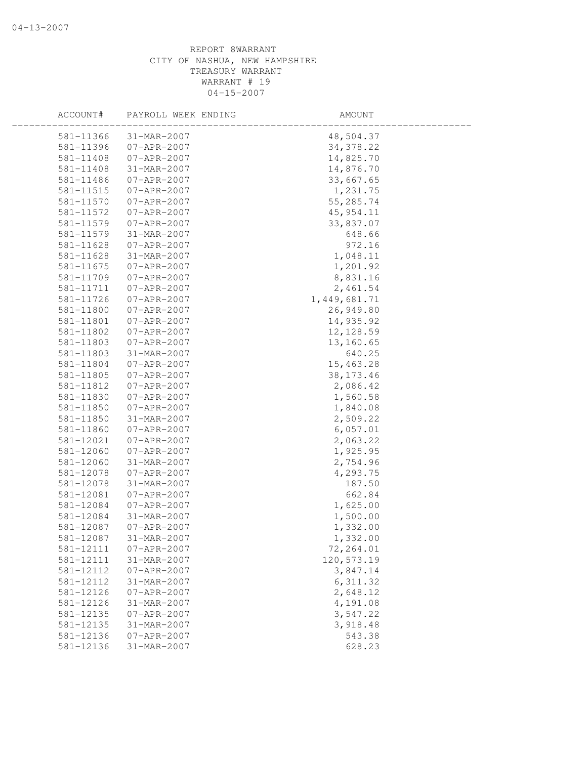| ACCOUNT#  | PAYROLL WEEK ENDING | AMOUNT         |  |
|-----------|---------------------|----------------|--|
| 581-11366 | 31-MAR-2007         | 48,504.37      |  |
| 581-11396 | $07 - APR - 2007$   | 34, 378.22     |  |
| 581-11408 | $07 - APR - 2007$   | 14,825.70      |  |
| 581-11408 | 31-MAR-2007         | 14,876.70      |  |
| 581-11486 | $07 - APR - 2007$   | 33,667.65      |  |
| 581-11515 | 07-APR-2007         | 1,231.75       |  |
| 581-11570 | 07-APR-2007         | 55,285.74      |  |
| 581-11572 | 07-APR-2007         | 45, 954.11     |  |
| 581-11579 | 07-APR-2007         | 33,837.07      |  |
| 581-11579 | 31-MAR-2007         | 648.66         |  |
| 581-11628 | 07-APR-2007         | 972.16         |  |
| 581-11628 | 31-MAR-2007         | 1,048.11       |  |
| 581-11675 | $07 - APR - 2007$   | 1,201.92       |  |
| 581-11709 | 07-APR-2007         | 8,831.16       |  |
| 581-11711 | 07-APR-2007         | 2,461.54       |  |
| 581-11726 | 07-APR-2007         | 1, 449, 681.71 |  |
| 581-11800 | $07 - APR - 2007$   | 26,949.80      |  |
| 581-11801 | 07-APR-2007         | 14,935.92      |  |
| 581-11802 | $07 - APR - 2007$   | 12, 128.59     |  |
| 581-11803 | 07-APR-2007         | 13,160.65      |  |
| 581-11803 | 31-MAR-2007         | 640.25         |  |
| 581-11804 | $07 - APR - 2007$   | 15,463.28      |  |
| 581-11805 | $07 - APR - 2007$   | 38, 173. 46    |  |
| 581-11812 | $07 - APR - 2007$   | 2,086.42       |  |
| 581-11830 | 07-APR-2007         | 1,560.58       |  |
| 581-11850 | $07 - APR - 2007$   | 1,840.08       |  |
| 581-11850 | 31-MAR-2007         | 2,509.22       |  |
| 581-11860 | 07-APR-2007         | 6,057.01       |  |
| 581-12021 | 07-APR-2007         | 2,063.22       |  |
| 581-12060 | $07 - APR - 2007$   | 1,925.95       |  |
| 581-12060 | 31-MAR-2007         | 2,754.96       |  |
| 581-12078 | $07 - APR - 2007$   | 4,293.75       |  |
| 581-12078 | 31-MAR-2007         | 187.50         |  |
| 581-12081 | $07 - APR - 2007$   | 662.84         |  |
| 581-12084 | $07 - APR - 2007$   | 1,625.00       |  |
| 581-12084 | 31-MAR-2007         | 1,500.00       |  |
| 581-12087 | $07 - APR - 2007$   | 1,332.00       |  |
| 581-12087 | 31-MAR-2007         | 1,332.00       |  |
| 581-12111 | $07 - APR - 2007$   | 72,264.01      |  |
| 581-12111 | 31-MAR-2007         | 120,573.19     |  |
| 581-12112 | $07 - APR - 2007$   | 3,847.14       |  |
| 581-12112 | 31-MAR-2007         | 6, 311.32      |  |
| 581-12126 | $07 - APR - 2007$   | 2,648.12       |  |
| 581-12126 | 31-MAR-2007         | 4,191.08       |  |
| 581-12135 | $07 - APR - 2007$   | 3,547.22       |  |
| 581-12135 | 31-MAR-2007         | 3,918.48       |  |
| 581-12136 | $07 - APR - 2007$   | 543.38         |  |
| 581-12136 | 31-MAR-2007         | 628.23         |  |
|           |                     |                |  |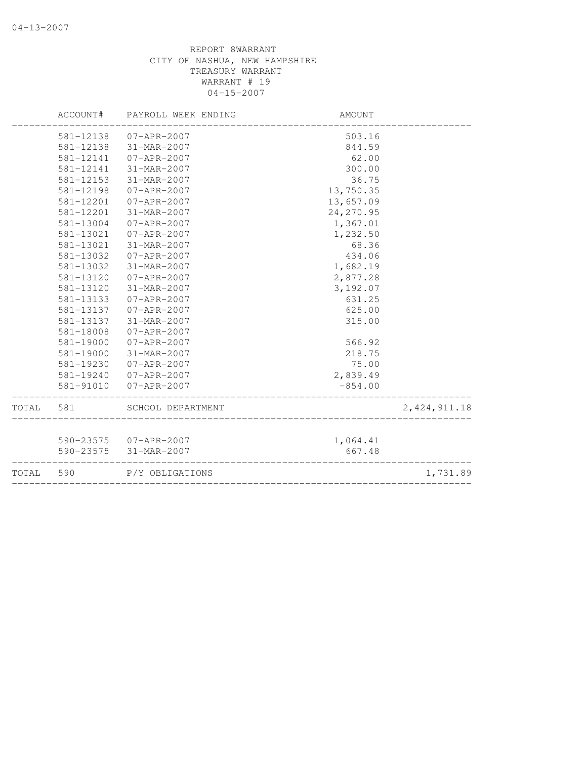|           | ACCOUNT#  | PAYROLL WEEK ENDING   | AMOUNT     |                |
|-----------|-----------|-----------------------|------------|----------------|
|           | 581-12138 | 07-APR-2007           | 503.16     |                |
|           | 581-12138 | 31-MAR-2007           | 844.59     |                |
|           | 581-12141 | 07-APR-2007           | 62.00      |                |
|           | 581-12141 | 31-MAR-2007           | 300.00     |                |
|           | 581-12153 | 31-MAR-2007           | 36.75      |                |
|           | 581-12198 | $07 - APR - 2007$     | 13,750.35  |                |
|           | 581-12201 | $07 - APR - 2007$     | 13,657.09  |                |
|           | 581-12201 | 31-MAR-2007           | 24, 270.95 |                |
|           | 581-13004 | $07 - APR - 2007$     | 1,367.01   |                |
|           | 581-13021 | $07 - APR - 2007$     | 1,232.50   |                |
|           | 581-13021 | 31-MAR-2007           | 68.36      |                |
|           | 581-13032 | $07 - APR - 2007$     | 434.06     |                |
|           | 581-13032 | 31-MAR-2007           | 1,682.19   |                |
|           | 581-13120 | $07 - APR - 2007$     | 2,877.28   |                |
|           | 581-13120 | 31-MAR-2007           | 3,192.07   |                |
|           | 581-13133 | $07 - APR - 2007$     | 631.25     |                |
|           | 581-13137 | $07 - APR - 2007$     | 625.00     |                |
|           | 581-13137 | 31-MAR-2007           | 315.00     |                |
|           | 581-18008 | $07 - APR - 2007$     |            |                |
|           | 581-19000 | $07 - APR - 2007$     | 566.92     |                |
|           | 581-19000 | 31-MAR-2007           | 218.75     |                |
|           | 581-19230 | $07 - APR - 2007$     | 75.00      |                |
|           | 581-19240 | 07-APR-2007           | 2,839.49   |                |
|           | 581-91010 | $07 - APR - 2007$     | $-854.00$  |                |
| TOTAL 581 |           | SCHOOL DEPARTMENT     |            | 2, 424, 911.18 |
|           |           |                       |            |                |
|           |           | 590-23575 07-APR-2007 | 1,064.41   |                |
|           |           | 590-23575 31-MAR-2007 | 667.48     |                |
| TOTAL     | 590       | P/Y OBLIGATIONS       |            | 1,731.89       |
|           |           |                       |            |                |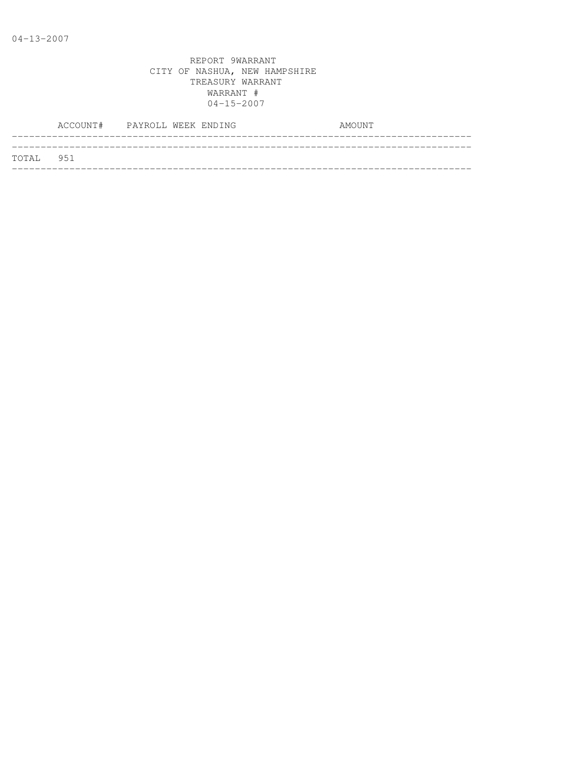|           | ACCOUNT# PAYROLL WEEK ENDING |  |  | AMOUNT |
|-----------|------------------------------|--|--|--------|
| TOTAL 951 |                              |  |  |        |
|           |                              |  |  |        |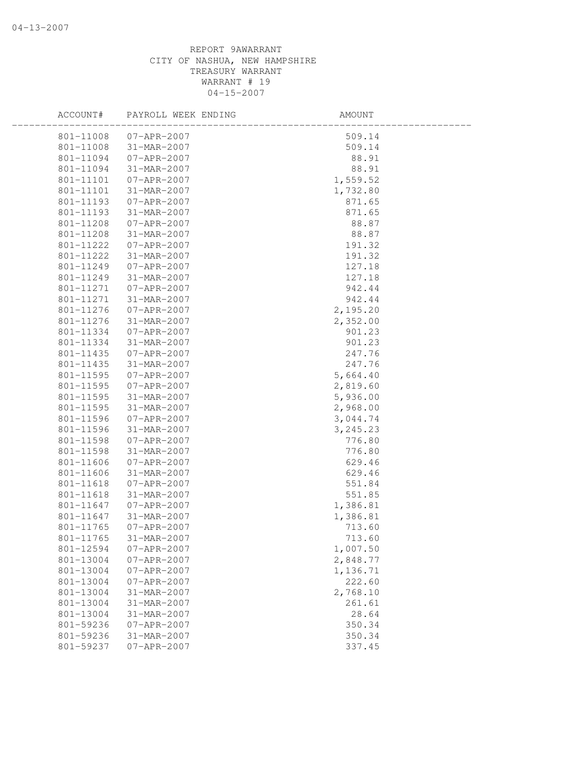| ACCOUNT#  | PAYROLL WEEK ENDING | AMOUNT   |
|-----------|---------------------|----------|
| 801-11008 | 07-APR-2007         | 509.14   |
| 801-11008 | 31-MAR-2007         | 509.14   |
| 801-11094 | 07-APR-2007         | 88.91    |
| 801-11094 | 31-MAR-2007         | 88.91    |
| 801-11101 | $07 - APR - 2007$   | 1,559.52 |
| 801-11101 | 31-MAR-2007         | 1,732.80 |
| 801-11193 | 07-APR-2007         | 871.65   |
| 801-11193 | 31-MAR-2007         | 871.65   |
| 801-11208 | 07-APR-2007         | 88.87    |
| 801-11208 | 31-MAR-2007         | 88.87    |
| 801-11222 | 07-APR-2007         | 191.32   |
| 801-11222 | 31-MAR-2007         | 191.32   |
| 801-11249 | 07-APR-2007         | 127.18   |
| 801-11249 | 31-MAR-2007         | 127.18   |
| 801-11271 | 07-APR-2007         | 942.44   |
| 801-11271 | 31-MAR-2007         | 942.44   |
| 801-11276 | 07-APR-2007         | 2,195.20 |
| 801-11276 | 31-MAR-2007         | 2,352.00 |
| 801-11334 | $07 - APR - 2007$   | 901.23   |
| 801-11334 | 31-MAR-2007         | 901.23   |
| 801-11435 | 07-APR-2007         | 247.76   |
| 801-11435 | 31-MAR-2007         | 247.76   |
| 801-11595 | $07 - APR - 2007$   | 5,664.40 |
| 801-11595 | $07 - APR - 2007$   | 2,819.60 |
| 801-11595 | 31-MAR-2007         | 5,936.00 |
| 801-11595 | 31-MAR-2007         | 2,968.00 |
| 801-11596 | $07 - APR - 2007$   | 3,044.74 |
| 801-11596 | 31-MAR-2007         | 3,245.23 |
| 801-11598 | 07-APR-2007         | 776.80   |
| 801-11598 | 31-MAR-2007         | 776.80   |
| 801-11606 | 07-APR-2007         | 629.46   |
| 801-11606 | 31-MAR-2007         | 629.46   |
| 801-11618 | 07-APR-2007         | 551.84   |
| 801-11618 | 31-MAR-2007         | 551.85   |
| 801-11647 | $07 - APR - 2007$   | 1,386.81 |
| 801-11647 | 31-MAR-2007         | 1,386.81 |
| 801-11765 | 07-APR-2007         | 713.60   |
| 801-11765 | 31-MAR-2007         | 713.60   |
| 801-12594 | $07 - APR - 2007$   | 1,007.50 |
| 801-13004 | $07 - APR - 2007$   | 2,848.77 |
| 801-13004 | $07 - APR - 2007$   | 1,136.71 |
| 801-13004 | $07 - APR - 2007$   | 222.60   |
| 801-13004 | 31-MAR-2007         | 2,768.10 |
| 801-13004 | 31-MAR-2007         | 261.61   |
| 801-13004 | 31-MAR-2007         | 28.64    |
| 801-59236 | $07 - APR - 2007$   | 350.34   |
| 801-59236 | 31-MAR-2007         | 350.34   |
| 801-59237 | $07 - APR - 2007$   | 337.45   |
|           |                     |          |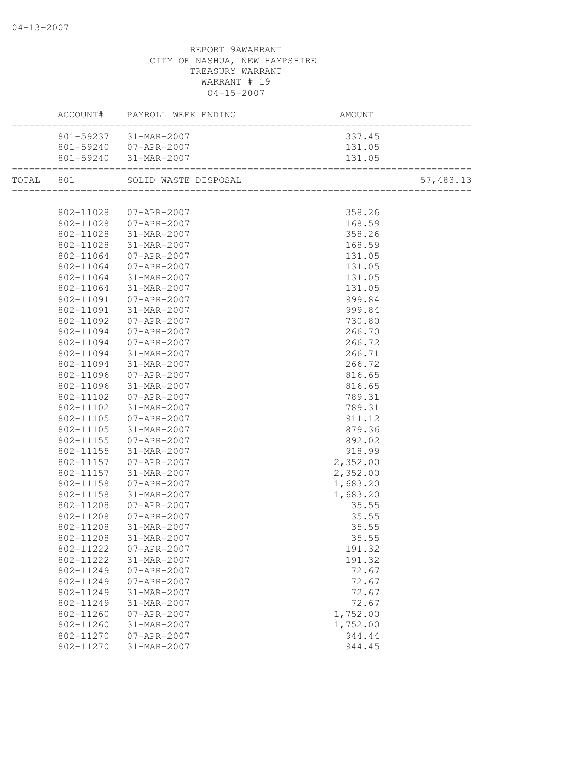| 337.45<br>801-59237 31-MAR-2007<br>801-59240 07-APR-2007<br>131.05<br>801-59240 31-MAR-2007<br>131.05<br>TOTAL 801 SOLID WASTE DISPOSAL<br>57,483.13<br>358.26<br>802-11028  07-APR-2007<br>802-11028 07-APR-2007<br>168.59<br>802-11028<br>31-MAR-2007<br>358.26<br>168.59<br>802-11028<br>31-MAR-2007<br>$07 - APR - 2007$<br>802-11064<br>131.05<br>$07 - APR - 2007$<br>802-11064<br>131.05<br>802-11064<br>31-MAR-2007<br>131.05<br>131.05<br>802-11064<br>31-MAR-2007<br>999.84<br>802-11091<br>$07 - APR - 2007$<br>802-11091<br>31-MAR-2007<br>999.84<br>802-11092<br>07-APR-2007<br>730.80<br>266.70<br>802-11094<br>$07 - APR - 2007$<br>802-11094<br>$07 - APR - 2007$<br>266.72<br>31-MAR-2007<br>802-11094<br>266.71<br>31-MAR-2007<br>802-11094<br>266.72<br>802-11096<br>$07 - APR - 2007$<br>816.65<br>802-11096<br>31-MAR-2007<br>816.65<br>802-11102<br>07-APR-2007<br>789.31<br>802-11102<br>31-MAR-2007<br>789.31<br>802-11105<br>07-APR-2007<br>911.12<br>802-11105<br>31-MAR-2007<br>879.36<br>892.02<br>802-11155<br>07-APR-2007<br>31-MAR-2007<br>918.99<br>802-11155<br>2,352.00<br>802-11157<br>07-APR-2007<br>2,352.00<br>802-11157<br>31-MAR-2007<br>802-11158<br>07-APR-2007<br>1,683.20<br>802-11158<br>31-MAR-2007<br>1,683.20<br>802-11208<br>$07 - APR - 2007$<br>35.55<br>802-11208<br>07-APR-2007<br>35.55<br>802-11208<br>31-MAR-2007<br>35.55<br>35.55<br>802-11208 31-MAR-2007<br>802-11222<br>$07 - APR - 2007$<br>191.32<br>191.32<br>802-11222<br>31-MAR-2007<br>802-11249<br>$07 - APR - 2007$<br>72.67<br>72.67<br>802-11249<br>$07 - APR - 2007$<br>72.67<br>802-11249<br>31-MAR-2007<br>31-MAR-2007<br>72.67<br>802-11249<br>802-11260<br>1,752.00<br>$07 - APR - 2007$<br>802-11260<br>1,752.00<br>31-MAR-2007<br>944.44<br>802-11270<br>$07 - APR - 2007$ |           | ACCOUNT# PAYROLL WEEK ENDING | AMOUNT |  |
|----------------------------------------------------------------------------------------------------------------------------------------------------------------------------------------------------------------------------------------------------------------------------------------------------------------------------------------------------------------------------------------------------------------------------------------------------------------------------------------------------------------------------------------------------------------------------------------------------------------------------------------------------------------------------------------------------------------------------------------------------------------------------------------------------------------------------------------------------------------------------------------------------------------------------------------------------------------------------------------------------------------------------------------------------------------------------------------------------------------------------------------------------------------------------------------------------------------------------------------------------------------------------------------------------------------------------------------------------------------------------------------------------------------------------------------------------------------------------------------------------------------------------------------------------------------------------------------------------------------------------------------------------------------------------------------------------------------------------------------------------------------------------------------------------------|-----------|------------------------------|--------|--|
|                                                                                                                                                                                                                                                                                                                                                                                                                                                                                                                                                                                                                                                                                                                                                                                                                                                                                                                                                                                                                                                                                                                                                                                                                                                                                                                                                                                                                                                                                                                                                                                                                                                                                                                                                                                                          |           |                              |        |  |
|                                                                                                                                                                                                                                                                                                                                                                                                                                                                                                                                                                                                                                                                                                                                                                                                                                                                                                                                                                                                                                                                                                                                                                                                                                                                                                                                                                                                                                                                                                                                                                                                                                                                                                                                                                                                          |           |                              |        |  |
|                                                                                                                                                                                                                                                                                                                                                                                                                                                                                                                                                                                                                                                                                                                                                                                                                                                                                                                                                                                                                                                                                                                                                                                                                                                                                                                                                                                                                                                                                                                                                                                                                                                                                                                                                                                                          |           |                              |        |  |
|                                                                                                                                                                                                                                                                                                                                                                                                                                                                                                                                                                                                                                                                                                                                                                                                                                                                                                                                                                                                                                                                                                                                                                                                                                                                                                                                                                                                                                                                                                                                                                                                                                                                                                                                                                                                          |           |                              |        |  |
|                                                                                                                                                                                                                                                                                                                                                                                                                                                                                                                                                                                                                                                                                                                                                                                                                                                                                                                                                                                                                                                                                                                                                                                                                                                                                                                                                                                                                                                                                                                                                                                                                                                                                                                                                                                                          |           |                              |        |  |
|                                                                                                                                                                                                                                                                                                                                                                                                                                                                                                                                                                                                                                                                                                                                                                                                                                                                                                                                                                                                                                                                                                                                                                                                                                                                                                                                                                                                                                                                                                                                                                                                                                                                                                                                                                                                          |           |                              |        |  |
|                                                                                                                                                                                                                                                                                                                                                                                                                                                                                                                                                                                                                                                                                                                                                                                                                                                                                                                                                                                                                                                                                                                                                                                                                                                                                                                                                                                                                                                                                                                                                                                                                                                                                                                                                                                                          |           |                              |        |  |
|                                                                                                                                                                                                                                                                                                                                                                                                                                                                                                                                                                                                                                                                                                                                                                                                                                                                                                                                                                                                                                                                                                                                                                                                                                                                                                                                                                                                                                                                                                                                                                                                                                                                                                                                                                                                          |           |                              |        |  |
|                                                                                                                                                                                                                                                                                                                                                                                                                                                                                                                                                                                                                                                                                                                                                                                                                                                                                                                                                                                                                                                                                                                                                                                                                                                                                                                                                                                                                                                                                                                                                                                                                                                                                                                                                                                                          |           |                              |        |  |
|                                                                                                                                                                                                                                                                                                                                                                                                                                                                                                                                                                                                                                                                                                                                                                                                                                                                                                                                                                                                                                                                                                                                                                                                                                                                                                                                                                                                                                                                                                                                                                                                                                                                                                                                                                                                          |           |                              |        |  |
|                                                                                                                                                                                                                                                                                                                                                                                                                                                                                                                                                                                                                                                                                                                                                                                                                                                                                                                                                                                                                                                                                                                                                                                                                                                                                                                                                                                                                                                                                                                                                                                                                                                                                                                                                                                                          |           |                              |        |  |
|                                                                                                                                                                                                                                                                                                                                                                                                                                                                                                                                                                                                                                                                                                                                                                                                                                                                                                                                                                                                                                                                                                                                                                                                                                                                                                                                                                                                                                                                                                                                                                                                                                                                                                                                                                                                          |           |                              |        |  |
|                                                                                                                                                                                                                                                                                                                                                                                                                                                                                                                                                                                                                                                                                                                                                                                                                                                                                                                                                                                                                                                                                                                                                                                                                                                                                                                                                                                                                                                                                                                                                                                                                                                                                                                                                                                                          |           |                              |        |  |
|                                                                                                                                                                                                                                                                                                                                                                                                                                                                                                                                                                                                                                                                                                                                                                                                                                                                                                                                                                                                                                                                                                                                                                                                                                                                                                                                                                                                                                                                                                                                                                                                                                                                                                                                                                                                          |           |                              |        |  |
|                                                                                                                                                                                                                                                                                                                                                                                                                                                                                                                                                                                                                                                                                                                                                                                                                                                                                                                                                                                                                                                                                                                                                                                                                                                                                                                                                                                                                                                                                                                                                                                                                                                                                                                                                                                                          |           |                              |        |  |
|                                                                                                                                                                                                                                                                                                                                                                                                                                                                                                                                                                                                                                                                                                                                                                                                                                                                                                                                                                                                                                                                                                                                                                                                                                                                                                                                                                                                                                                                                                                                                                                                                                                                                                                                                                                                          |           |                              |        |  |
|                                                                                                                                                                                                                                                                                                                                                                                                                                                                                                                                                                                                                                                                                                                                                                                                                                                                                                                                                                                                                                                                                                                                                                                                                                                                                                                                                                                                                                                                                                                                                                                                                                                                                                                                                                                                          |           |                              |        |  |
|                                                                                                                                                                                                                                                                                                                                                                                                                                                                                                                                                                                                                                                                                                                                                                                                                                                                                                                                                                                                                                                                                                                                                                                                                                                                                                                                                                                                                                                                                                                                                                                                                                                                                                                                                                                                          |           |                              |        |  |
|                                                                                                                                                                                                                                                                                                                                                                                                                                                                                                                                                                                                                                                                                                                                                                                                                                                                                                                                                                                                                                                                                                                                                                                                                                                                                                                                                                                                                                                                                                                                                                                                                                                                                                                                                                                                          |           |                              |        |  |
|                                                                                                                                                                                                                                                                                                                                                                                                                                                                                                                                                                                                                                                                                                                                                                                                                                                                                                                                                                                                                                                                                                                                                                                                                                                                                                                                                                                                                                                                                                                                                                                                                                                                                                                                                                                                          |           |                              |        |  |
|                                                                                                                                                                                                                                                                                                                                                                                                                                                                                                                                                                                                                                                                                                                                                                                                                                                                                                                                                                                                                                                                                                                                                                                                                                                                                                                                                                                                                                                                                                                                                                                                                                                                                                                                                                                                          |           |                              |        |  |
|                                                                                                                                                                                                                                                                                                                                                                                                                                                                                                                                                                                                                                                                                                                                                                                                                                                                                                                                                                                                                                                                                                                                                                                                                                                                                                                                                                                                                                                                                                                                                                                                                                                                                                                                                                                                          |           |                              |        |  |
|                                                                                                                                                                                                                                                                                                                                                                                                                                                                                                                                                                                                                                                                                                                                                                                                                                                                                                                                                                                                                                                                                                                                                                                                                                                                                                                                                                                                                                                                                                                                                                                                                                                                                                                                                                                                          |           |                              |        |  |
|                                                                                                                                                                                                                                                                                                                                                                                                                                                                                                                                                                                                                                                                                                                                                                                                                                                                                                                                                                                                                                                                                                                                                                                                                                                                                                                                                                                                                                                                                                                                                                                                                                                                                                                                                                                                          |           |                              |        |  |
|                                                                                                                                                                                                                                                                                                                                                                                                                                                                                                                                                                                                                                                                                                                                                                                                                                                                                                                                                                                                                                                                                                                                                                                                                                                                                                                                                                                                                                                                                                                                                                                                                                                                                                                                                                                                          |           |                              |        |  |
|                                                                                                                                                                                                                                                                                                                                                                                                                                                                                                                                                                                                                                                                                                                                                                                                                                                                                                                                                                                                                                                                                                                                                                                                                                                                                                                                                                                                                                                                                                                                                                                                                                                                                                                                                                                                          |           |                              |        |  |
|                                                                                                                                                                                                                                                                                                                                                                                                                                                                                                                                                                                                                                                                                                                                                                                                                                                                                                                                                                                                                                                                                                                                                                                                                                                                                                                                                                                                                                                                                                                                                                                                                                                                                                                                                                                                          |           |                              |        |  |
|                                                                                                                                                                                                                                                                                                                                                                                                                                                                                                                                                                                                                                                                                                                                                                                                                                                                                                                                                                                                                                                                                                                                                                                                                                                                                                                                                                                                                                                                                                                                                                                                                                                                                                                                                                                                          |           |                              |        |  |
|                                                                                                                                                                                                                                                                                                                                                                                                                                                                                                                                                                                                                                                                                                                                                                                                                                                                                                                                                                                                                                                                                                                                                                                                                                                                                                                                                                                                                                                                                                                                                                                                                                                                                                                                                                                                          |           |                              |        |  |
|                                                                                                                                                                                                                                                                                                                                                                                                                                                                                                                                                                                                                                                                                                                                                                                                                                                                                                                                                                                                                                                                                                                                                                                                                                                                                                                                                                                                                                                                                                                                                                                                                                                                                                                                                                                                          |           |                              |        |  |
|                                                                                                                                                                                                                                                                                                                                                                                                                                                                                                                                                                                                                                                                                                                                                                                                                                                                                                                                                                                                                                                                                                                                                                                                                                                                                                                                                                                                                                                                                                                                                                                                                                                                                                                                                                                                          |           |                              |        |  |
|                                                                                                                                                                                                                                                                                                                                                                                                                                                                                                                                                                                                                                                                                                                                                                                                                                                                                                                                                                                                                                                                                                                                                                                                                                                                                                                                                                                                                                                                                                                                                                                                                                                                                                                                                                                                          |           |                              |        |  |
|                                                                                                                                                                                                                                                                                                                                                                                                                                                                                                                                                                                                                                                                                                                                                                                                                                                                                                                                                                                                                                                                                                                                                                                                                                                                                                                                                                                                                                                                                                                                                                                                                                                                                                                                                                                                          |           |                              |        |  |
|                                                                                                                                                                                                                                                                                                                                                                                                                                                                                                                                                                                                                                                                                                                                                                                                                                                                                                                                                                                                                                                                                                                                                                                                                                                                                                                                                                                                                                                                                                                                                                                                                                                                                                                                                                                                          |           |                              |        |  |
|                                                                                                                                                                                                                                                                                                                                                                                                                                                                                                                                                                                                                                                                                                                                                                                                                                                                                                                                                                                                                                                                                                                                                                                                                                                                                                                                                                                                                                                                                                                                                                                                                                                                                                                                                                                                          |           |                              |        |  |
|                                                                                                                                                                                                                                                                                                                                                                                                                                                                                                                                                                                                                                                                                                                                                                                                                                                                                                                                                                                                                                                                                                                                                                                                                                                                                                                                                                                                                                                                                                                                                                                                                                                                                                                                                                                                          |           |                              |        |  |
|                                                                                                                                                                                                                                                                                                                                                                                                                                                                                                                                                                                                                                                                                                                                                                                                                                                                                                                                                                                                                                                                                                                                                                                                                                                                                                                                                                                                                                                                                                                                                                                                                                                                                                                                                                                                          |           |                              |        |  |
|                                                                                                                                                                                                                                                                                                                                                                                                                                                                                                                                                                                                                                                                                                                                                                                                                                                                                                                                                                                                                                                                                                                                                                                                                                                                                                                                                                                                                                                                                                                                                                                                                                                                                                                                                                                                          |           |                              |        |  |
|                                                                                                                                                                                                                                                                                                                                                                                                                                                                                                                                                                                                                                                                                                                                                                                                                                                                                                                                                                                                                                                                                                                                                                                                                                                                                                                                                                                                                                                                                                                                                                                                                                                                                                                                                                                                          |           |                              |        |  |
|                                                                                                                                                                                                                                                                                                                                                                                                                                                                                                                                                                                                                                                                                                                                                                                                                                                                                                                                                                                                                                                                                                                                                                                                                                                                                                                                                                                                                                                                                                                                                                                                                                                                                                                                                                                                          |           |                              |        |  |
|                                                                                                                                                                                                                                                                                                                                                                                                                                                                                                                                                                                                                                                                                                                                                                                                                                                                                                                                                                                                                                                                                                                                                                                                                                                                                                                                                                                                                                                                                                                                                                                                                                                                                                                                                                                                          |           |                              |        |  |
|                                                                                                                                                                                                                                                                                                                                                                                                                                                                                                                                                                                                                                                                                                                                                                                                                                                                                                                                                                                                                                                                                                                                                                                                                                                                                                                                                                                                                                                                                                                                                                                                                                                                                                                                                                                                          |           |                              |        |  |
|                                                                                                                                                                                                                                                                                                                                                                                                                                                                                                                                                                                                                                                                                                                                                                                                                                                                                                                                                                                                                                                                                                                                                                                                                                                                                                                                                                                                                                                                                                                                                                                                                                                                                                                                                                                                          |           |                              |        |  |
|                                                                                                                                                                                                                                                                                                                                                                                                                                                                                                                                                                                                                                                                                                                                                                                                                                                                                                                                                                                                                                                                                                                                                                                                                                                                                                                                                                                                                                                                                                                                                                                                                                                                                                                                                                                                          |           |                              |        |  |
|                                                                                                                                                                                                                                                                                                                                                                                                                                                                                                                                                                                                                                                                                                                                                                                                                                                                                                                                                                                                                                                                                                                                                                                                                                                                                                                                                                                                                                                                                                                                                                                                                                                                                                                                                                                                          |           |                              |        |  |
|                                                                                                                                                                                                                                                                                                                                                                                                                                                                                                                                                                                                                                                                                                                                                                                                                                                                                                                                                                                                                                                                                                                                                                                                                                                                                                                                                                                                                                                                                                                                                                                                                                                                                                                                                                                                          | 802-11270 | 31-MAR-2007                  | 944.45 |  |